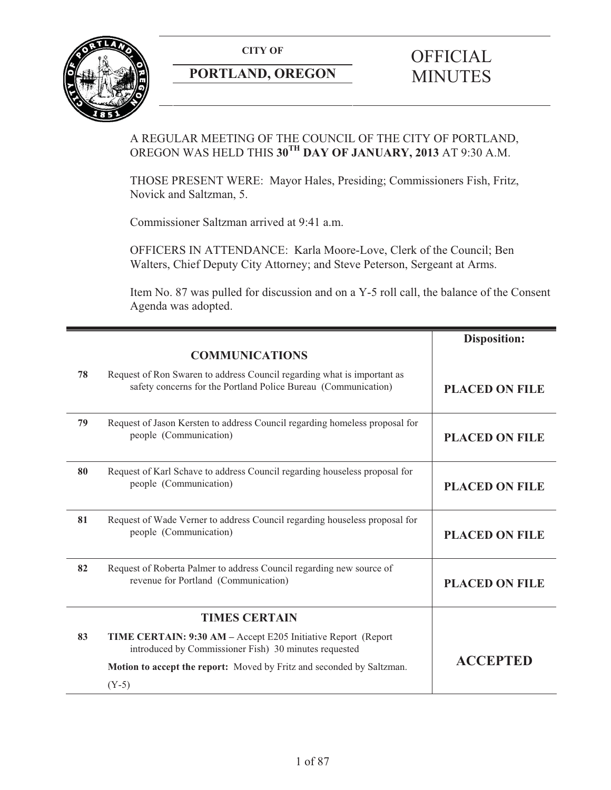**CITY OF** 



# **PORTLAND, OREGON**

# **OFFICIAL** MINUTES

## A REGULAR MEETING OF THE COUNCIL OF THE CITY OF PORTLAND, OREGON WAS HELD THIS **30TH DAY OF JANUARY, 2013** AT 9:30 A.M.

THOSE PRESENT WERE: Mayor Hales, Presiding; Commissioners Fish, Fritz, Novick and Saltzman, 5.

Commissioner Saltzman arrived at 9:41 a.m.

OFFICERS IN ATTENDANCE: Karla Moore-Love, Clerk of the Council; Ben Walters, Chief Deputy City Attorney; and Steve Peterson, Sergeant at Arms.

Item No. 87 was pulled for discussion and on a Y-5 roll call, the balance of the Consent Agenda was adopted.

|    |                                                                                                                                           | <b>Disposition:</b>   |
|----|-------------------------------------------------------------------------------------------------------------------------------------------|-----------------------|
|    | <b>COMMUNICATIONS</b>                                                                                                                     |                       |
| 78 | Request of Ron Swaren to address Council regarding what is important as<br>safety concerns for the Portland Police Bureau (Communication) | <b>PLACED ON FILE</b> |
| 79 | Request of Jason Kersten to address Council regarding homeless proposal for<br>people (Communication)                                     | <b>PLACED ON FILE</b> |
| 80 | Request of Karl Schave to address Council regarding houseless proposal for<br>people (Communication)                                      | <b>PLACED ON FILE</b> |
| 81 | Request of Wade Verner to address Council regarding houseless proposal for<br>people (Communication)                                      | <b>PLACED ON FILE</b> |
| 82 | Request of Roberta Palmer to address Council regarding new source of<br>revenue for Portland (Communication)                              | <b>PLACED ON FILE</b> |
|    | <b>TIMES CERTAIN</b>                                                                                                                      |                       |
| 83 | <b>TIME CERTAIN: 9:30 AM – Accept E205 Initiative Report (Report</b><br>introduced by Commissioner Fish) 30 minutes requested             |                       |
|    | Motion to accept the report: Moved by Fritz and seconded by Saltzman.                                                                     | <b>ACCEPTED</b>       |
|    | $(Y-5)$                                                                                                                                   |                       |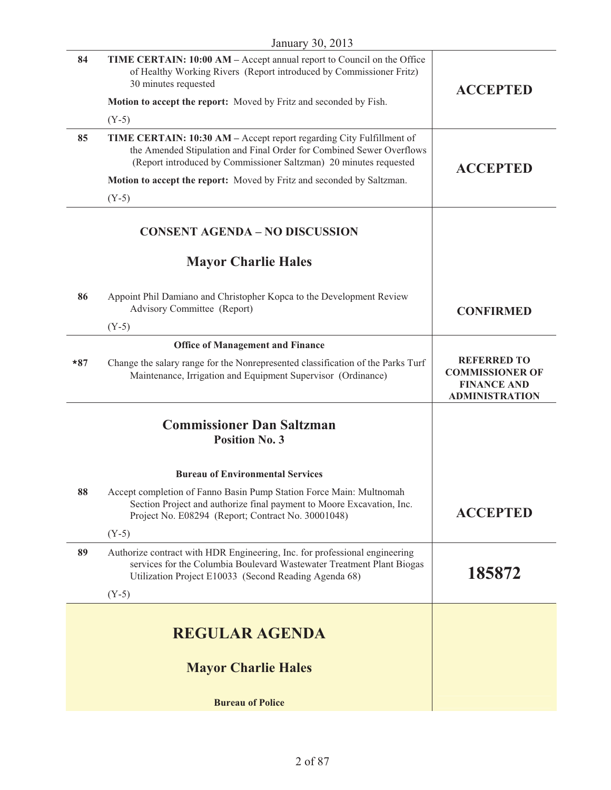| 84    | TIME CERTAIN: 10:00 AM - Accept annual report to Council on the Office<br>of Healthy Working Rivers (Report introduced by Commissioner Fritz)<br>30 minutes requested<br>Motion to accept the report: Moved by Fritz and seconded by Fish. | <b>ACCEPTED</b>                                                                             |
|-------|--------------------------------------------------------------------------------------------------------------------------------------------------------------------------------------------------------------------------------------------|---------------------------------------------------------------------------------------------|
|       | $(Y-5)$                                                                                                                                                                                                                                    |                                                                                             |
| 85    | TIME CERTAIN: 10:30 AM - Accept report regarding City Fulfillment of<br>the Amended Stipulation and Final Order for Combined Sewer Overflows<br>(Report introduced by Commissioner Saltzman) 20 minutes requested                          | <b>ACCEPTED</b>                                                                             |
|       | Motion to accept the report: Moved by Fritz and seconded by Saltzman.                                                                                                                                                                      |                                                                                             |
|       | $(Y-5)$                                                                                                                                                                                                                                    |                                                                                             |
|       | <b>CONSENT AGENDA - NO DISCUSSION</b>                                                                                                                                                                                                      |                                                                                             |
|       | <b>Mayor Charlie Hales</b>                                                                                                                                                                                                                 |                                                                                             |
| 86    | Appoint Phil Damiano and Christopher Kopca to the Development Review<br>Advisory Committee (Report)                                                                                                                                        | <b>CONFIRMED</b>                                                                            |
|       | $(Y-5)$                                                                                                                                                                                                                                    |                                                                                             |
| $*87$ | <b>Office of Management and Finance</b><br>Change the salary range for the Nonrepresented classification of the Parks Turf<br>Maintenance, Irrigation and Equipment Supervisor (Ordinance)                                                 | <b>REFERRED TO</b><br><b>COMMISSIONER OF</b><br><b>FINANCE AND</b><br><b>ADMINISTRATION</b> |
|       | <b>Commissioner Dan Saltzman</b><br><b>Position No. 3</b>                                                                                                                                                                                  |                                                                                             |
|       | <b>Bureau of Environmental Services</b>                                                                                                                                                                                                    |                                                                                             |
| 88    | Accept completion of Fanno Basin Pump Station Force Main: Multnomah<br>Section Project and authorize final payment to Moore Excavation, Inc.<br>Project No. E08294 (Report; Contract No. 30001048)                                         | <b>ACCEPTED</b>                                                                             |
|       | $(Y-5)$                                                                                                                                                                                                                                    |                                                                                             |
| 89    | Authorize contract with HDR Engineering, Inc. for professional engineering<br>services for the Columbia Boulevard Wastewater Treatment Plant Biogas<br>Utilization Project E10033 (Second Reading Agenda 68)                               | 185872                                                                                      |
|       | $(Y-5)$                                                                                                                                                                                                                                    |                                                                                             |
|       | <b>REGULAR AGENDA</b>                                                                                                                                                                                                                      |                                                                                             |
|       | <b>Mayor Charlie Hales</b>                                                                                                                                                                                                                 |                                                                                             |
|       | <b>Bureau of Police</b>                                                                                                                                                                                                                    |                                                                                             |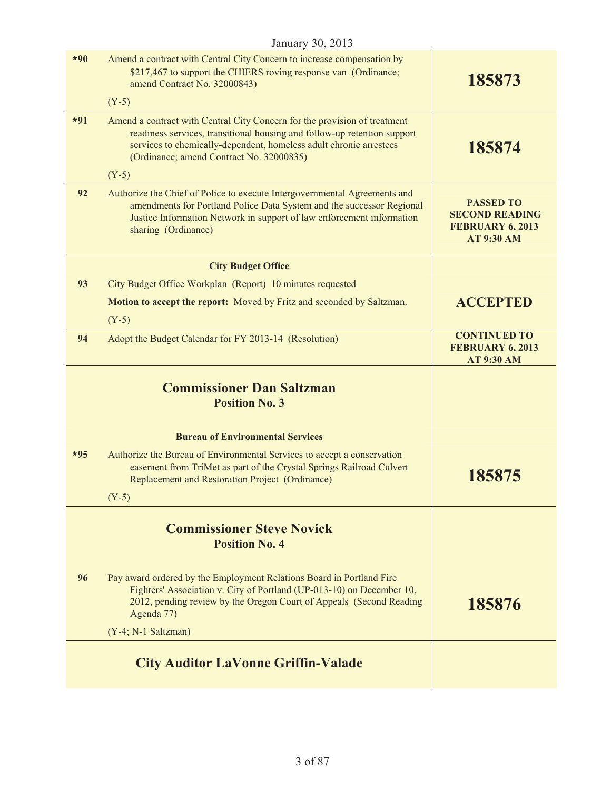| $*90$ | Amend a contract with Central City Concern to increase compensation by<br>\$217,467 to support the CHIERS roving response van (Ordinance;<br>amend Contract No. 32000843)                                                                                               | 185873                                                                             |
|-------|-------------------------------------------------------------------------------------------------------------------------------------------------------------------------------------------------------------------------------------------------------------------------|------------------------------------------------------------------------------------|
|       | $(Y-5)$                                                                                                                                                                                                                                                                 |                                                                                    |
| $*91$ | Amend a contract with Central City Concern for the provision of treatment<br>readiness services, transitional housing and follow-up retention support<br>services to chemically-dependent, homeless adult chronic arrestees<br>(Ordinance; amend Contract No. 32000835) | 185874                                                                             |
|       | $(Y-5)$                                                                                                                                                                                                                                                                 |                                                                                    |
| 92    | Authorize the Chief of Police to execute Intergovernmental Agreements and<br>amendments for Portland Police Data System and the successor Regional<br>Justice Information Network in support of law enforcement information<br>sharing (Ordinance)                      | <b>PASSED TO</b><br><b>SECOND READING</b><br>FEBRUARY 6, 2013<br><b>AT 9:30 AM</b> |
|       | <b>City Budget Office</b>                                                                                                                                                                                                                                               |                                                                                    |
| 93    | City Budget Office Workplan (Report) 10 minutes requested                                                                                                                                                                                                               |                                                                                    |
|       | Motion to accept the report: Moved by Fritz and seconded by Saltzman.<br>$(Y-5)$                                                                                                                                                                                        | <b>ACCEPTED</b>                                                                    |
| 94    | Adopt the Budget Calendar for FY 2013-14 (Resolution)                                                                                                                                                                                                                   | <b>CONTINUED TO</b><br>FEBRUARY 6, 2013<br><b>AT 9:30 AM</b>                       |
|       | <b>Commissioner Dan Saltzman</b><br><b>Position No. 3</b>                                                                                                                                                                                                               |                                                                                    |
|       | <b>Bureau of Environmental Services</b>                                                                                                                                                                                                                                 |                                                                                    |
|       |                                                                                                                                                                                                                                                                         |                                                                                    |
| $*95$ | Authorize the Bureau of Environmental Services to accept a conservation<br>easement from TriMet as part of the Crystal Springs Railroad Culvert<br>Replacement and Restoration Project (Ordinance)                                                                      | 185875                                                                             |
|       | $(Y-5)$                                                                                                                                                                                                                                                                 |                                                                                    |
|       | <b>Commissioner Steve Novick</b><br><b>Position No. 4</b>                                                                                                                                                                                                               |                                                                                    |
| 96    | Pay award ordered by the Employment Relations Board in Portland Fire<br>Fighters' Association v. City of Portland (UP-013-10) on December 10,<br>2012, pending review by the Oregon Court of Appeals (Second Reading<br>Agenda 77)                                      | 185876                                                                             |
|       | $(Y-4; N-1$ Saltzman)                                                                                                                                                                                                                                                   |                                                                                    |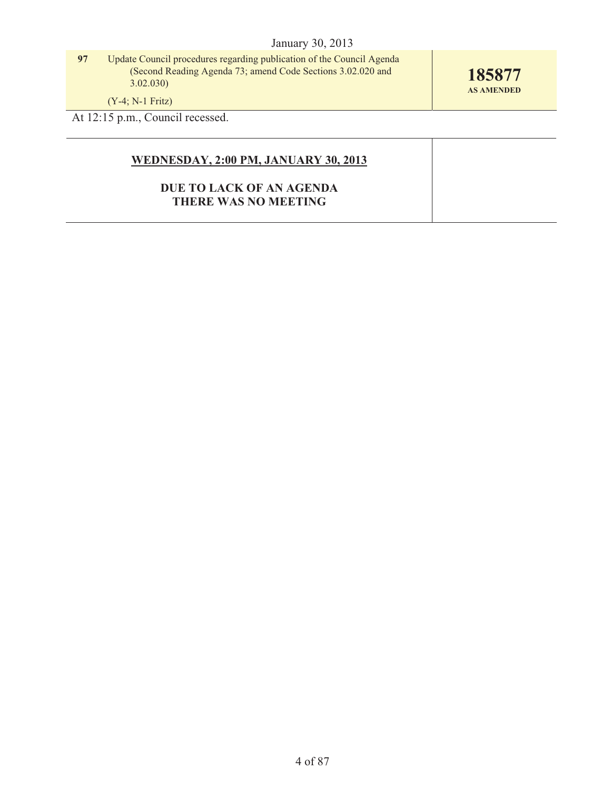**97** Update Council procedures regarding publication of the Council Agenda (Second Reading Agenda 73; amend Code Sections 3.02.020 and  $3.02.030$ 

**185877 AS AMENDED** 

(Y-4; N-1 Fritz)

At 12:15 p.m., Council recessed.

## **WEDNESDAY, 2:00 PM, JANUARY 30, 2013**

## **DUE TO LACK OF AN AGENDA THERE WAS NO MEETING**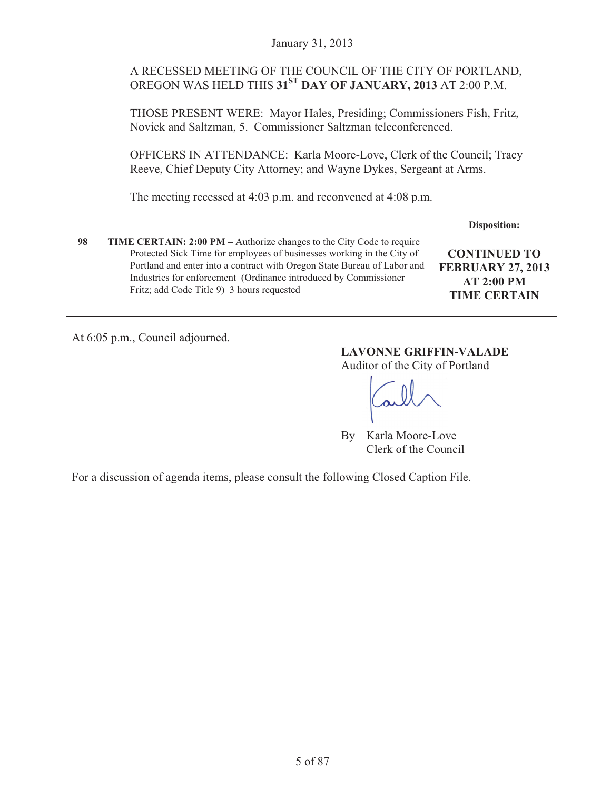## A RECESSED MEETING OF THE COUNCIL OF THE CITY OF PORTLAND, OREGON WAS HELD THIS **31ST DAY OF JANUARY, 2013** AT 2:00 P.M.

THOSE PRESENT WERE: Mayor Hales, Presiding; Commissioners Fish, Fritz, Novick and Saltzman, 5. Commissioner Saltzman teleconferenced.

OFFICERS IN ATTENDANCE: Karla Moore-Love, Clerk of the Council; Tracy Reeve, Chief Deputy City Attorney; and Wayne Dykes, Sergeant at Arms.

The meeting recessed at 4:03 p.m. and reconvened at 4:08 p.m.

|    |                                                                                                                                                                                                                                                                                                                                                      | Disposition:                                                                                |
|----|------------------------------------------------------------------------------------------------------------------------------------------------------------------------------------------------------------------------------------------------------------------------------------------------------------------------------------------------------|---------------------------------------------------------------------------------------------|
| 98 | <b>TIME CERTAIN: 2:00 PM</b> – Authorize changes to the City Code to require<br>Protected Sick Time for employees of businesses working in the City of<br>Portland and enter into a contract with Oregon State Bureau of Labor and<br>Industries for enforcement (Ordinance introduced by Commissioner<br>Fritz; add Code Title 9) 3 hours requested | <b>CONTINUED TO</b><br><b>FEBRUARY 27, 2013</b><br><b>AT 2:00 PM</b><br><b>TIME CERTAIN</b> |

At 6:05 p.m., Council adjourned.

#### **LAVONNE GRIFFIN-VALADE**  Auditor of the City of Portland

By Karla Moore-Love Clerk of the Council

For a discussion of agenda items, please consult the following Closed Caption File.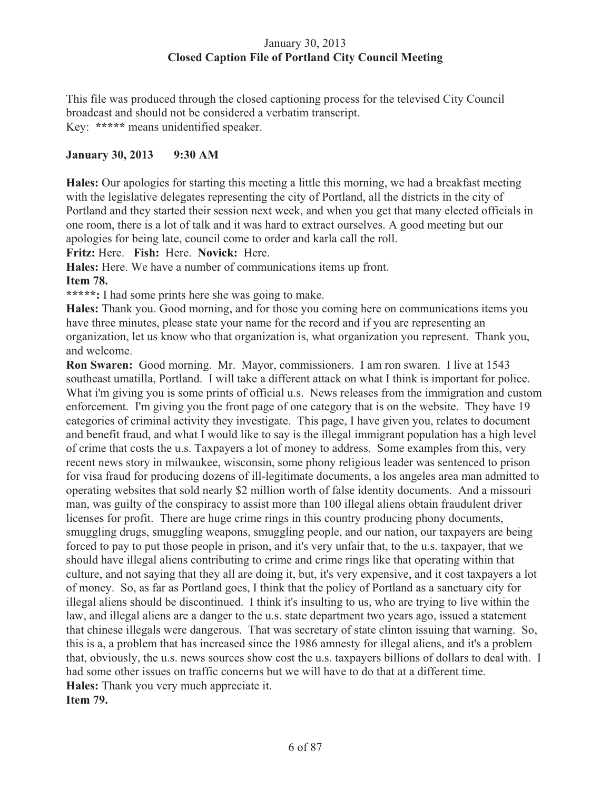## January 30, 2013 **Closed Caption File of Portland City Council Meeting**

This file was produced through the closed captioning process for the televised City Council broadcast and should not be considered a verbatim transcript. Key: **\*\*\*\*\*** means unidentified speaker.

## **January 30, 2013 9:30 AM**

**Hales:** Our apologies for starting this meeting a little this morning, we had a breakfast meeting with the legislative delegates representing the city of Portland, all the districts in the city of Portland and they started their session next week, and when you get that many elected officials in one room, there is a lot of talk and it was hard to extract ourselves. A good meeting but our apologies for being late, council come to order and karla call the roll.

**Fritz:** Here. **Fish:** Here. **Novick:** Here.

**Hales:** Here. We have a number of communications items up front.

#### **Item 78.**

**\*\*\*\*\*:** I had some prints here she was going to make.

**Hales:** Thank you. Good morning, and for those you coming here on communications items you have three minutes, please state your name for the record and if you are representing an organization, let us know who that organization is, what organization you represent. Thank you, and welcome.

**Ron Swaren:** Good morning. Mr. Mayor, commissioners. I am ron swaren. I live at 1543 southeast umatilla, Portland. I will take a different attack on what I think is important for police. What i'm giving you is some prints of official u.s. News releases from the immigration and custom enforcement. I'm giving you the front page of one category that is on the website. They have 19 categories of criminal activity they investigate. This page, I have given you, relates to document and benefit fraud, and what I would like to say is the illegal immigrant population has a high level of crime that costs the u.s. Taxpayers a lot of money to address. Some examples from this, very recent news story in milwaukee, wisconsin, some phony religious leader was sentenced to prison for visa fraud for producing dozens of ill-legitimate documents, a los angeles area man admitted to operating websites that sold nearly \$2 million worth of false identity documents. And a missouri man, was guilty of the conspiracy to assist more than 100 illegal aliens obtain fraudulent driver licenses for profit. There are huge crime rings in this country producing phony documents, smuggling drugs, smuggling weapons, smuggling people, and our nation, our taxpayers are being forced to pay to put those people in prison, and it's very unfair that, to the u.s. taxpayer, that we should have illegal aliens contributing to crime and crime rings like that operating within that culture, and not saying that they all are doing it, but, it's very expensive, and it cost taxpayers a lot of money. So, as far as Portland goes, I think that the policy of Portland as a sanctuary city for illegal aliens should be discontinued. I think it's insulting to us, who are trying to live within the law, and illegal aliens are a danger to the u.s. state department two years ago, issued a statement that chinese illegals were dangerous. That was secretary of state clinton issuing that warning. So, this is a, a problem that has increased since the 1986 amnesty for illegal aliens, and it's a problem that, obviously, the u.s. news sources show cost the u.s. taxpayers billions of dollars to deal with. I had some other issues on traffic concerns but we will have to do that at a different time. **Hales:** Thank you very much appreciate it. **Item 79.**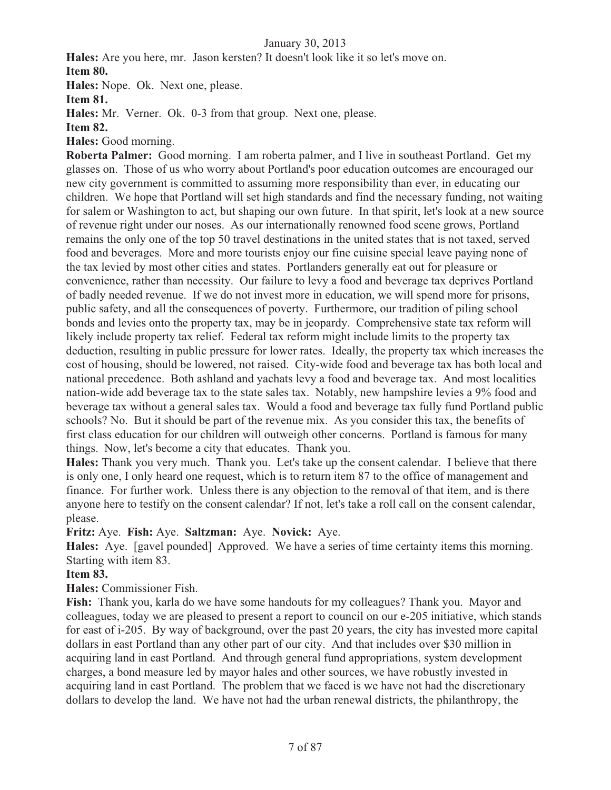**Hales:** Are you here, mr. Jason kersten? It doesn't look like it so let's move on. **Item 80.**

**Hales:** Nope. Ok. Next one, please.

**Item 81.**

**Hales:** Mr. Verner. Ok. 0-3 from that group. Next one, please.

**Item 82.** 

**Hales:** Good morning.

**Roberta Palmer:** Good morning. I am roberta palmer, and I live in southeast Portland. Get my glasses on. Those of us who worry about Portland's poor education outcomes are encouraged our new city government is committed to assuming more responsibility than ever, in educating our children. We hope that Portland will set high standards and find the necessary funding, not waiting for salem or Washington to act, but shaping our own future. In that spirit, let's look at a new source of revenue right under our noses. As our internationally renowned food scene grows, Portland remains the only one of the top 50 travel destinations in the united states that is not taxed, served food and beverages. More and more tourists enjoy our fine cuisine special leave paying none of the tax levied by most other cities and states. Portlanders generally eat out for pleasure or convenience, rather than necessity. Our failure to levy a food and beverage tax deprives Portland of badly needed revenue. If we do not invest more in education, we will spend more for prisons, public safety, and all the consequences of poverty. Furthermore, our tradition of piling school bonds and levies onto the property tax, may be in jeopardy. Comprehensive state tax reform will likely include property tax relief. Federal tax reform might include limits to the property tax deduction, resulting in public pressure for lower rates. Ideally, the property tax which increases the cost of housing, should be lowered, not raised. City-wide food and beverage tax has both local and national precedence. Both ashland and yachats levy a food and beverage tax. And most localities nation-wide add beverage tax to the state sales tax. Notably, new hampshire levies a 9% food and beverage tax without a general sales tax. Would a food and beverage tax fully fund Portland public schools? No. But it should be part of the revenue mix. As you consider this tax, the benefits of first class education for our children will outweigh other concerns. Portland is famous for many things. Now, let's become a city that educates. Thank you.

**Hales:** Thank you very much. Thank you. Let's take up the consent calendar. I believe that there is only one, I only heard one request, which is to return item 87 to the office of management and finance. For further work. Unless there is any objection to the removal of that item, and is there anyone here to testify on the consent calendar? If not, let's take a roll call on the consent calendar, please.

**Fritz:** Aye. **Fish:** Aye. **Saltzman:** Aye. **Novick:** Aye.

**Hales:** Aye. [gavel pounded] Approved. We have a series of time certainty items this morning. Starting with item 83.

## **Item 83.**

**Hales:** Commissioner Fish.

**Fish:** Thank you, karla do we have some handouts for my colleagues? Thank you. Mayor and colleagues, today we are pleased to present a report to council on our e-205 initiative, which stands for east of i-205. By way of background, over the past 20 years, the city has invested more capital dollars in east Portland than any other part of our city. And that includes over \$30 million in acquiring land in east Portland. And through general fund appropriations, system development charges, a bond measure led by mayor hales and other sources, we have robustly invested in acquiring land in east Portland. The problem that we faced is we have not had the discretionary dollars to develop the land. We have not had the urban renewal districts, the philanthropy, the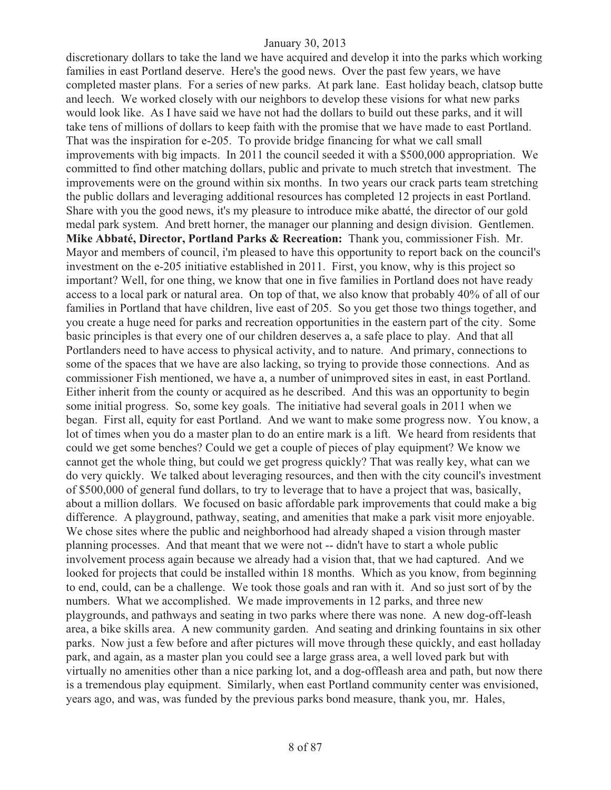discretionary dollars to take the land we have acquired and develop it into the parks which working families in east Portland deserve. Here's the good news. Over the past few years, we have completed master plans. For a series of new parks. At park lane. East holiday beach, clatsop butte and leech. We worked closely with our neighbors to develop these visions for what new parks would look like. As I have said we have not had the dollars to build out these parks, and it will take tens of millions of dollars to keep faith with the promise that we have made to east Portland. That was the inspiration for e-205. To provide bridge financing for what we call small improvements with big impacts. In 2011 the council seeded it with a \$500,000 appropriation. We committed to find other matching dollars, public and private to much stretch that investment. The improvements were on the ground within six months. In two years our crack parts team stretching the public dollars and leveraging additional resources has completed 12 projects in east Portland. Share with you the good news, it's my pleasure to introduce mike abatté, the director of our gold medal park system. And brett horner, the manager our planning and design division. Gentlemen. **Mike Abbaté, Director, Portland Parks & Recreation:** Thank you, commissioner Fish. Mr. Mayor and members of council, i'm pleased to have this opportunity to report back on the council's investment on the e-205 initiative established in 2011. First, you know, why is this project so important? Well, for one thing, we know that one in five families in Portland does not have ready access to a local park or natural area. On top of that, we also know that probably 40% of all of our families in Portland that have children, live east of 205. So you get those two things together, and you create a huge need for parks and recreation opportunities in the eastern part of the city. Some basic principles is that every one of our children deserves a, a safe place to play. And that all Portlanders need to have access to physical activity, and to nature. And primary, connections to some of the spaces that we have are also lacking, so trying to provide those connections. And as commissioner Fish mentioned, we have a, a number of unimproved sites in east, in east Portland. Either inherit from the county or acquired as he described. And this was an opportunity to begin some initial progress. So, some key goals. The initiative had several goals in 2011 when we began. First all, equity for east Portland. And we want to make some progress now. You know, a lot of times when you do a master plan to do an entire mark is a lift. We heard from residents that could we get some benches? Could we get a couple of pieces of play equipment? We know we cannot get the whole thing, but could we get progress quickly? That was really key, what can we do very quickly. We talked about leveraging resources, and then with the city council's investment of \$500,000 of general fund dollars, to try to leverage that to have a project that was, basically, about a million dollars. We focused on basic affordable park improvements that could make a big difference. A playground, pathway, seating, and amenities that make a park visit more enjoyable. We chose sites where the public and neighborhood had already shaped a vision through master planning processes. And that meant that we were not -- didn't have to start a whole public involvement process again because we already had a vision that, that we had captured. And we looked for projects that could be installed within 18 months. Which as you know, from beginning to end, could, can be a challenge. We took those goals and ran with it. And so just sort of by the numbers. What we accomplished. We made improvements in 12 parks, and three new playgrounds, and pathways and seating in two parks where there was none. A new dog-off-leash area, a bike skills area. A new community garden. And seating and drinking fountains in six other parks. Now just a few before and after pictures will move through these quickly, and east holladay park, and again, as a master plan you could see a large grass area, a well loved park but with virtually no amenities other than a nice parking lot, and a dog-offleash area and path, but now there is a tremendous play equipment. Similarly, when east Portland community center was envisioned, years ago, and was, was funded by the previous parks bond measure, thank you, mr. Hales,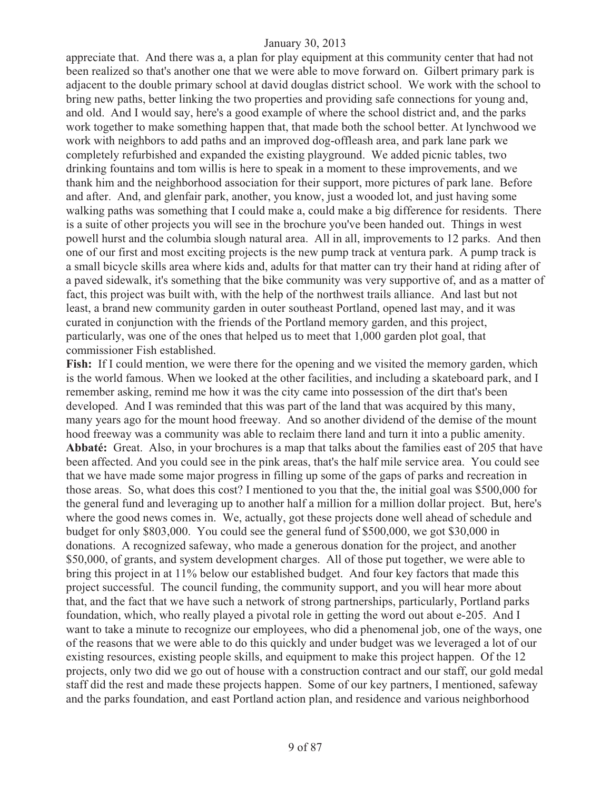appreciate that. And there was a, a plan for play equipment at this community center that had not been realized so that's another one that we were able to move forward on. Gilbert primary park is adjacent to the double primary school at david douglas district school. We work with the school to bring new paths, better linking the two properties and providing safe connections for young and, and old. And I would say, here's a good example of where the school district and, and the parks work together to make something happen that, that made both the school better. At lynchwood we work with neighbors to add paths and an improved dog-offleash area, and park lane park we completely refurbished and expanded the existing playground. We added picnic tables, two drinking fountains and tom willis is here to speak in a moment to these improvements, and we thank him and the neighborhood association for their support, more pictures of park lane. Before and after. And, and glenfair park, another, you know, just a wooded lot, and just having some walking paths was something that I could make a, could make a big difference for residents. There is a suite of other projects you will see in the brochure you've been handed out. Things in west powell hurst and the columbia slough natural area. All in all, improvements to 12 parks. And then one of our first and most exciting projects is the new pump track at ventura park. A pump track is a small bicycle skills area where kids and, adults for that matter can try their hand at riding after of a paved sidewalk, it's something that the bike community was very supportive of, and as a matter of fact, this project was built with, with the help of the northwest trails alliance. And last but not least, a brand new community garden in outer southeast Portland, opened last may, and it was curated in conjunction with the friends of the Portland memory garden, and this project, particularly, was one of the ones that helped us to meet that 1,000 garden plot goal, that commissioner Fish established.

Fish: If I could mention, we were there for the opening and we visited the memory garden, which is the world famous. When we looked at the other facilities, and including a skateboard park, and I remember asking, remind me how it was the city came into possession of the dirt that's been developed. And I was reminded that this was part of the land that was acquired by this many, many years ago for the mount hood freeway. And so another dividend of the demise of the mount hood freeway was a community was able to reclaim there land and turn it into a public amenity. **Abbaté:** Great. Also, in your brochures is a map that talks about the families east of 205 that have been affected. And you could see in the pink areas, that's the half mile service area. You could see that we have made some major progress in filling up some of the gaps of parks and recreation in those areas. So, what does this cost? I mentioned to you that the, the initial goal was \$500,000 for the general fund and leveraging up to another half a million for a million dollar project. But, here's where the good news comes in. We, actually, got these projects done well ahead of schedule and budget for only \$803,000. You could see the general fund of \$500,000, we got \$30,000 in donations. A recognized safeway, who made a generous donation for the project, and another \$50,000, of grants, and system development charges. All of those put together, we were able to bring this project in at 11% below our established budget. And four key factors that made this project successful. The council funding, the community support, and you will hear more about that, and the fact that we have such a network of strong partnerships, particularly, Portland parks foundation, which, who really played a pivotal role in getting the word out about e-205. And I want to take a minute to recognize our employees, who did a phenomenal job, one of the ways, one of the reasons that we were able to do this quickly and under budget was we leveraged a lot of our existing resources, existing people skills, and equipment to make this project happen. Of the 12 projects, only two did we go out of house with a construction contract and our staff, our gold medal staff did the rest and made these projects happen. Some of our key partners, I mentioned, safeway and the parks foundation, and east Portland action plan, and residence and various neighborhood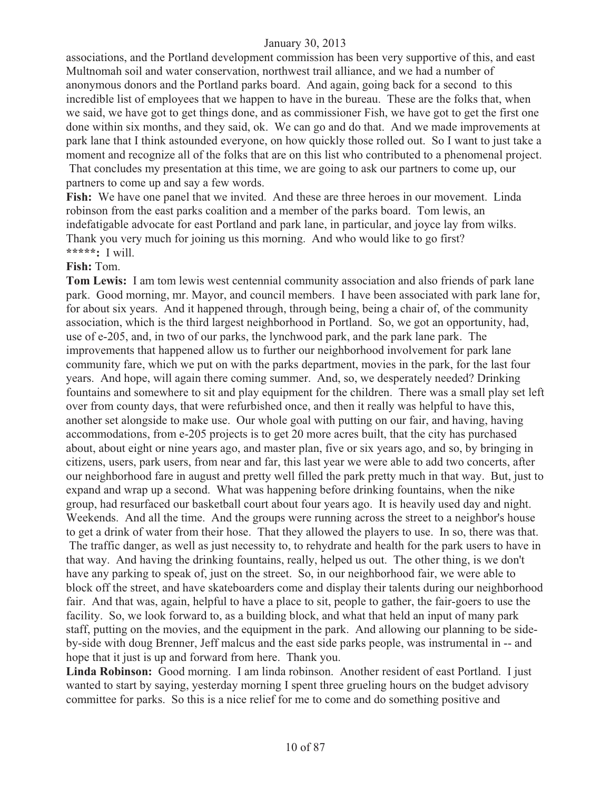associations, and the Portland development commission has been very supportive of this, and east Multnomah soil and water conservation, northwest trail alliance, and we had a number of anonymous donors and the Portland parks board. And again, going back for a second to this incredible list of employees that we happen to have in the bureau. These are the folks that, when we said, we have got to get things done, and as commissioner Fish, we have got to get the first one done within six months, and they said, ok. We can go and do that. And we made improvements at park lane that I think astounded everyone, on how quickly those rolled out. So I want to just take a moment and recognize all of the folks that are on this list who contributed to a phenomenal project. That concludes my presentation at this time, we are going to ask our partners to come up, our partners to come up and say a few words.

Fish: We have one panel that we invited. And these are three heroes in our movement. Linda robinson from the east parks coalition and a member of the parks board. Tom lewis, an indefatigable advocate for east Portland and park lane, in particular, and joyce lay from wilks. Thank you very much for joining us this morning. And who would like to go first? **\*\*\*\*\*:** I will.

#### **Fish:** Tom.

**Tom Lewis:** I am tom lewis west centennial community association and also friends of park lane park. Good morning, mr. Mayor, and council members. I have been associated with park lane for, for about six years. And it happened through, through being, being a chair of, of the community association, which is the third largest neighborhood in Portland. So, we got an opportunity, had, use of e-205, and, in two of our parks, the lynchwood park, and the park lane park. The improvements that happened allow us to further our neighborhood involvement for park lane community fare, which we put on with the parks department, movies in the park, for the last four years. And hope, will again there coming summer. And, so, we desperately needed? Drinking fountains and somewhere to sit and play equipment for the children. There was a small play set left over from county days, that were refurbished once, and then it really was helpful to have this, another set alongside to make use. Our whole goal with putting on our fair, and having, having accommodations, from e-205 projects is to get 20 more acres built, that the city has purchased about, about eight or nine years ago, and master plan, five or six years ago, and so, by bringing in citizens, users, park users, from near and far, this last year we were able to add two concerts, after our neighborhood fare in august and pretty well filled the park pretty much in that way. But, just to expand and wrap up a second. What was happening before drinking fountains, when the nike group, had resurfaced our basketball court about four years ago. It is heavily used day and night. Weekends. And all the time. And the groups were running across the street to a neighbor's house to get a drink of water from their hose. That they allowed the players to use. In so, there was that. The traffic danger, as well as just necessity to, to rehydrate and health for the park users to have in that way. And having the drinking fountains, really, helped us out. The other thing, is we don't have any parking to speak of, just on the street. So, in our neighborhood fair, we were able to block off the street, and have skateboarders come and display their talents during our neighborhood fair. And that was, again, helpful to have a place to sit, people to gather, the fair-goers to use the facility. So, we look forward to, as a building block, and what that held an input of many park staff, putting on the movies, and the equipment in the park. And allowing our planning to be sideby-side with doug Brenner, Jeff malcus and the east side parks people, was instrumental in -- and hope that it just is up and forward from here. Thank you.

**Linda Robinson:** Good morning. I am linda robinson. Another resident of east Portland. I just wanted to start by saying, yesterday morning I spent three grueling hours on the budget advisory committee for parks. So this is a nice relief for me to come and do something positive and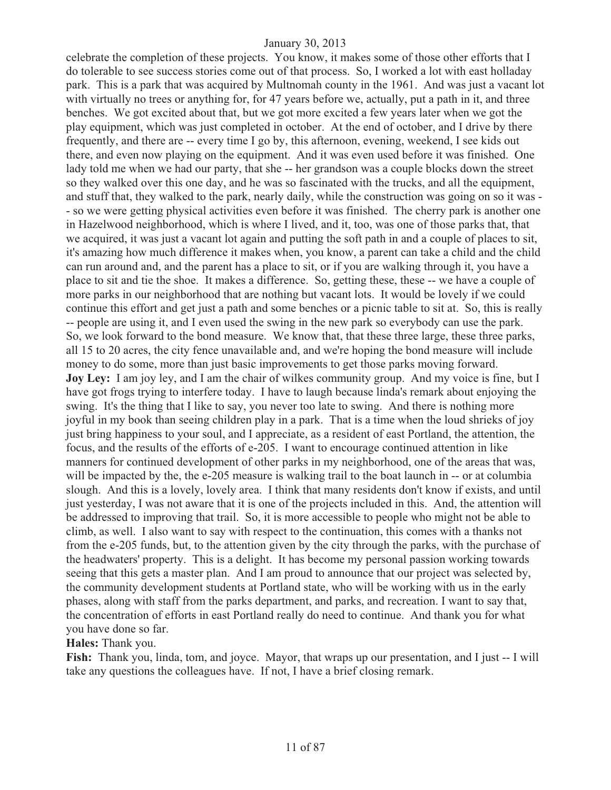celebrate the completion of these projects. You know, it makes some of those other efforts that I do tolerable to see success stories come out of that process. So, I worked a lot with east holladay park. This is a park that was acquired by Multnomah county in the 1961. And was just a vacant lot with virtually no trees or anything for, for 47 years before we, actually, put a path in it, and three benches. We got excited about that, but we got more excited a few years later when we got the play equipment, which was just completed in october. At the end of october, and I drive by there frequently, and there are -- every time I go by, this afternoon, evening, weekend, I see kids out there, and even now playing on the equipment. And it was even used before it was finished. One lady told me when we had our party, that she -- her grandson was a couple blocks down the street so they walked over this one day, and he was so fascinated with the trucks, and all the equipment, and stuff that, they walked to the park, nearly daily, while the construction was going on so it was - - so we were getting physical activities even before it was finished. The cherry park is another one in Hazelwood neighborhood, which is where I lived, and it, too, was one of those parks that, that we acquired, it was just a vacant lot again and putting the soft path in and a couple of places to sit, it's amazing how much difference it makes when, you know, a parent can take a child and the child can run around and, and the parent has a place to sit, or if you are walking through it, you have a place to sit and tie the shoe. It makes a difference. So, getting these, these -- we have a couple of more parks in our neighborhood that are nothing but vacant lots. It would be lovely if we could continue this effort and get just a path and some benches or a picnic table to sit at. So, this is really -- people are using it, and I even used the swing in the new park so everybody can use the park. So, we look forward to the bond measure. We know that, that these three large, these three parks, all 15 to 20 acres, the city fence unavailable and, and we're hoping the bond measure will include money to do some, more than just basic improvements to get those parks moving forward. **Joy Ley:** I am joy ley, and I am the chair of wilkes community group. And my voice is fine, but I have got frogs trying to interfere today. I have to laugh because linda's remark about enjoying the swing. It's the thing that I like to say, you never too late to swing. And there is nothing more joyful in my book than seeing children play in a park. That is a time when the loud shrieks of joy just bring happiness to your soul, and I appreciate, as a resident of east Portland, the attention, the focus, and the results of the efforts of e-205. I want to encourage continued attention in like manners for continued development of other parks in my neighborhood, one of the areas that was, will be impacted by the, the e-205 measure is walking trail to the boat launch in -- or at columbia slough. And this is a lovely, lovely area. I think that many residents don't know if exists, and until just yesterday, I was not aware that it is one of the projects included in this. And, the attention will be addressed to improving that trail. So, it is more accessible to people who might not be able to climb, as well. I also want to say with respect to the continuation, this comes with a thanks not from the e-205 funds, but, to the attention given by the city through the parks, with the purchase of the headwaters' property. This is a delight. It has become my personal passion working towards seeing that this gets a master plan. And I am proud to announce that our project was selected by, the community development students at Portland state, who will be working with us in the early phases, along with staff from the parks department, and parks, and recreation. I want to say that, the concentration of efforts in east Portland really do need to continue. And thank you for what you have done so far.

**Hales:** Thank you.

**Fish:** Thank you, linda, tom, and joyce. Mayor, that wraps up our presentation, and I just -- I will take any questions the colleagues have. If not, I have a brief closing remark.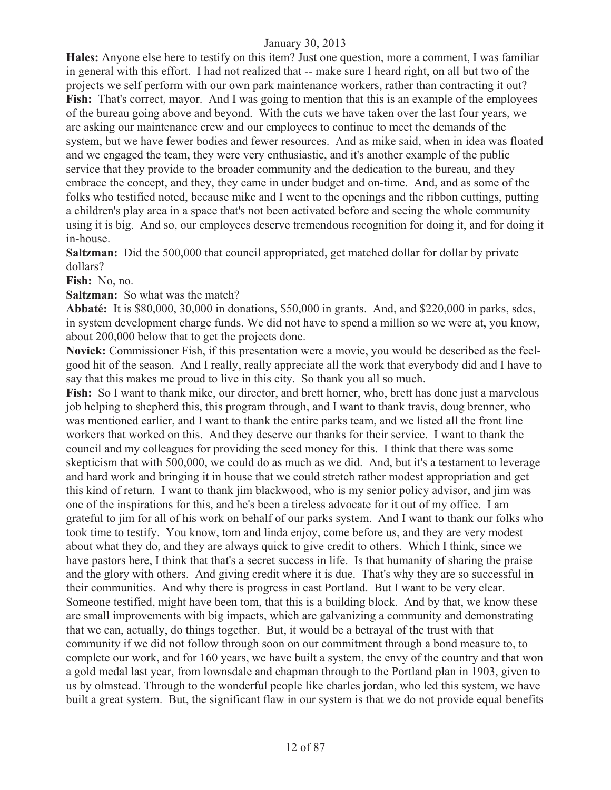**Hales:** Anyone else here to testify on this item? Just one question, more a comment, I was familiar in general with this effort. I had not realized that -- make sure I heard right, on all but two of the projects we self perform with our own park maintenance workers, rather than contracting it out? Fish: That's correct, mayor. And I was going to mention that this is an example of the employees of the bureau going above and beyond. With the cuts we have taken over the last four years, we are asking our maintenance crew and our employees to continue to meet the demands of the system, but we have fewer bodies and fewer resources. And as mike said, when in idea was floated and we engaged the team, they were very enthusiastic, and it's another example of the public service that they provide to the broader community and the dedication to the bureau, and they embrace the concept, and they, they came in under budget and on-time. And, and as some of the folks who testified noted, because mike and I went to the openings and the ribbon cuttings, putting a children's play area in a space that's not been activated before and seeing the whole community using it is big. And so, our employees deserve tremendous recognition for doing it, and for doing it in-house.

**Saltzman:** Did the 500,000 that council appropriated, get matched dollar for dollar by private dollars?

**Fish:** No, no.

**Saltzman:** So what was the match?

**Abbaté:** It is \$80,000, 30,000 in donations, \$50,000 in grants. And, and \$220,000 in parks, sdcs, in system development charge funds. We did not have to spend a million so we were at, you know, about 200,000 below that to get the projects done.

**Novick:** Commissioner Fish, if this presentation were a movie, you would be described as the feelgood hit of the season. And I really, really appreciate all the work that everybody did and I have to say that this makes me proud to live in this city. So thank you all so much.

**Fish:** So I want to thank mike, our director, and brett horner, who, brett has done just a marvelous job helping to shepherd this, this program through, and I want to thank travis, doug brenner, who was mentioned earlier, and I want to thank the entire parks team, and we listed all the front line workers that worked on this. And they deserve our thanks for their service. I want to thank the council and my colleagues for providing the seed money for this. I think that there was some skepticism that with 500,000, we could do as much as we did. And, but it's a testament to leverage and hard work and bringing it in house that we could stretch rather modest appropriation and get this kind of return. I want to thank jim blackwood, who is my senior policy advisor, and jim was one of the inspirations for this, and he's been a tireless advocate for it out of my office. I am grateful to jim for all of his work on behalf of our parks system. And I want to thank our folks who took time to testify. You know, tom and linda enjoy, come before us, and they are very modest about what they do, and they are always quick to give credit to others. Which I think, since we have pastors here, I think that that's a secret success in life. Is that humanity of sharing the praise and the glory with others. And giving credit where it is due. That's why they are so successful in their communities. And why there is progress in east Portland. But I want to be very clear. Someone testified, might have been tom, that this is a building block. And by that, we know these are small improvements with big impacts, which are galvanizing a community and demonstrating that we can, actually, do things together. But, it would be a betrayal of the trust with that community if we did not follow through soon on our commitment through a bond measure to, to complete our work, and for 160 years, we have built a system, the envy of the country and that won a gold medal last year, from lownsdale and chapman through to the Portland plan in 1903, given to us by olmstead. Through to the wonderful people like charles jordan, who led this system, we have built a great system. But, the significant flaw in our system is that we do not provide equal benefits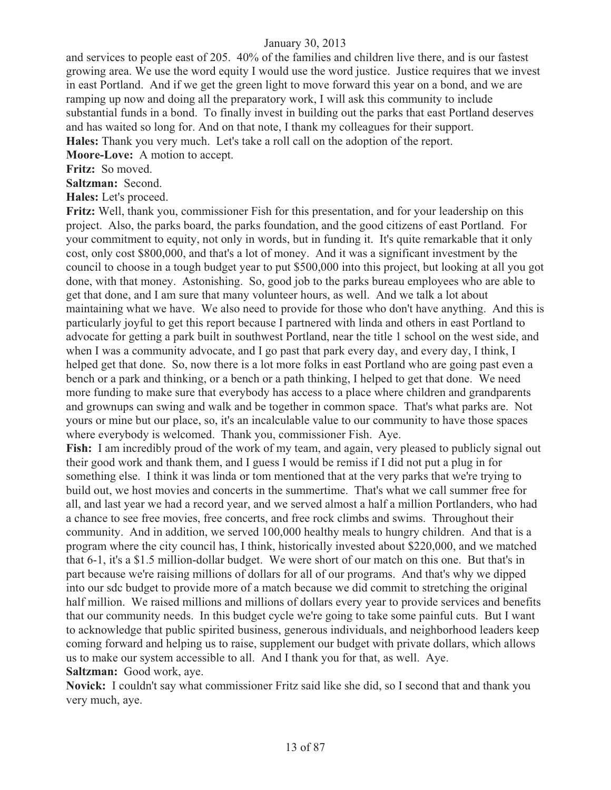and services to people east of 205. 40% of the families and children live there, and is our fastest growing area. We use the word equity I would use the word justice. Justice requires that we invest in east Portland. And if we get the green light to move forward this year on a bond, and we are ramping up now and doing all the preparatory work, I will ask this community to include substantial funds in a bond. To finally invest in building out the parks that east Portland deserves and has waited so long for. And on that note, I thank my colleagues for their support. **Hales:** Thank you very much. Let's take a roll call on the adoption of the report.

**Moore-Love:** A motion to accept.

**Fritz:** So moved.

**Saltzman:** Second.

**Hales:** Let's proceed.

**Fritz:** Well, thank you, commissioner Fish for this presentation, and for your leadership on this project. Also, the parks board, the parks foundation, and the good citizens of east Portland. For your commitment to equity, not only in words, but in funding it. It's quite remarkable that it only cost, only cost \$800,000, and that's a lot of money. And it was a significant investment by the council to choose in a tough budget year to put \$500,000 into this project, but looking at all you got done, with that money. Astonishing. So, good job to the parks bureau employees who are able to get that done, and I am sure that many volunteer hours, as well. And we talk a lot about maintaining what we have. We also need to provide for those who don't have anything. And this is particularly joyful to get this report because I partnered with linda and others in east Portland to advocate for getting a park built in southwest Portland, near the title 1 school on the west side, and when I was a community advocate, and I go past that park every day, and every day, I think, I helped get that done. So, now there is a lot more folks in east Portland who are going past even a bench or a park and thinking, or a bench or a path thinking, I helped to get that done. We need more funding to make sure that everybody has access to a place where children and grandparents and grownups can swing and walk and be together in common space. That's what parks are. Not yours or mine but our place, so, it's an incalculable value to our community to have those spaces where everybody is welcomed. Thank you, commissioner Fish. Aye.

Fish: I am incredibly proud of the work of my team, and again, very pleased to publicly signal out their good work and thank them, and I guess I would be remiss if I did not put a plug in for something else. I think it was linda or tom mentioned that at the very parks that we're trying to build out, we host movies and concerts in the summertime. That's what we call summer free for all, and last year we had a record year, and we served almost a half a million Portlanders, who had a chance to see free movies, free concerts, and free rock climbs and swims. Throughout their community. And in addition, we served 100,000 healthy meals to hungry children. And that is a program where the city council has, I think, historically invested about \$220,000, and we matched that 6-1, it's a \$1.5 million-dollar budget. We were short of our match on this one. But that's in part because we're raising millions of dollars for all of our programs. And that's why we dipped into our sdc budget to provide more of a match because we did commit to stretching the original half million. We raised millions and millions of dollars every year to provide services and benefits that our community needs. In this budget cycle we're going to take some painful cuts. But I want to acknowledge that public spirited business, generous individuals, and neighborhood leaders keep coming forward and helping us to raise, supplement our budget with private dollars, which allows us to make our system accessible to all. And I thank you for that, as well. Aye. **Saltzman:** Good work, aye.

**Novick:** I couldn't say what commissioner Fritz said like she did, so I second that and thank you very much, aye.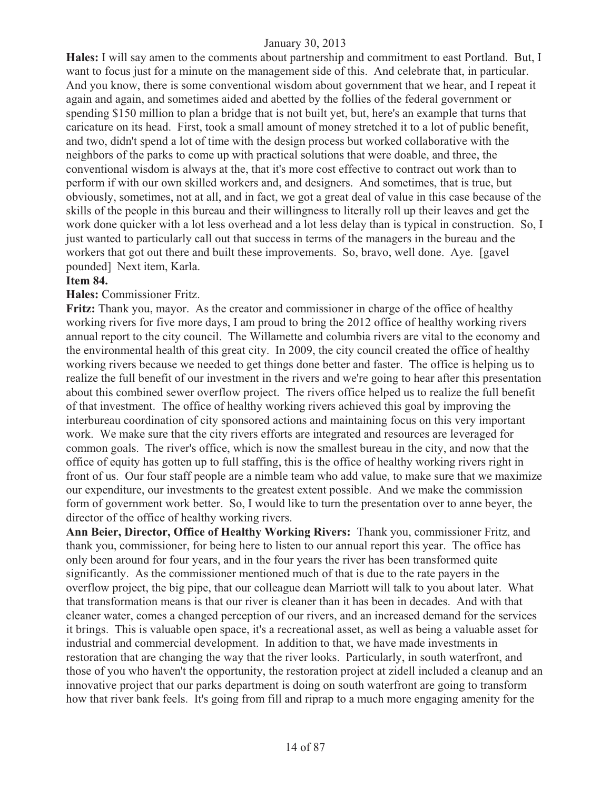**Hales:** I will say amen to the comments about partnership and commitment to east Portland. But, I want to focus just for a minute on the management side of this. And celebrate that, in particular. And you know, there is some conventional wisdom about government that we hear, and I repeat it again and again, and sometimes aided and abetted by the follies of the federal government or spending \$150 million to plan a bridge that is not built yet, but, here's an example that turns that caricature on its head. First, took a small amount of money stretched it to a lot of public benefit, and two, didn't spend a lot of time with the design process but worked collaborative with the neighbors of the parks to come up with practical solutions that were doable, and three, the conventional wisdom is always at the, that it's more cost effective to contract out work than to perform if with our own skilled workers and, and designers. And sometimes, that is true, but obviously, sometimes, not at all, and in fact, we got a great deal of value in this case because of the skills of the people in this bureau and their willingness to literally roll up their leaves and get the work done quicker with a lot less overhead and a lot less delay than is typical in construction. So, I just wanted to particularly call out that success in terms of the managers in the bureau and the workers that got out there and built these improvements. So, bravo, well done. Aye. [gavel pounded] Next item, Karla.

## **Item 84.**

## **Hales:** Commissioner Fritz.

**Fritz:** Thank you, mayor. As the creator and commissioner in charge of the office of healthy working rivers for five more days, I am proud to bring the 2012 office of healthy working rivers annual report to the city council. The Willamette and columbia rivers are vital to the economy and the environmental health of this great city. In 2009, the city council created the office of healthy working rivers because we needed to get things done better and faster. The office is helping us to realize the full benefit of our investment in the rivers and we're going to hear after this presentation about this combined sewer overflow project. The rivers office helped us to realize the full benefit of that investment. The office of healthy working rivers achieved this goal by improving the interbureau coordination of city sponsored actions and maintaining focus on this very important work. We make sure that the city rivers efforts are integrated and resources are leveraged for common goals. The river's office, which is now the smallest bureau in the city, and now that the office of equity has gotten up to full staffing, this is the office of healthy working rivers right in front of us. Our four staff people are a nimble team who add value, to make sure that we maximize our expenditure, our investments to the greatest extent possible. And we make the commission form of government work better. So, I would like to turn the presentation over to anne beyer, the director of the office of healthy working rivers.

**Ann Beier, Director, Office of Healthy Working Rivers:** Thank you, commissioner Fritz, and thank you, commissioner, for being here to listen to our annual report this year. The office has only been around for four years, and in the four years the river has been transformed quite significantly. As the commissioner mentioned much of that is due to the rate payers in the overflow project, the big pipe, that our colleague dean Marriott will talk to you about later. What that transformation means is that our river is cleaner than it has been in decades. And with that cleaner water, comes a changed perception of our rivers, and an increased demand for the services it brings. This is valuable open space, it's a recreational asset, as well as being a valuable asset for industrial and commercial development. In addition to that, we have made investments in restoration that are changing the way that the river looks. Particularly, in south waterfront, and those of you who haven't the opportunity, the restoration project at zidell included a cleanup and an innovative project that our parks department is doing on south waterfront are going to transform how that river bank feels. It's going from fill and riprap to a much more engaging amenity for the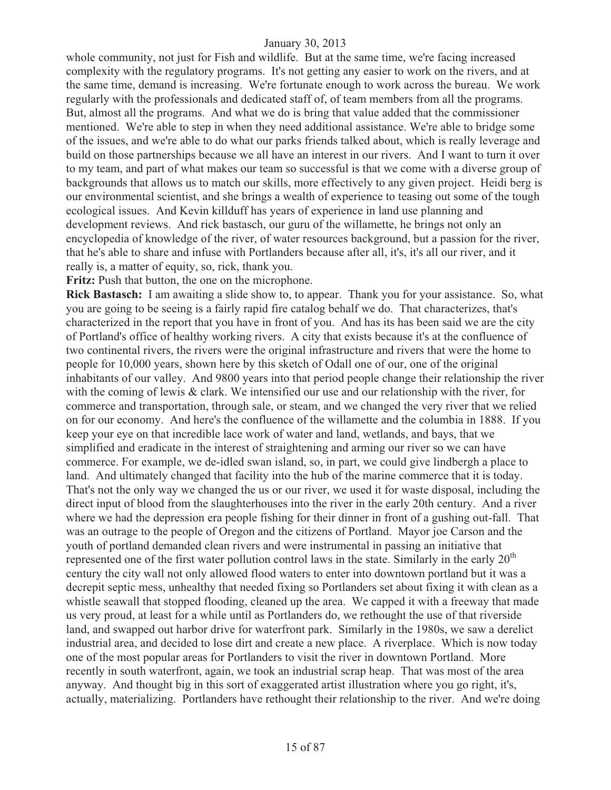whole community, not just for Fish and wildlife. But at the same time, we're facing increased complexity with the regulatory programs. It's not getting any easier to work on the rivers, and at the same time, demand is increasing. We're fortunate enough to work across the bureau. We work regularly with the professionals and dedicated staff of, of team members from all the programs. But, almost all the programs. And what we do is bring that value added that the commissioner mentioned. We're able to step in when they need additional assistance. We're able to bridge some of the issues, and we're able to do what our parks friends talked about, which is really leverage and build on those partnerships because we all have an interest in our rivers. And I want to turn it over to my team, and part of what makes our team so successful is that we come with a diverse group of backgrounds that allows us to match our skills, more effectively to any given project. Heidi berg is our environmental scientist, and she brings a wealth of experience to teasing out some of the tough ecological issues. And Kevin killduff has years of experience in land use planning and development reviews. And rick bastasch, our guru of the willamette, he brings not only an encyclopedia of knowledge of the river, of water resources background, but a passion for the river, that he's able to share and infuse with Portlanders because after all, it's, it's all our river, and it really is, a matter of equity, so, rick, thank you.

**Fritz:** Push that button, the one on the microphone.

**Rick Bastasch:** I am awaiting a slide show to, to appear. Thank you for your assistance. So, what you are going to be seeing is a fairly rapid fire catalog behalf we do. That characterizes, that's characterized in the report that you have in front of you. And has its has been said we are the city of Portland's office of healthy working rivers. A city that exists because it's at the confluence of two continental rivers, the rivers were the original infrastructure and rivers that were the home to people for 10,000 years, shown here by this sketch of Odall one of our, one of the original inhabitants of our valley. And 9800 years into that period people change their relationship the river with the coming of lewis & clark. We intensified our use and our relationship with the river, for commerce and transportation, through sale, or steam, and we changed the very river that we relied on for our economy. And here's the confluence of the willamette and the columbia in 1888. If you keep your eye on that incredible lace work of water and land, wetlands, and bays, that we simplified and eradicate in the interest of straightening and arming our river so we can have commerce. For example, we de-idled swan island, so, in part, we could give lindbergh a place to land. And ultimately changed that facility into the hub of the marine commerce that it is today. That's not the only way we changed the us or our river, we used it for waste disposal, including the direct input of blood from the slaughterhouses into the river in the early 20th century. And a river where we had the depression era people fishing for their dinner in front of a gushing out-fall. That was an outrage to the people of Oregon and the citizens of Portland. Mayor joe Carson and the youth of portland demanded clean rivers and were instrumental in passing an initiative that represented one of the first water pollution control laws in the state. Similarly in the early  $20<sup>th</sup>$ century the city wall not only allowed flood waters to enter into downtown portland but it was a decrepit septic mess, unhealthy that needed fixing so Portlanders set about fixing it with clean as a whistle seawall that stopped flooding, cleaned up the area. We capped it with a freeway that made us very proud, at least for a while until as Portlanders do, we rethought the use of that riverside land, and swapped out harbor drive for waterfront park. Similarly in the 1980s, we saw a derelict industrial area, and decided to lose dirt and create a new place. A riverplace. Which is now today one of the most popular areas for Portlanders to visit the river in downtown Portland. More recently in south waterfront, again, we took an industrial scrap heap. That was most of the area anyway. And thought big in this sort of exaggerated artist illustration where you go right, it's, actually, materializing. Portlanders have rethought their relationship to the river. And we're doing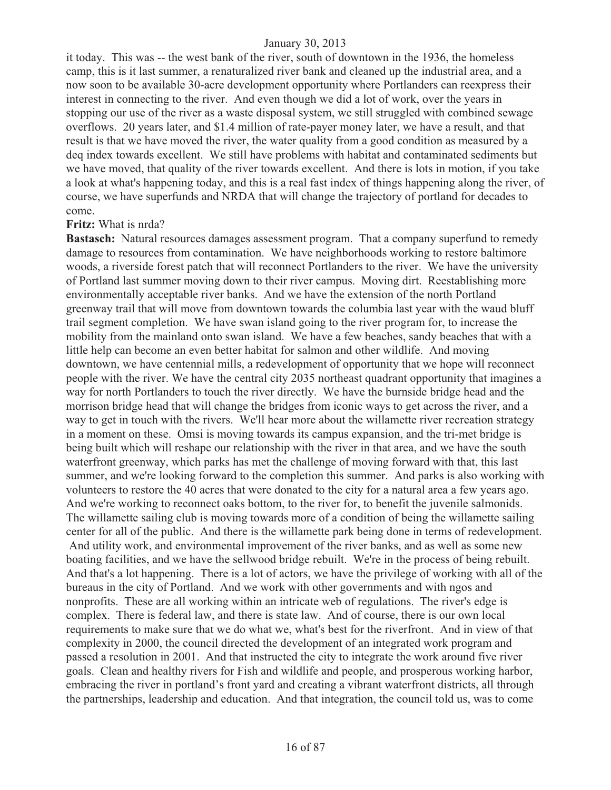it today. This was -- the west bank of the river, south of downtown in the 1936, the homeless camp, this is it last summer, a renaturalized river bank and cleaned up the industrial area, and a now soon to be available 30-acre development opportunity where Portlanders can reexpress their interest in connecting to the river. And even though we did a lot of work, over the years in stopping our use of the river as a waste disposal system, we still struggled with combined sewage overflows. 20 years later, and \$1.4 million of rate-payer money later, we have a result, and that result is that we have moved the river, the water quality from a good condition as measured by a deq index towards excellent. We still have problems with habitat and contaminated sediments but we have moved, that quality of the river towards excellent. And there is lots in motion, if you take a look at what's happening today, and this is a real fast index of things happening along the river, of course, we have superfunds and NRDA that will change the trajectory of portland for decades to come.

#### **Fritz:** What is nrda?

**Bastasch:** Natural resources damages assessment program. That a company superfund to remedy damage to resources from contamination. We have neighborhoods working to restore baltimore woods, a riverside forest patch that will reconnect Portlanders to the river. We have the university of Portland last summer moving down to their river campus. Moving dirt. Reestablishing more environmentally acceptable river banks. And we have the extension of the north Portland greenway trail that will move from downtown towards the columbia last year with the waud bluff trail segment completion. We have swan island going to the river program for, to increase the mobility from the mainland onto swan island. We have a few beaches, sandy beaches that with a little help can become an even better habitat for salmon and other wildlife. And moving downtown, we have centennial mills, a redevelopment of opportunity that we hope will reconnect people with the river. We have the central city 2035 northeast quadrant opportunity that imagines a way for north Portlanders to touch the river directly. We have the burnside bridge head and the morrison bridge head that will change the bridges from iconic ways to get across the river, and a way to get in touch with the rivers. We'll hear more about the willamette river recreation strategy in a moment on these. Omsi is moving towards its campus expansion, and the tri-met bridge is being built which will reshape our relationship with the river in that area, and we have the south waterfront greenway, which parks has met the challenge of moving forward with that, this last summer, and we're looking forward to the completion this summer. And parks is also working with volunteers to restore the 40 acres that were donated to the city for a natural area a few years ago. And we're working to reconnect oaks bottom, to the river for, to benefit the juvenile salmonids. The willamette sailing club is moving towards more of a condition of being the willamette sailing center for all of the public. And there is the willamette park being done in terms of redevelopment. And utility work, and environmental improvement of the river banks, and as well as some new boating facilities, and we have the sellwood bridge rebuilt. We're in the process of being rebuilt. And that's a lot happening. There is a lot of actors, we have the privilege of working with all of the bureaus in the city of Portland. And we work with other governments and with ngos and nonprofits. These are all working within an intricate web of regulations. The river's edge is complex. There is federal law, and there is state law. And of course, there is our own local requirements to make sure that we do what we, what's best for the riverfront. And in view of that complexity in 2000, the council directed the development of an integrated work program and passed a resolution in 2001. And that instructed the city to integrate the work around five river goals. Clean and healthy rivers for Fish and wildlife and people, and prosperous working harbor, embracing the river in portland's front yard and creating a vibrant waterfront districts, all through the partnerships, leadership and education. And that integration, the council told us, was to come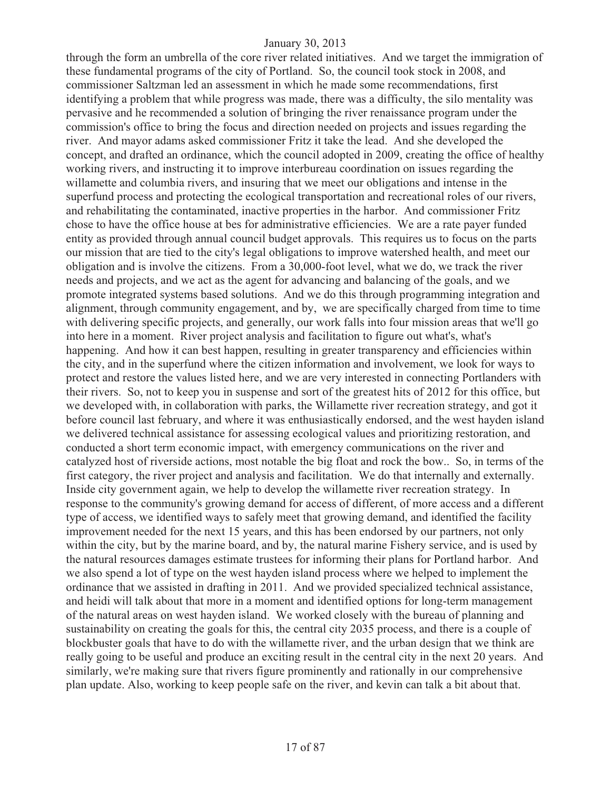through the form an umbrella of the core river related initiatives. And we target the immigration of these fundamental programs of the city of Portland. So, the council took stock in 2008, and commissioner Saltzman led an assessment in which he made some recommendations, first identifying a problem that while progress was made, there was a difficulty, the silo mentality was pervasive and he recommended a solution of bringing the river renaissance program under the commission's office to bring the focus and direction needed on projects and issues regarding the river. And mayor adams asked commissioner Fritz it take the lead. And she developed the concept, and drafted an ordinance, which the council adopted in 2009, creating the office of healthy working rivers, and instructing it to improve interbureau coordination on issues regarding the willamette and columbia rivers, and insuring that we meet our obligations and intense in the superfund process and protecting the ecological transportation and recreational roles of our rivers, and rehabilitating the contaminated, inactive properties in the harbor. And commissioner Fritz chose to have the office house at bes for administrative efficiencies. We are a rate payer funded entity as provided through annual council budget approvals. This requires us to focus on the parts our mission that are tied to the city's legal obligations to improve watershed health, and meet our obligation and is involve the citizens. From a 30,000-foot level, what we do, we track the river needs and projects, and we act as the agent for advancing and balancing of the goals, and we promote integrated systems based solutions. And we do this through programming integration and alignment, through community engagement, and by, we are specifically charged from time to time with delivering specific projects, and generally, our work falls into four mission areas that we'll go into here in a moment. River project analysis and facilitation to figure out what's, what's happening. And how it can best happen, resulting in greater transparency and efficiencies within the city, and in the superfund where the citizen information and involvement, we look for ways to protect and restore the values listed here, and we are very interested in connecting Portlanders with their rivers. So, not to keep you in suspense and sort of the greatest hits of 2012 for this office, but we developed with, in collaboration with parks, the Willamette river recreation strategy, and got it before council last february, and where it was enthusiastically endorsed, and the west hayden island we delivered technical assistance for assessing ecological values and prioritizing restoration, and conducted a short term economic impact, with emergency communications on the river and catalyzed host of riverside actions, most notable the big float and rock the bow.. So, in terms of the first category, the river project and analysis and facilitation. We do that internally and externally. Inside city government again, we help to develop the willamette river recreation strategy. In response to the community's growing demand for access of different, of more access and a different type of access, we identified ways to safely meet that growing demand, and identified the facility improvement needed for the next 15 years, and this has been endorsed by our partners, not only within the city, but by the marine board, and by, the natural marine Fishery service, and is used by the natural resources damages estimate trustees for informing their plans for Portland harbor. And we also spend a lot of type on the west hayden island process where we helped to implement the ordinance that we assisted in drafting in 2011. And we provided specialized technical assistance, and heidi will talk about that more in a moment and identified options for long-term management of the natural areas on west hayden island. We worked closely with the bureau of planning and sustainability on creating the goals for this, the central city 2035 process, and there is a couple of blockbuster goals that have to do with the willamette river, and the urban design that we think are really going to be useful and produce an exciting result in the central city in the next 20 years. And similarly, we're making sure that rivers figure prominently and rationally in our comprehensive plan update. Also, working to keep people safe on the river, and kevin can talk a bit about that.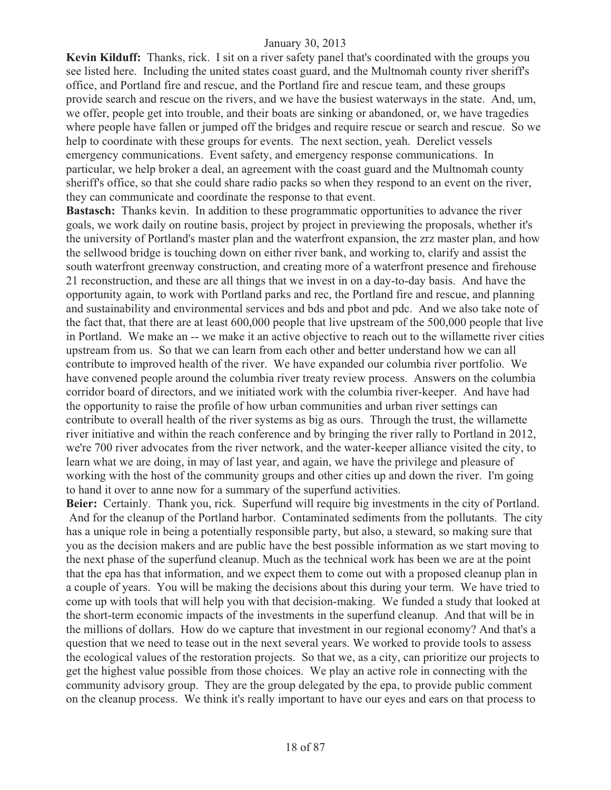**Kevin Kilduff:** Thanks, rick. I sit on a river safety panel that's coordinated with the groups you see listed here. Including the united states coast guard, and the Multnomah county river sheriff's office, and Portland fire and rescue, and the Portland fire and rescue team, and these groups provide search and rescue on the rivers, and we have the busiest waterways in the state. And, um, we offer, people get into trouble, and their boats are sinking or abandoned, or, we have tragedies where people have fallen or jumped off the bridges and require rescue or search and rescue. So we help to coordinate with these groups for events. The next section, yeah. Derelict vessels emergency communications. Event safety, and emergency response communications. In particular, we help broker a deal, an agreement with the coast guard and the Multnomah county sheriff's office, so that she could share radio packs so when they respond to an event on the river, they can communicate and coordinate the response to that event.

**Bastasch:** Thanks kevin. In addition to these programmatic opportunities to advance the river goals, we work daily on routine basis, project by project in previewing the proposals, whether it's the university of Portland's master plan and the waterfront expansion, the zrz master plan, and how the sellwood bridge is touching down on either river bank, and working to, clarify and assist the south waterfront greenway construction, and creating more of a waterfront presence and firehouse 21 reconstruction, and these are all things that we invest in on a day-to-day basis. And have the opportunity again, to work with Portland parks and rec, the Portland fire and rescue, and planning and sustainability and environmental services and bds and pbot and pdc. And we also take note of the fact that, that there are at least 600,000 people that live upstream of the 500,000 people that live in Portland. We make an -- we make it an active objective to reach out to the willamette river cities upstream from us. So that we can learn from each other and better understand how we can all contribute to improved health of the river. We have expanded our columbia river portfolio. We have convened people around the columbia river treaty review process. Answers on the columbia corridor board of directors, and we initiated work with the columbia river-keeper. And have had the opportunity to raise the profile of how urban communities and urban river settings can contribute to overall health of the river systems as big as ours. Through the trust, the willamette river initiative and within the reach conference and by bringing the river rally to Portland in 2012, we're 700 river advocates from the river network, and the water-keeper alliance visited the city, to learn what we are doing, in may of last year, and again, we have the privilege and pleasure of working with the host of the community groups and other cities up and down the river. I'm going to hand it over to anne now for a summary of the superfund activities.

**Beier:** Certainly. Thank you, rick. Superfund will require big investments in the city of Portland. And for the cleanup of the Portland harbor. Contaminated sediments from the pollutants. The city has a unique role in being a potentially responsible party, but also, a steward, so making sure that you as the decision makers and are public have the best possible information as we start moving to the next phase of the superfund cleanup. Much as the technical work has been we are at the point that the epa has that information, and we expect them to come out with a proposed cleanup plan in a couple of years. You will be making the decisions about this during your term. We have tried to come up with tools that will help you with that decision-making. We funded a study that looked at the short-term economic impacts of the investments in the superfund cleanup. And that will be in the millions of dollars. How do we capture that investment in our regional economy? And that's a question that we need to tease out in the next several years. We worked to provide tools to assess the ecological values of the restoration projects. So that we, as a city, can prioritize our projects to get the highest value possible from those choices. We play an active role in connecting with the community advisory group. They are the group delegated by the epa, to provide public comment on the cleanup process. We think it's really important to have our eyes and ears on that process to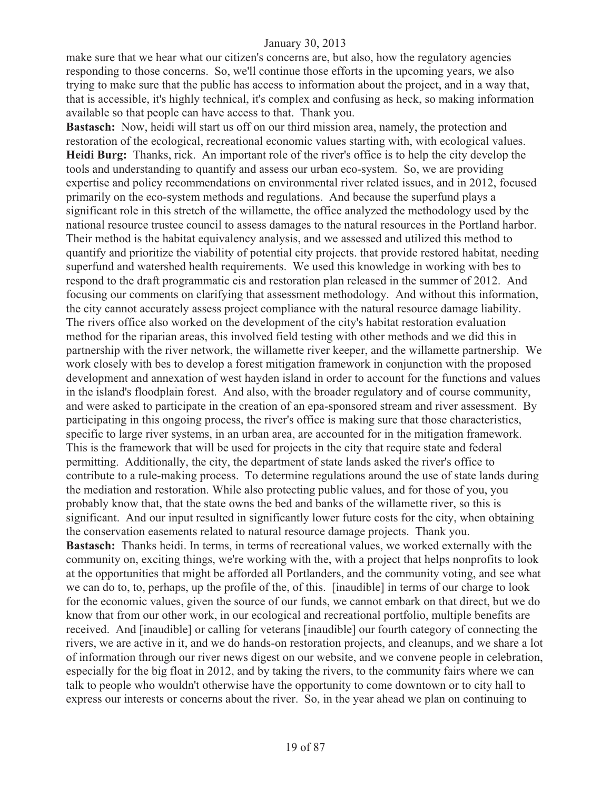make sure that we hear what our citizen's concerns are, but also, how the regulatory agencies responding to those concerns. So, we'll continue those efforts in the upcoming years, we also trying to make sure that the public has access to information about the project, and in a way that, that is accessible, it's highly technical, it's complex and confusing as heck, so making information available so that people can have access to that. Thank you.

**Bastasch:** Now, heidi will start us off on our third mission area, namely, the protection and restoration of the ecological, recreational economic values starting with, with ecological values. **Heidi Burg:** Thanks, rick. An important role of the river's office is to help the city develop the tools and understanding to quantify and assess our urban eco-system. So, we are providing expertise and policy recommendations on environmental river related issues, and in 2012, focused primarily on the eco-system methods and regulations. And because the superfund plays a significant role in this stretch of the willamette, the office analyzed the methodology used by the national resource trustee council to assess damages to the natural resources in the Portland harbor. Their method is the habitat equivalency analysis, and we assessed and utilized this method to quantify and prioritize the viability of potential city projects. that provide restored habitat, needing superfund and watershed health requirements. We used this knowledge in working with bes to respond to the draft programmatic eis and restoration plan released in the summer of 2012. And focusing our comments on clarifying that assessment methodology. And without this information, the city cannot accurately assess project compliance with the natural resource damage liability. The rivers office also worked on the development of the city's habitat restoration evaluation method for the riparian areas, this involved field testing with other methods and we did this in partnership with the river network, the willamette river keeper, and the willamette partnership. We work closely with bes to develop a forest mitigation framework in conjunction with the proposed development and annexation of west hayden island in order to account for the functions and values in the island's floodplain forest. And also, with the broader regulatory and of course community, and were asked to participate in the creation of an epa-sponsored stream and river assessment. By participating in this ongoing process, the river's office is making sure that those characteristics, specific to large river systems, in an urban area, are accounted for in the mitigation framework. This is the framework that will be used for projects in the city that require state and federal permitting. Additionally, the city, the department of state lands asked the river's office to contribute to a rule-making process. To determine regulations around the use of state lands during the mediation and restoration. While also protecting public values, and for those of you, you probably know that, that the state owns the bed and banks of the willamette river, so this is significant. And our input resulted in significantly lower future costs for the city, when obtaining the conservation easements related to natural resource damage projects. Thank you. **Bastasch:** Thanks heidi. In terms, in terms of recreational values, we worked externally with the community on, exciting things, we're working with the, with a project that helps nonprofits to look at the opportunities that might be afforded all Portlanders, and the community voting, and see what we can do to, to, perhaps, up the profile of the, of this. [inaudible] in terms of our charge to look for the economic values, given the source of our funds, we cannot embark on that direct, but we do know that from our other work, in our ecological and recreational portfolio, multiple benefits are received. And [inaudible] or calling for veterans [inaudible] our fourth category of connecting the rivers, we are active in it, and we do hands-on restoration projects, and cleanups, and we share a lot of information through our river news digest on our website, and we convene people in celebration, especially for the big float in 2012, and by taking the rivers, to the community fairs where we can talk to people who wouldn't otherwise have the opportunity to come downtown or to city hall to express our interests or concerns about the river. So, in the year ahead we plan on continuing to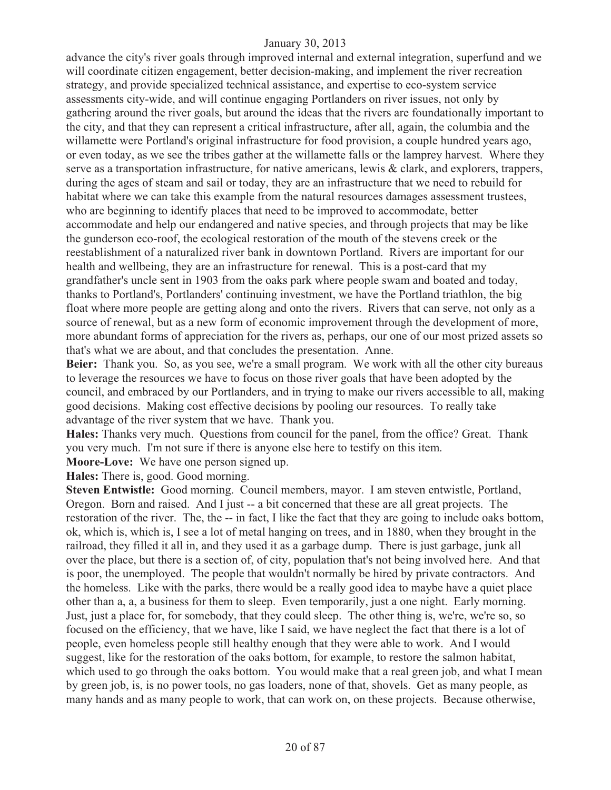advance the city's river goals through improved internal and external integration, superfund and we will coordinate citizen engagement, better decision-making, and implement the river recreation strategy, and provide specialized technical assistance, and expertise to eco-system service assessments city-wide, and will continue engaging Portlanders on river issues, not only by gathering around the river goals, but around the ideas that the rivers are foundationally important to the city, and that they can represent a critical infrastructure, after all, again, the columbia and the willamette were Portland's original infrastructure for food provision, a couple hundred years ago, or even today, as we see the tribes gather at the willamette falls or the lamprey harvest. Where they serve as a transportation infrastructure, for native americans, lewis & clark, and explorers, trappers, during the ages of steam and sail or today, they are an infrastructure that we need to rebuild for habitat where we can take this example from the natural resources damages assessment trustees, who are beginning to identify places that need to be improved to accommodate, better accommodate and help our endangered and native species, and through projects that may be like the gunderson eco-roof, the ecological restoration of the mouth of the stevens creek or the reestablishment of a naturalized river bank in downtown Portland. Rivers are important for our health and wellbeing, they are an infrastructure for renewal. This is a post-card that my grandfather's uncle sent in 1903 from the oaks park where people swam and boated and today, thanks to Portland's, Portlanders' continuing investment, we have the Portland triathlon, the big float where more people are getting along and onto the rivers. Rivers that can serve, not only as a source of renewal, but as a new form of economic improvement through the development of more, more abundant forms of appreciation for the rivers as, perhaps, our one of our most prized assets so that's what we are about, and that concludes the presentation. Anne.

**Beier:** Thank you. So, as you see, we're a small program. We work with all the other city bureaus to leverage the resources we have to focus on those river goals that have been adopted by the council, and embraced by our Portlanders, and in trying to make our rivers accessible to all, making good decisions. Making cost effective decisions by pooling our resources. To really take advantage of the river system that we have. Thank you.

**Hales:** Thanks very much. Questions from council for the panel, from the office? Great. Thank you very much. I'm not sure if there is anyone else here to testify on this item.

**Moore-Love:** We have one person signed up.

**Hales:** There is, good. Good morning.

**Steven Entwistle:** Good morning. Council members, mayor. I am steven entwistle, Portland, Oregon. Born and raised. And I just -- a bit concerned that these are all great projects. The restoration of the river. The, the -- in fact, I like the fact that they are going to include oaks bottom, ok, which is, which is, I see a lot of metal hanging on trees, and in 1880, when they brought in the railroad, they filled it all in, and they used it as a garbage dump. There is just garbage, junk all over the place, but there is a section of, of city, population that's not being involved here. And that is poor, the unemployed. The people that wouldn't normally be hired by private contractors. And the homeless. Like with the parks, there would be a really good idea to maybe have a quiet place other than a, a, a business for them to sleep. Even temporarily, just a one night. Early morning. Just, just a place for, for somebody, that they could sleep. The other thing is, we're, we're so, so focused on the efficiency, that we have, like I said, we have neglect the fact that there is a lot of people, even homeless people still healthy enough that they were able to work. And I would suggest, like for the restoration of the oaks bottom, for example, to restore the salmon habitat, which used to go through the oaks bottom. You would make that a real green job, and what I mean by green job, is, is no power tools, no gas loaders, none of that, shovels. Get as many people, as many hands and as many people to work, that can work on, on these projects. Because otherwise,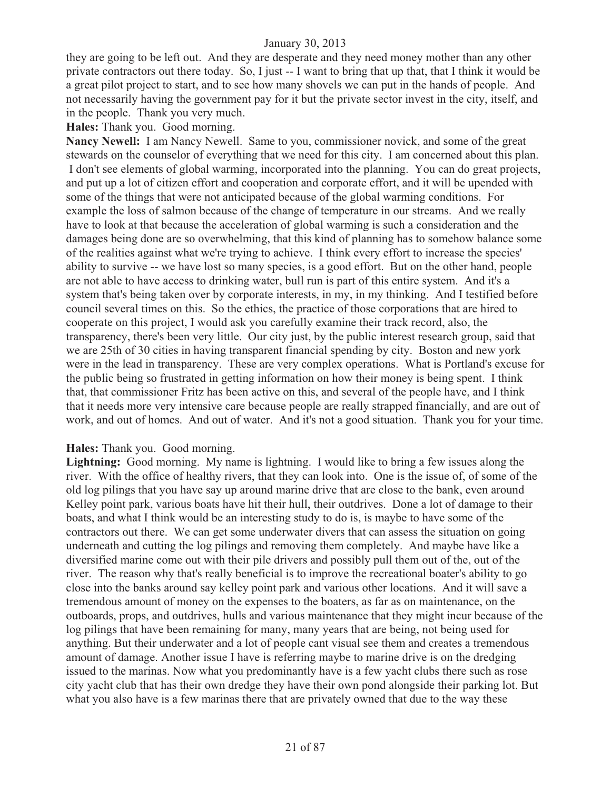they are going to be left out. And they are desperate and they need money mother than any other private contractors out there today. So, I just -- I want to bring that up that, that I think it would be a great pilot project to start, and to see how many shovels we can put in the hands of people. And not necessarily having the government pay for it but the private sector invest in the city, itself, and in the people. Thank you very much.

**Hales:** Thank you. Good morning.

**Nancy Newell:** I am Nancy Newell. Same to you, commissioner novick, and some of the great stewards on the counselor of everything that we need for this city. I am concerned about this plan. I don't see elements of global warming, incorporated into the planning. You can do great projects, and put up a lot of citizen effort and cooperation and corporate effort, and it will be upended with some of the things that were not anticipated because of the global warming conditions. For example the loss of salmon because of the change of temperature in our streams. And we really have to look at that because the acceleration of global warming is such a consideration and the damages being done are so overwhelming, that this kind of planning has to somehow balance some of the realities against what we're trying to achieve. I think every effort to increase the species' ability to survive -- we have lost so many species, is a good effort. But on the other hand, people are not able to have access to drinking water, bull run is part of this entire system. And it's a system that's being taken over by corporate interests, in my, in my thinking. And I testified before council several times on this. So the ethics, the practice of those corporations that are hired to cooperate on this project, I would ask you carefully examine their track record, also, the transparency, there's been very little. Our city just, by the public interest research group, said that we are 25th of 30 cities in having transparent financial spending by city. Boston and new york were in the lead in transparency. These are very complex operations. What is Portland's excuse for the public being so frustrated in getting information on how their money is being spent. I think that, that commissioner Fritz has been active on this, and several of the people have, and I think that it needs more very intensive care because people are really strapped financially, and are out of work, and out of homes. And out of water. And it's not a good situation. Thank you for your time.

#### **Hales:** Thank you. Good morning.

Lightning: Good morning. My name is lightning. I would like to bring a few issues along the river. With the office of healthy rivers, that they can look into. One is the issue of, of some of the old log pilings that you have say up around marine drive that are close to the bank, even around Kelley point park, various boats have hit their hull, their outdrives. Done a lot of damage to their boats, and what I think would be an interesting study to do is, is maybe to have some of the contractors out there. We can get some underwater divers that can assess the situation on going underneath and cutting the log pilings and removing them completely. And maybe have like a diversified marine come out with their pile drivers and possibly pull them out of the, out of the river. The reason why that's really beneficial is to improve the recreational boater's ability to go close into the banks around say kelley point park and various other locations. And it will save a tremendous amount of money on the expenses to the boaters, as far as on maintenance, on the outboards, props, and outdrives, hulls and various maintenance that they might incur because of the log pilings that have been remaining for many, many years that are being, not being used for anything. But their underwater and a lot of people cant visual see them and creates a tremendous amount of damage. Another issue I have is referring maybe to marine drive is on the dredging issued to the marinas. Now what you predominantly have is a few yacht clubs there such as rose city yacht club that has their own dredge they have their own pond alongside their parking lot. But what you also have is a few marinas there that are privately owned that due to the way these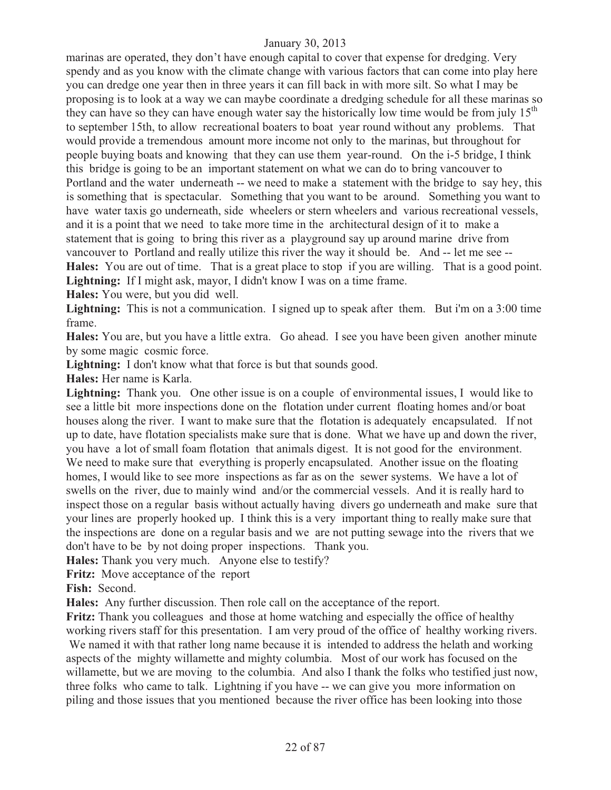marinas are operated, they don't have enough capital to cover that expense for dredging. Very spendy and as you know with the climate change with various factors that can come into play here you can dredge one year then in three years it can fill back in with more silt. So what I may be proposing is to look at a way we can maybe coordinate a dredging schedule for all these marinas so they can have so they can have enough water say the historically low time would be from july  $15<sup>th</sup>$ to september 15th, to allow recreational boaters to boat year round without any problems. That would provide a tremendous amount more income not only to the marinas, but throughout for people buying boats and knowing that they can use them year-round. On the i-5 bridge, I think this bridge is going to be an important statement on what we can do to bring vancouver to Portland and the water underneath -- we need to make a statement with the bridge to say hey, this is something that is spectacular. Something that you want to be around. Something you want to have water taxis go underneath, side wheelers or stern wheelers and various recreational vessels, and it is a point that we need to take more time in the architectural design of it to make a statement that is going to bring this river as a playground say up around marine drive from vancouver to Portland and really utilize this river the way it should be. And -- let me see -- **Hales:** You are out of time. That is a great place to stop if you are willing. That is a good point. **Lightning:** If I might ask, mayor, I didn't know I was on a time frame.

**Hales:** You were, but you did well.

Lightning: This is not a communication. I signed up to speak after them. But i'm on a 3:00 time frame.

**Hales:** You are, but you have a little extra. Go ahead. I see you have been given another minute by some magic cosmic force.

**Lightning:** I don't know what that force is but that sounds good.

**Hales:** Her name is Karla.

**Lightning:** Thank you. One other issue is on a couple of environmental issues, I would like to see a little bit more inspections done on the flotation under current floating homes and/or boat houses along the river. I want to make sure that the flotation is adequately encapsulated. If not up to date, have flotation specialists make sure that is done. What we have up and down the river, you have a lot of small foam flotation that animals digest. It is not good for the environment. We need to make sure that everything is properly encapsulated. Another issue on the floating homes, I would like to see more inspections as far as on the sewer systems. We have a lot of swells on the river, due to mainly wind and/or the commercial vessels. And it is really hard to inspect those on a regular basis without actually having divers go underneath and make sure that your lines are properly hooked up. I think this is a very important thing to really make sure that the inspections are done on a regular basis and we are not putting sewage into the rivers that we don't have to be by not doing proper inspections. Thank you.

**Hales:** Thank you very much. Anyone else to testify?

**Fritz:** Move acceptance of the report

**Fish:** Second.

**Hales:** Any further discussion. Then role call on the acceptance of the report.

**Fritz:** Thank you colleagues and those at home watching and especially the office of healthy working rivers staff for this presentation. I am very proud of the office of healthy working rivers. We named it with that rather long name because it is intended to address the helath and working aspects of the mighty willamette and mighty columbia. Most of our work has focused on the willamette, but we are moving to the columbia. And also I thank the folks who testified just now, three folks who came to talk. Lightning if you have -- we can give you more information on piling and those issues that you mentioned because the river office has been looking into those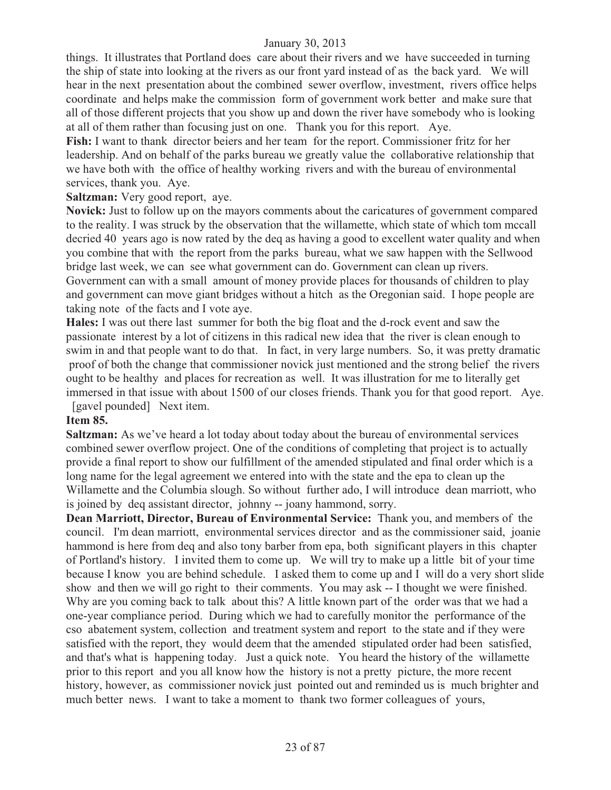things. It illustrates that Portland does care about their rivers and we have succeeded in turning the ship of state into looking at the rivers as our front yard instead of as the back yard. We will hear in the next presentation about the combined sewer overflow, investment, rivers office helps coordinate and helps make the commission form of government work better and make sure that all of those different projects that you show up and down the river have somebody who is looking at all of them rather than focusing just on one. Thank you for this report. Aye.

**Fish:** I want to thank director beiers and her team for the report. Commissioner fritz for her leadership. And on behalf of the parks bureau we greatly value the collaborative relationship that we have both with the office of healthy working rivers and with the bureau of environmental services, thank you. Aye.

**Saltzman:** Very good report, aye.

**Novick:** Just to follow up on the mayors comments about the caricatures of government compared to the reality. I was struck by the observation that the willamette, which state of which tom mccall decried 40 years ago is now rated by the deq as having a good to excellent water quality and when you combine that with the report from the parks bureau, what we saw happen with the Sellwood bridge last week, we can see what government can do. Government can clean up rivers. Government can with a small amount of money provide places for thousands of children to play and government can move giant bridges without a hitch as the Oregonian said. I hope people are taking note of the facts and I vote aye.

**Hales:** I was out there last summer for both the big float and the d-rock event and saw the passionate interest by a lot of citizens in this radical new idea that the river is clean enough to swim in and that people want to do that. In fact, in very large numbers. So, it was pretty dramatic proof of both the change that commissioner novick just mentioned and the strong belief the rivers ought to be healthy and places for recreation as well. It was illustration for me to literally get immersed in that issue with about 1500 of our closes friends. Thank you for that good report. Aye. [gavel pounded] Next item.

## **Item 85.**

**Saltzman:** As we've heard a lot today about today about the bureau of environmental services combined sewer overflow project. One of the conditions of completing that project is to actually provide a final report to show our fulfillment of the amended stipulated and final order which is a long name for the legal agreement we entered into with the state and the epa to clean up the Willamette and the Columbia slough. So without further ado, I will introduce dean marriott, who is joined by deq assistant director, johnny -- joany hammond, sorry.

**Dean Marriott, Director, Bureau of Environmental Service:** Thank you, and members of the council. I'm dean marriott, environmental services director and as the commissioner said, joanie hammond is here from deq and also tony barber from epa, both significant players in this chapter of Portland's history. I invited them to come up. We will try to make up a little bit of your time because I know you are behind schedule. I asked them to come up and I will do a very short slide show and then we will go right to their comments. You may ask -- I thought we were finished. Why are you coming back to talk about this? A little known part of the order was that we had a one-year compliance period. During which we had to carefully monitor the performance of the cso abatement system, collection and treatment system and report to the state and if they were satisfied with the report, they would deem that the amended stipulated order had been satisfied, and that's what is happening today. Just a quick note. You heard the history of the willamette prior to this report and you all know how the history is not a pretty picture, the more recent history, however, as commissioner novick just pointed out and reminded us is much brighter and much better news. I want to take a moment to thank two former colleagues of yours,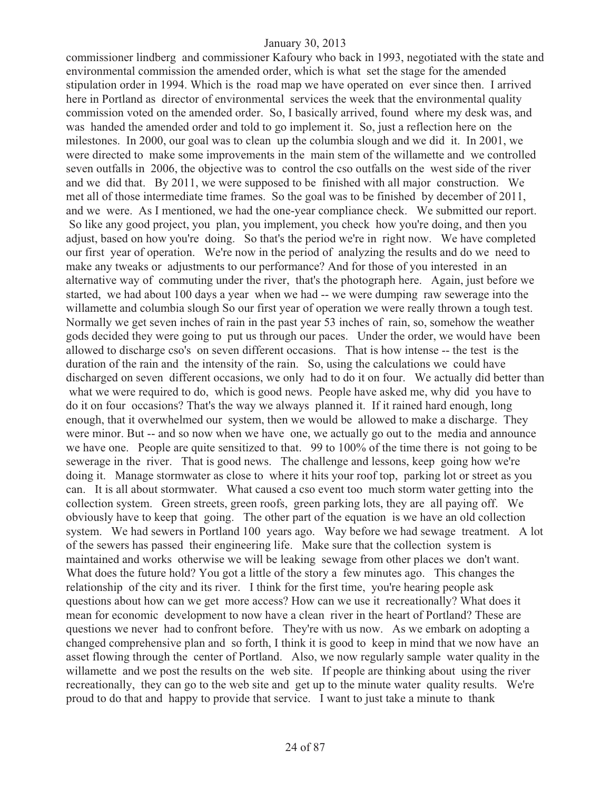commissioner lindberg and commissioner Kafoury who back in 1993, negotiated with the state and environmental commission the amended order, which is what set the stage for the amended stipulation order in 1994. Which is the road map we have operated on ever since then. I arrived here in Portland as director of environmental services the week that the environmental quality commission voted on the amended order. So, I basically arrived, found where my desk was, and was handed the amended order and told to go implement it. So, just a reflection here on the milestones. In 2000, our goal was to clean up the columbia slough and we did it. In 2001, we were directed to make some improvements in the main stem of the willamette and we controlled seven outfalls in 2006, the objective was to control the cso outfalls on the west side of the river and we did that. By 2011, we were supposed to be finished with all major construction. We met all of those intermediate time frames. So the goal was to be finished by december of 2011, and we were. As I mentioned, we had the one-year compliance check. We submitted our report. So like any good project, you plan, you implement, you check how you're doing, and then you adjust, based on how you're doing. So that's the period we're in right now. We have completed our first year of operation. We're now in the period of analyzing the results and do we need to make any tweaks or adjustments to our performance? And for those of you interested in an alternative way of commuting under the river, that's the photograph here. Again, just before we started, we had about 100 days a year when we had -- we were dumping raw sewerage into the willamette and columbia slough So our first year of operation we were really thrown a tough test. Normally we get seven inches of rain in the past year 53 inches of rain, so, somehow the weather gods decided they were going to put us through our paces. Under the order, we would have been allowed to discharge cso's on seven different occasions. That is how intense -- the test is the duration of the rain and the intensity of the rain. So, using the calculations we could have discharged on seven different occasions, we only had to do it on four. We actually did better than what we were required to do, which is good news. People have asked me, why did you have to do it on four occasions? That's the way we always planned it. If it rained hard enough, long enough, that it overwhelmed our system, then we would be allowed to make a discharge. They were minor. But -- and so now when we have one, we actually go out to the media and announce we have one. People are quite sensitized to that. 99 to 100% of the time there is not going to be sewerage in the river. That is good news. The challenge and lessons, keep going how we're doing it. Manage stormwater as close to where it hits your roof top, parking lot or street as you can. It is all about stormwater. What caused a cso event too much storm water getting into the collection system. Green streets, green roofs, green parking lots, they are all paying off. We obviously have to keep that going. The other part of the equation is we have an old collection system. We had sewers in Portland 100 years ago. Way before we had sewage treatment. A lot of the sewers has passed their engineering life. Make sure that the collection system is maintained and works otherwise we will be leaking sewage from other places we don't want. What does the future hold? You got a little of the story a few minutes ago. This changes the relationship of the city and its river. I think for the first time, you're hearing people ask questions about how can we get more access? How can we use it recreationally? What does it mean for economic development to now have a clean river in the heart of Portland? These are questions we never had to confront before. They're with us now. As we embark on adopting a changed comprehensive plan and so forth, I think it is good to keep in mind that we now have an asset flowing through the center of Portland. Also, we now regularly sample water quality in the willamette and we post the results on the web site. If people are thinking about using the river recreationally, they can go to the web site and get up to the minute water quality results. We're proud to do that and happy to provide that service. I want to just take a minute to thank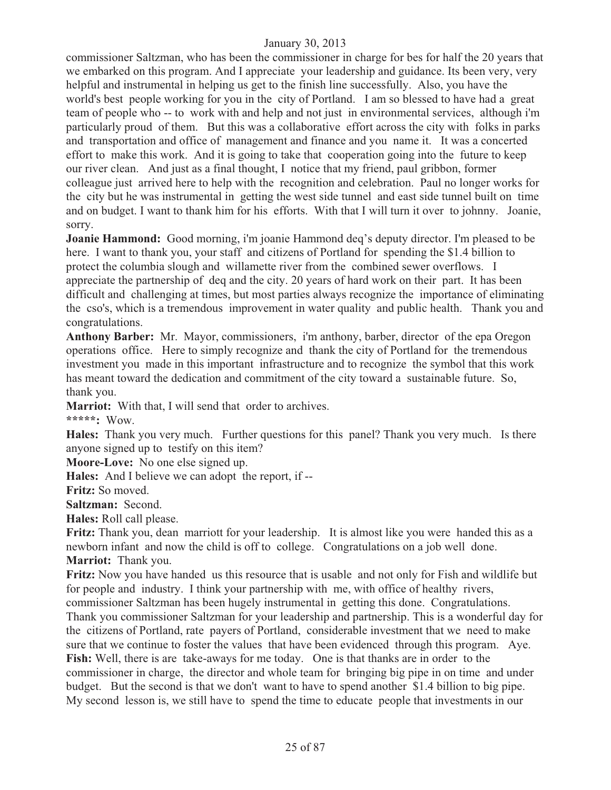commissioner Saltzman, who has been the commissioner in charge for bes for half the 20 years that we embarked on this program. And I appreciate your leadership and guidance. Its been very, very helpful and instrumental in helping us get to the finish line successfully. Also, you have the world's best people working for you in the city of Portland. I am so blessed to have had a great team of people who -- to work with and help and not just in environmental services, although i'm particularly proud of them. But this was a collaborative effort across the city with folks in parks and transportation and office of management and finance and you name it. It was a concerted effort to make this work. And it is going to take that cooperation going into the future to keep our river clean. And just as a final thought, I notice that my friend, paul gribbon, former colleague just arrived here to help with the recognition and celebration. Paul no longer works for the city but he was instrumental in getting the west side tunnel and east side tunnel built on time and on budget. I want to thank him for his efforts. With that I will turn it over to johnny. Joanie, sorry.

**Joanie Hammond:** Good morning, i'm joanie Hammond deq's deputy director. I'm pleased to be here. I want to thank you, your staff and citizens of Portland for spending the \$1.4 billion to protect the columbia slough and willamette river from the combined sewer overflows. I appreciate the partnership of deq and the city. 20 years of hard work on their part. It has been difficult and challenging at times, but most parties always recognize the importance of eliminating the cso's, which is a tremendous improvement in water quality and public health. Thank you and congratulations.

**Anthony Barber:** Mr. Mayor, commissioners, i'm anthony, barber, director of the epa Oregon operations office. Here to simply recognize and thank the city of Portland for the tremendous investment you made in this important infrastructure and to recognize the symbol that this work has meant toward the dedication and commitment of the city toward a sustainable future. So, thank you.

**Marriot:** With that, I will send that order to archives.

**\*\*\*\*\*:** Wow.

**Hales:** Thank you very much. Further questions for this panel? Thank you very much. Is there anyone signed up to testify on this item?

**Moore-Love:** No one else signed up.

**Hales:** And I believe we can adopt the report, if --

**Fritz:** So moved.

**Saltzman:** Second.

**Hales:** Roll call please.

**Fritz:** Thank you, dean marriott for your leadership. It is almost like you were handed this as a newborn infant and now the child is off to college. Congratulations on a job well done. **Marriot:** Thank you.

**Fritz:** Now you have handed us this resource that is usable and not only for Fish and wildlife but for people and industry. I think your partnership with me, with office of healthy rivers, commissioner Saltzman has been hugely instrumental in getting this done. Congratulations. Thank you commissioner Saltzman for your leadership and partnership. This is a wonderful day for the citizens of Portland, rate payers of Portland, considerable investment that we need to make sure that we continue to foster the values that have been evidenced through this program. Aye. **Fish:** Well, there is are take-aways for me today. One is that thanks are in order to the commissioner in charge, the director and whole team for bringing big pipe in on time and under budget. But the second is that we don't want to have to spend another \$1.4 billion to big pipe. My second lesson is, we still have to spend the time to educate people that investments in our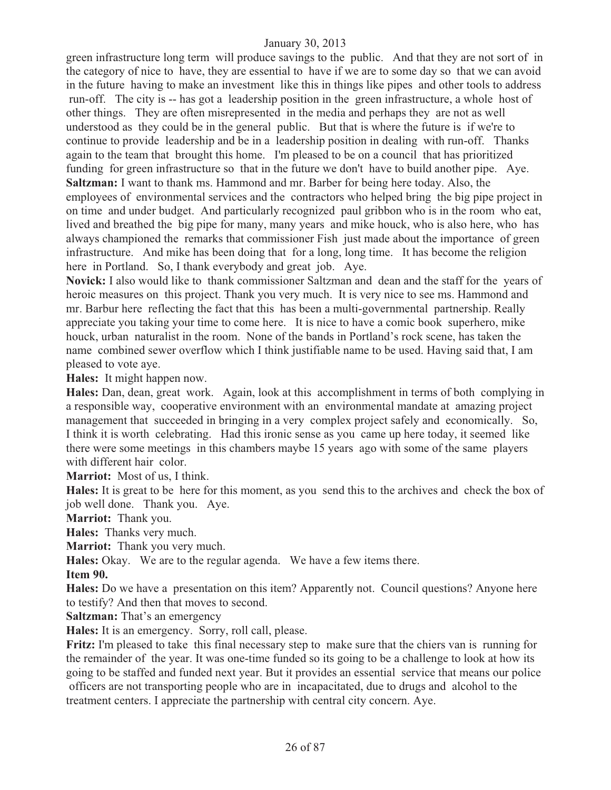green infrastructure long term will produce savings to the public. And that they are not sort of in the category of nice to have, they are essential to have if we are to some day so that we can avoid in the future having to make an investment like this in things like pipes and other tools to address run-off. The city is -- has got a leadership position in the green infrastructure, a whole host of other things. They are often misrepresented in the media and perhaps they are not as well understood as they could be in the general public. But that is where the future is if we're to continue to provide leadership and be in a leadership position in dealing with run-off. Thanks again to the team that brought this home. I'm pleased to be on a council that has prioritized funding for green infrastructure so that in the future we don't have to build another pipe. Aye. **Saltzman:** I want to thank ms. Hammond and mr. Barber for being here today. Also, the employees of environmental services and the contractors who helped bring the big pipe project in on time and under budget. And particularly recognized paul gribbon who is in the room who eat, lived and breathed the big pipe for many, many years and mike houck, who is also here, who has always championed the remarks that commissioner Fish just made about the importance of green infrastructure. And mike has been doing that for a long, long time. It has become the religion here in Portland. So, I thank everybody and great job. Aye.

**Novick:** I also would like to thank commissioner Saltzman and dean and the staff for the years of heroic measures on this project. Thank you very much. It is very nice to see ms. Hammond and mr. Barbur here reflecting the fact that this has been a multi-governmental partnership. Really appreciate you taking your time to come here. It is nice to have a comic book superhero, mike houck, urban naturalist in the room. None of the bands in Portland's rock scene, has taken the name combined sewer overflow which I think justifiable name to be used. Having said that, I am pleased to vote aye.

**Hales:** It might happen now.

**Hales:** Dan, dean, great work. Again, look at this accomplishment in terms of both complying in a responsible way, cooperative environment with an environmental mandate at amazing project management that succeeded in bringing in a very complex project safely and economically. So, I think it is worth celebrating. Had this ironic sense as you came up here today, it seemed like there were some meetings in this chambers maybe 15 years ago with some of the same players with different hair color.

**Marriot:** Most of us, I think.

**Hales:** It is great to be here for this moment, as you send this to the archives and check the box of job well done. Thank you. Aye.

**Marriot:** Thank you.

**Hales:** Thanks very much.

**Marriot:** Thank you very much.

**Hales:** Okay. We are to the regular agenda. We have a few items there.

**Item 90.**

**Hales:** Do we have a presentation on this item? Apparently not. Council questions? Anyone here to testify? And then that moves to second.

**Saltzman:** That's an emergency

**Hales:** It is an emergency. Sorry, roll call, please.

**Fritz:** I'm pleased to take this final necessary step to make sure that the chiers van is running for the remainder of the year. It was one-time funded so its going to be a challenge to look at how its going to be staffed and funded next year. But it provides an essential service that means our police officers are not transporting people who are in incapacitated, due to drugs and alcohol to the treatment centers. I appreciate the partnership with central city concern. Aye.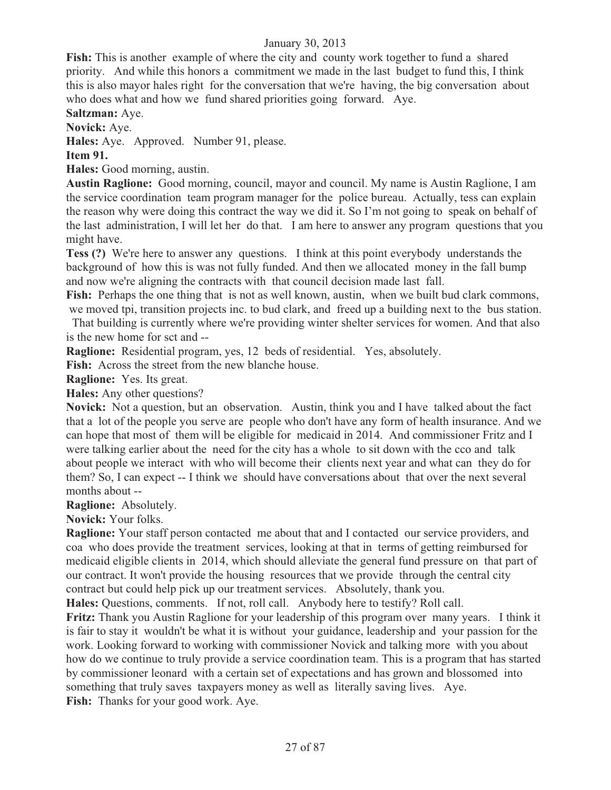**Fish:** This is another example of where the city and county work together to fund a shared priority. And while this honors a commitment we made in the last budget to fund this, I think this is also mayor hales right for the conversation that we're having, the big conversation about who does what and how we fund shared priorities going forward. Aye.

**Saltzman:** Aye.

**Novick:** Aye.

**Hales:** Aye. Approved. Number 91, please.

**Item 91.** 

**Hales:** Good morning, austin.

**Austin Raglione:** Good morning, council, mayor and council. My name is Austin Raglione, I am the service coordination team program manager for the police bureau. Actually, tess can explain the reason why were doing this contract the way we did it. So I'm not going to speak on behalf of the last administration, I will let her do that. I am here to answer any program questions that you might have.

**Tess (?)** We're here to answer any questions. I think at this point everybody understands the background of how this is was not fully funded. And then we allocated money in the fall bump and now we're aligning the contracts with that council decision made last fall.

Fish: Perhaps the one thing that is not as well known, austin, when we built bud clark commons, we moved tpi, transition projects inc. to bud clark, and freed up a building next to the bus station.

 That building is currently where we're providing winter shelter services for women. And that also is the new home for sct and --

**Raglione:** Residential program, yes, 12 beds of residential. Yes, absolutely.

**Fish:** Across the street from the new blanche house.

**Raglione:** Yes. Its great.

**Hales:** Any other questions?

**Novick:** Not a question, but an observation. Austin, think you and I have talked about the fact that a lot of the people you serve are people who don't have any form of health insurance. And we can hope that most of them will be eligible for medicaid in 2014. And commissioner Fritz and I were talking earlier about the need for the city has a whole to sit down with the cco and talk about people we interact with who will become their clients next year and what can they do for them? So, I can expect -- I think we should have conversations about that over the next several months about --

**Raglione:** Absolutely.

**Novick:** Your folks.

**Raglione:** Your staff person contacted me about that and I contacted our service providers, and coa who does provide the treatment services, looking at that in terms of getting reimbursed for medicaid eligible clients in 2014, which should alleviate the general fund pressure on that part of our contract. It won't provide the housing resources that we provide through the central city contract but could help pick up our treatment services. Absolutely, thank you.

**Hales:** Questions, comments. If not, roll call. Anybody here to testify? Roll call.

**Fritz:** Thank you Austin Raglione for your leadership of this program over many years. I think it is fair to stay it wouldn't be what it is without your guidance, leadership and your passion for the work. Looking forward to working with commissioner Novick and talking more with you about how do we continue to truly provide a service coordination team. This is a program that has started by commissioner leonard with a certain set of expectations and has grown and blossomed into something that truly saves taxpayers money as well as literally saving lives. Aye. **Fish:** Thanks for your good work. Aye.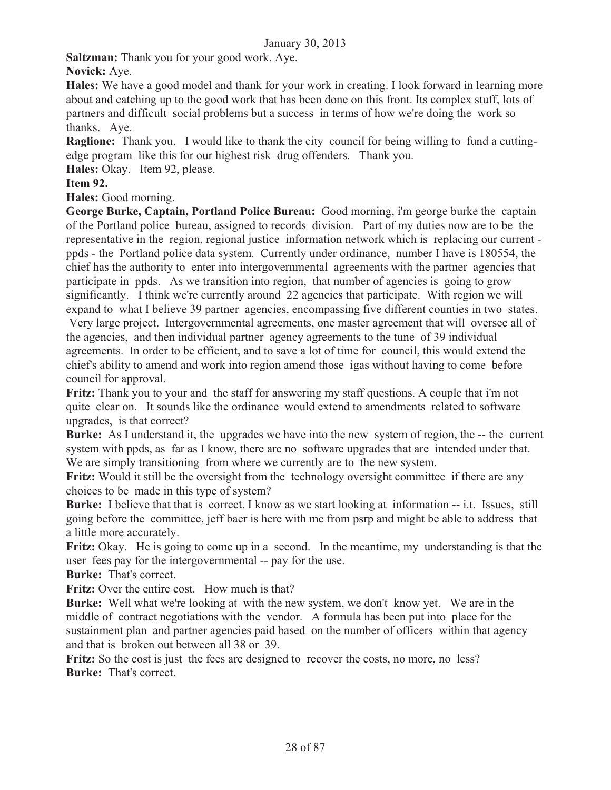**Saltzman:** Thank you for your good work. Aye.

**Novick:** Aye.

**Hales:** We have a good model and thank for your work in creating. I look forward in learning more about and catching up to the good work that has been done on this front. Its complex stuff, lots of partners and difficult social problems but a success in terms of how we're doing the work so thanks. Aye.

**Raglione:** Thank you. I would like to thank the city council for being willing to fund a cuttingedge program like this for our highest risk drug offenders. Thank you.

**Hales:** Okay. Item 92, please.

## **Item 92.**

**Hales:** Good morning.

**George Burke, Captain, Portland Police Bureau:** Good morning, i'm george burke the captain of the Portland police bureau, assigned to records division. Part of my duties now are to be the representative in the region, regional justice information network which is replacing our current ppds - the Portland police data system. Currently under ordinance, number I have is 180554, the chief has the authority to enter into intergovernmental agreements with the partner agencies that participate in ppds. As we transition into region, that number of agencies is going to grow significantly. I think we're currently around 22 agencies that participate. With region we will expand to what I believe 39 partner agencies, encompassing five different counties in two states. Very large project. Intergovernmental agreements, one master agreement that will oversee all of the agencies, and then individual partner agency agreements to the tune of 39 individual agreements. In order to be efficient, and to save a lot of time for council, this would extend the chief's ability to amend and work into region amend those igas without having to come before council for approval.

**Fritz:** Thank you to your and the staff for answering my staff questions. A couple that i'm not quite clear on. It sounds like the ordinance would extend to amendments related to software upgrades, is that correct?

**Burke:** As I understand it, the upgrades we have into the new system of region, the -- the current system with ppds, as far as I know, there are no software upgrades that are intended under that. We are simply transitioning from where we currently are to the new system.

**Fritz:** Would it still be the oversight from the technology oversight committee if there are any choices to be made in this type of system?

**Burke:** I believe that that is correct. I know as we start looking at information -- i.t. Issues, still going before the committee, jeff baer is here with me from psrp and might be able to address that a little more accurately.

**Fritz:** Okay. He is going to come up in a second. In the meantime, my understanding is that the user fees pay for the intergovernmental -- pay for the use.

**Burke:** That's correct.

Fritz: Over the entire cost. How much is that?

**Burke:** Well what we're looking at with the new system, we don't know yet. We are in the middle of contract negotiations with the vendor. A formula has been put into place for the sustainment plan and partner agencies paid based on the number of officers within that agency and that is broken out between all 38 or 39.

Fritz: So the cost is just the fees are designed to recover the costs, no more, no less? **Burke:** That's correct.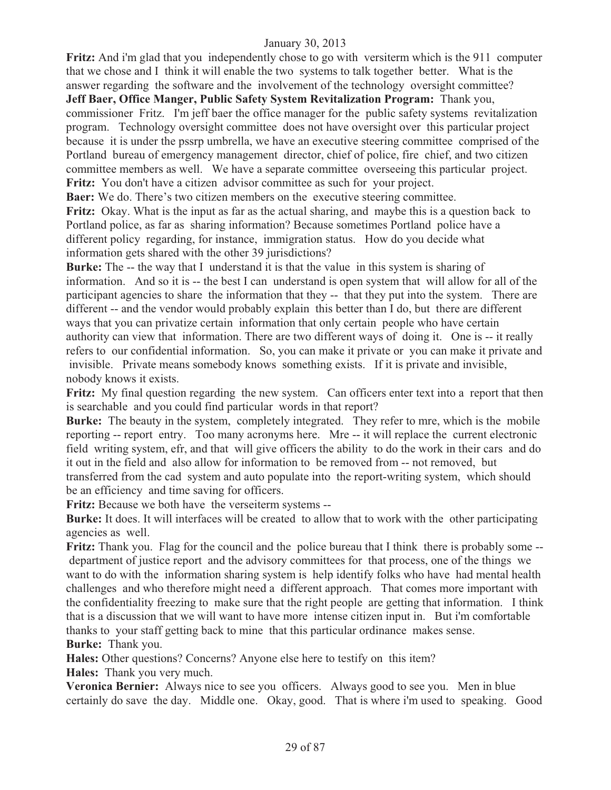**Fritz:** And i'm glad that you independently chose to go with versiterm which is the 911 computer that we chose and I think it will enable the two systems to talk together better. What is the answer regarding the software and the involvement of the technology oversight committee? **Jeff Baer, Office Manger, Public Safety System Revitalization Program:** Thank you,

commissioner Fritz. I'm jeff baer the office manager for the public safety systems revitalization program. Technology oversight committee does not have oversight over this particular project because it is under the pssrp umbrella, we have an executive steering committee comprised of the Portland bureau of emergency management director, chief of police, fire chief, and two citizen committee members as well. We have a separate committee overseeing this particular project. **Fritz:** You don't have a citizen advisor committee as such for your project.

**Baer:** We do. There's two citizen members on the executive steering committee.

**Fritz:** Okay. What is the input as far as the actual sharing, and maybe this is a question back to Portland police, as far as sharing information? Because sometimes Portland police have a different policy regarding, for instance, immigration status. How do you decide what information gets shared with the other 39 jurisdictions?

**Burke:** The -- the way that I understand it is that the value in this system is sharing of information. And so it is -- the best I can understand is open system that will allow for all of the participant agencies to share the information that they -- that they put into the system. There are different -- and the vendor would probably explain this better than I do, but there are different ways that you can privatize certain information that only certain people who have certain authority can view that information. There are two different ways of doing it. One is -- it really refers to our confidential information. So, you can make it private or you can make it private and invisible. Private means somebody knows something exists. If it is private and invisible, nobody knows it exists.

**Fritz:** My final question regarding the new system. Can officers enter text into a report that then is searchable and you could find particular words in that report?

**Burke:** The beauty in the system, completely integrated. They refer to mre, which is the mobile reporting -- report entry. Too many acronyms here. Mre -- it will replace the current electronic field writing system, efr, and that will give officers the ability to do the work in their cars and do it out in the field and also allow for information to be removed from -- not removed, but transferred from the cad system and auto populate into the report-writing system, which should be an efficiency and time saving for officers.

**Fritz:** Because we both have the verseiterm systems --

**Burke:** It does. It will interfaces will be created to allow that to work with the other participating agencies as well.

**Fritz:** Thank you. Flag for the council and the police bureau that I think there is probably some - department of justice report and the advisory committees for that process, one of the things we want to do with the information sharing system is help identify folks who have had mental health challenges and who therefore might need a different approach. That comes more important with the confidentiality freezing to make sure that the right people are getting that information. I think that is a discussion that we will want to have more intense citizen input in. But i'm comfortable thanks to your staff getting back to mine that this particular ordinance makes sense. **Burke:** Thank you.

**Hales:** Other questions? Concerns? Anyone else here to testify on this item?

**Hales:** Thank you very much.

**Veronica Bernier:** Always nice to see you officers. Always good to see you. Men in blue certainly do save the day. Middle one. Okay, good. That is where i'm used to speaking. Good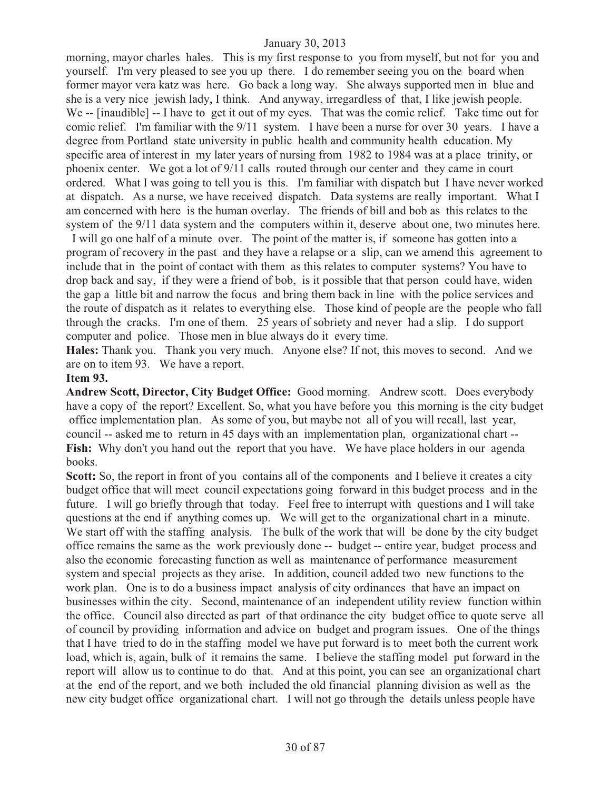morning, mayor charles hales. This is my first response to you from myself, but not for you and yourself. I'm very pleased to see you up there. I do remember seeing you on the board when former mayor vera katz was here. Go back a long way. She always supported men in blue and she is a very nice jewish lady, I think. And anyway, irregardless of that, I like jewish people. We -- [inaudible] -- I have to get it out of my eyes. That was the comic relief. Take time out for comic relief. I'm familiar with the 9/11 system. I have been a nurse for over 30 years. I have a degree from Portland state university in public health and community health education. My specific area of interest in my later years of nursing from 1982 to 1984 was at a place trinity, or phoenix center. We got a lot of 9/11 calls routed through our center and they came in court ordered. What I was going to tell you is this. I'm familiar with dispatch but I have never worked at dispatch. As a nurse, we have received dispatch. Data systems are really important. What I am concerned with here is the human overlay. The friends of bill and bob as this relates to the system of the 9/11 data system and the computers within it, deserve about one, two minutes here.

 I will go one half of a minute over. The point of the matter is, if someone has gotten into a program of recovery in the past and they have a relapse or a slip, can we amend this agreement to include that in the point of contact with them as this relates to computer systems? You have to drop back and say, if they were a friend of bob, is it possible that that person could have, widen the gap a little bit and narrow the focus and bring them back in line with the police services and the route of dispatch as it relates to everything else. Those kind of people are the people who fall through the cracks. I'm one of them. 25 years of sobriety and never had a slip. I do support computer and police. Those men in blue always do it every time.

**Hales:** Thank you. Thank you very much. Anyone else? If not, this moves to second. And we are on to item 93. We have a report.

#### **Item 93.**

**Andrew Scott, Director, City Budget Office:** Good morning. Andrew scott. Does everybody have a copy of the report? Excellent. So, what you have before you this morning is the city budget office implementation plan. As some of you, but maybe not all of you will recall, last year, council -- asked me to return in 45 days with an implementation plan, organizational chart -- Fish: Why don't you hand out the report that you have. We have place holders in our agenda books.

**Scott:** So, the report in front of you contains all of the components and I believe it creates a city budget office that will meet council expectations going forward in this budget process and in the future. I will go briefly through that today. Feel free to interrupt with questions and I will take questions at the end if anything comes up. We will get to the organizational chart in a minute. We start off with the staffing analysis. The bulk of the work that will be done by the city budget office remains the same as the work previously done -- budget -- entire year, budget process and also the economic forecasting function as well as maintenance of performance measurement system and special projects as they arise. In addition, council added two new functions to the work plan. One is to do a business impact analysis of city ordinances that have an impact on businesses within the city. Second, maintenance of an independent utility review function within the office. Council also directed as part of that ordinance the city budget office to quote serve all of council by providing information and advice on budget and program issues. One of the things that I have tried to do in the staffing model we have put forward is to meet both the current work load, which is, again, bulk of it remains the same. I believe the staffing model put forward in the report will allow us to continue to do that. And at this point, you can see an organizational chart at the end of the report, and we both included the old financial planning division as well as the new city budget office organizational chart. I will not go through the details unless people have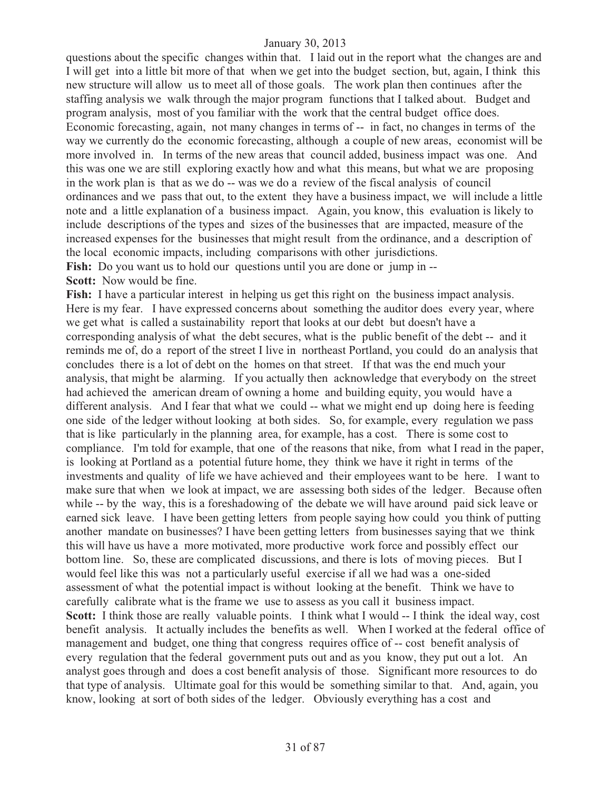questions about the specific changes within that. I laid out in the report what the changes are and I will get into a little bit more of that when we get into the budget section, but, again, I think this new structure will allow us to meet all of those goals. The work plan then continues after the staffing analysis we walk through the major program functions that I talked about. Budget and program analysis, most of you familiar with the work that the central budget office does. Economic forecasting, again, not many changes in terms of -- in fact, no changes in terms of the way we currently do the economic forecasting, although a couple of new areas, economist will be more involved in. In terms of the new areas that council added, business impact was one. And this was one we are still exploring exactly how and what this means, but what we are proposing in the work plan is that as we do -- was we do a review of the fiscal analysis of council ordinances and we pass that out, to the extent they have a business impact, we will include a little note and a little explanation of a business impact. Again, you know, this evaluation is likely to include descriptions of the types and sizes of the businesses that are impacted, measure of the increased expenses for the businesses that might result from the ordinance, and a description of the local economic impacts, including comparisons with other jurisdictions. **Fish:** Do you want us to hold our questions until you are done or jump in --**Scott:** Now would be fine.

**Fish:** I have a particular interest in helping us get this right on the business impact analysis. Here is my fear. I have expressed concerns about something the auditor does every year, where we get what is called a sustainability report that looks at our debt but doesn't have a corresponding analysis of what the debt secures, what is the public benefit of the debt -- and it reminds me of, do a report of the street I live in northeast Portland, you could do an analysis that concludes there is a lot of debt on the homes on that street. If that was the end much your analysis, that might be alarming. If you actually then acknowledge that everybody on the street had achieved the american dream of owning a home and building equity, you would have a different analysis. And I fear that what we could -- what we might end up doing here is feeding one side of the ledger without looking at both sides. So, for example, every regulation we pass that is like particularly in the planning area, for example, has a cost. There is some cost to compliance. I'm told for example, that one of the reasons that nike, from what I read in the paper, is looking at Portland as a potential future home, they think we have it right in terms of the investments and quality of life we have achieved and their employees want to be here. I want to make sure that when we look at impact, we are assessing both sides of the ledger. Because often while -- by the way, this is a foreshadowing of the debate we will have around paid sick leave or earned sick leave. I have been getting letters from people saying how could you think of putting another mandate on businesses? I have been getting letters from businesses saying that we think this will have us have a more motivated, more productive work force and possibly effect our bottom line. So, these are complicated discussions, and there is lots of moving pieces. But I would feel like this was not a particularly useful exercise if all we had was a one-sided assessment of what the potential impact is without looking at the benefit. Think we have to carefully calibrate what is the frame we use to assess as you call it business impact. **Scott:** I think those are really valuable points. I think what I would -- I think the ideal way, cost benefit analysis. It actually includes the benefits as well. When I worked at the federal office of management and budget, one thing that congress requires office of -- cost benefit analysis of every regulation that the federal government puts out and as you know, they put out a lot. An analyst goes through and does a cost benefit analysis of those. Significant more resources to do that type of analysis. Ultimate goal for this would be something similar to that. And, again, you know, looking at sort of both sides of the ledger. Obviously everything has a cost and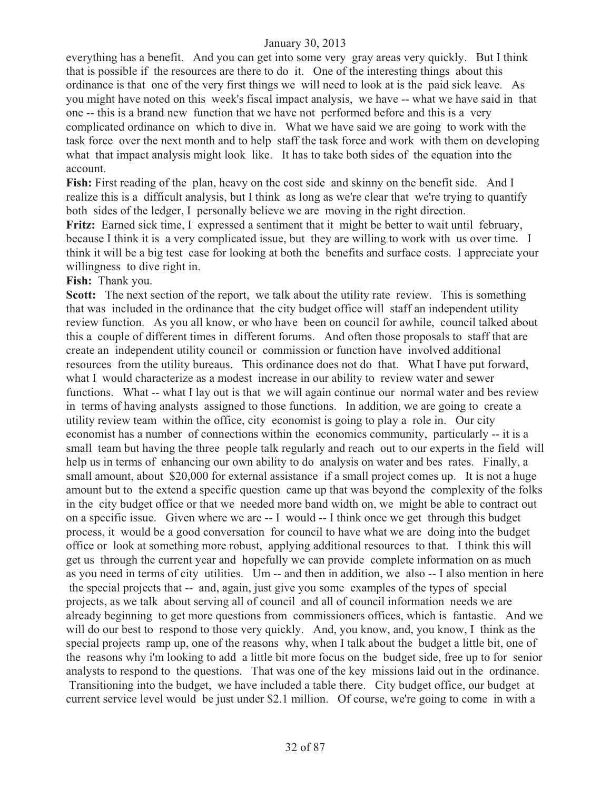everything has a benefit. And you can get into some very gray areas very quickly. But I think that is possible if the resources are there to do it. One of the interesting things about this ordinance is that one of the very first things we will need to look at is the paid sick leave. As you might have noted on this week's fiscal impact analysis, we have -- what we have said in that one -- this is a brand new function that we have not performed before and this is a very complicated ordinance on which to dive in. What we have said we are going to work with the task force over the next month and to help staff the task force and work with them on developing what that impact analysis might look like. It has to take both sides of the equation into the account.

**Fish:** First reading of the plan, heavy on the cost side and skinny on the benefit side. And I realize this is a difficult analysis, but I think as long as we're clear that we're trying to quantify both sides of the ledger, I personally believe we are moving in the right direction.

Fritz: Earned sick time, I expressed a sentiment that it might be better to wait until february, because I think it is a very complicated issue, but they are willing to work with us over time. I think it will be a big test case for looking at both the benefits and surface costs. I appreciate your willingness to dive right in.

#### **Fish:** Thank you.

**Scott:** The next section of the report, we talk about the utility rate review. This is something that was included in the ordinance that the city budget office will staff an independent utility review function. As you all know, or who have been on council for awhile, council talked about this a couple of different times in different forums. And often those proposals to staff that are create an independent utility council or commission or function have involved additional resources from the utility bureaus. This ordinance does not do that. What I have put forward, what I would characterize as a modest increase in our ability to review water and sewer functions. What -- what I lay out is that we will again continue our normal water and bes review in terms of having analysts assigned to those functions. In addition, we are going to create a utility review team within the office, city economist is going to play a role in. Our city economist has a number of connections within the economics community, particularly -- it is a small team but having the three people talk regularly and reach out to our experts in the field will help us in terms of enhancing our own ability to do analysis on water and bes rates. Finally, a small amount, about \$20,000 for external assistance if a small project comes up. It is not a huge amount but to the extend a specific question came up that was beyond the complexity of the folks in the city budget office or that we needed more band width on, we might be able to contract out on a specific issue. Given where we are -- I would -- I think once we get through this budget process, it would be a good conversation for council to have what we are doing into the budget office or look at something more robust, applying additional resources to that. I think this will get us through the current year and hopefully we can provide complete information on as much as you need in terms of city utilities. Um -- and then in addition, we also -- I also mention in here the special projects that -- and, again, just give you some examples of the types of special projects, as we talk about serving all of council and all of council information needs we are already beginning to get more questions from commissioners offices, which is fantastic. And we will do our best to respond to those very quickly. And, you know, and, you know, I think as the special projects ramp up, one of the reasons why, when I talk about the budget a little bit, one of the reasons why i'm looking to add a little bit more focus on the budget side, free up to for senior analysts to respond to the questions. That was one of the key missions laid out in the ordinance. Transitioning into the budget, we have included a table there. City budget office, our budget at current service level would be just under \$2.1 million. Of course, we're going to come in with a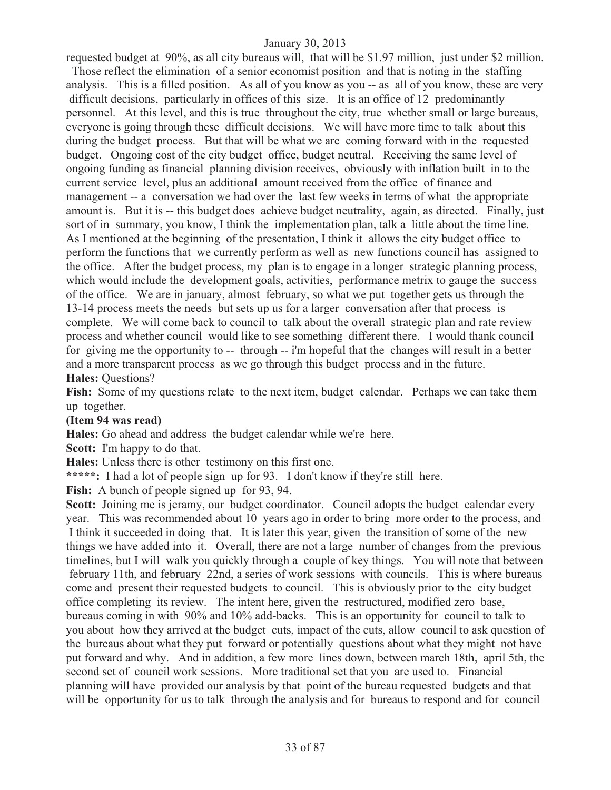requested budget at 90%, as all city bureaus will, that will be \$1.97 million, just under \$2 million. Those reflect the elimination of a senior economist position and that is noting in the staffing analysis. This is a filled position. As all of you know as you -- as all of you know, these are very difficult decisions, particularly in offices of this size. It is an office of 12 predominantly personnel. At this level, and this is true throughout the city, true whether small or large bureaus, everyone is going through these difficult decisions. We will have more time to talk about this during the budget process. But that will be what we are coming forward with in the requested budget. Ongoing cost of the city budget office, budget neutral. Receiving the same level of ongoing funding as financial planning division receives, obviously with inflation built in to the current service level, plus an additional amount received from the office of finance and management -- a conversation we had over the last few weeks in terms of what the appropriate amount is. But it is -- this budget does achieve budget neutrality, again, as directed. Finally, just sort of in summary, you know, I think the implementation plan, talk a little about the time line. As I mentioned at the beginning of the presentation, I think it allows the city budget office to perform the functions that we currently perform as well as new functions council has assigned to the office. After the budget process, my plan is to engage in a longer strategic planning process, which would include the development goals, activities, performance metrix to gauge the success of the office. We are in january, almost february, so what we put together gets us through the 13-14 process meets the needs but sets up us for a larger conversation after that process is complete. We will come back to council to talk about the overall strategic plan and rate review process and whether council would like to see something different there. I would thank council for giving me the opportunity to -- through -- i'm hopeful that the changes will result in a better and a more transparent process as we go through this budget process and in the future.

#### **Hales:** Questions?

**Fish:** Some of my questions relate to the next item, budget calendar. Perhaps we can take them up together.

#### **(Item 94 was read)**

**Hales:** Go ahead and address the budget calendar while we're here.

**Scott:** I'm happy to do that.

**Hales:** Unless there is other testimony on this first one.

**\*\*\*\*\*:** I had a lot of people sign up for 93. I don't know if they're still here.

Fish: A bunch of people signed up for 93, 94.

**Scott:** Joining me is jeramy, our budget coordinator. Council adopts the budget calendar every year. This was recommended about 10 years ago in order to bring more order to the process, and I think it succeeded in doing that. It is later this year, given the transition of some of the new things we have added into it. Overall, there are not a large number of changes from the previous timelines, but I will walk you quickly through a couple of key things. You will note that between february 11th, and february 22nd, a series of work sessions with councils. This is where bureaus come and present their requested budgets to council. This is obviously prior to the city budget office completing its review. The intent here, given the restructured, modified zero base, bureaus coming in with 90% and 10% add-backs. This is an opportunity for council to talk to you about how they arrived at the budget cuts, impact of the cuts, allow council to ask question of the bureaus about what they put forward or potentially questions about what they might not have put forward and why. And in addition, a few more lines down, between march 18th, april 5th, the second set of council work sessions. More traditional set that you are used to. Financial planning will have provided our analysis by that point of the bureau requested budgets and that will be opportunity for us to talk through the analysis and for bureaus to respond and for council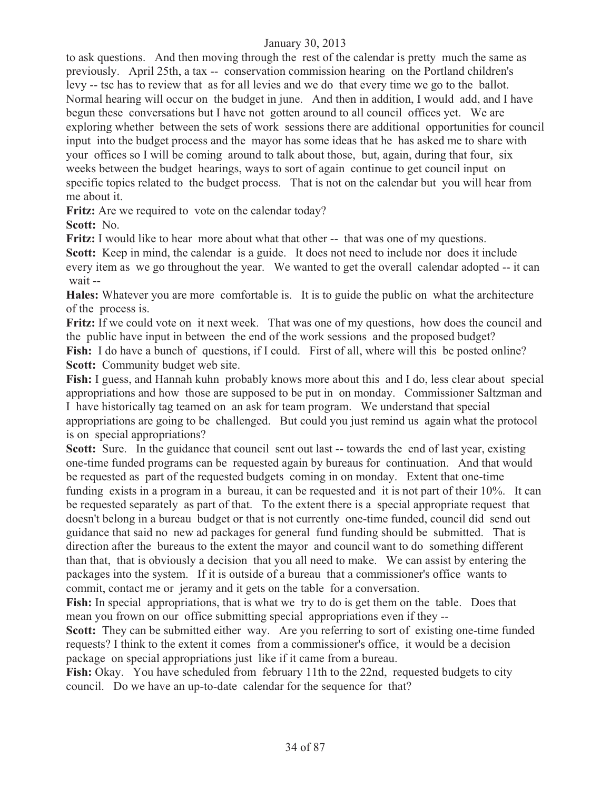to ask questions. And then moving through the rest of the calendar is pretty much the same as previously. April 25th, a tax -- conservation commission hearing on the Portland children's levy -- tsc has to review that as for all levies and we do that every time we go to the ballot. Normal hearing will occur on the budget in june. And then in addition, I would add, and I have begun these conversations but I have not gotten around to all council offices yet. We are exploring whether between the sets of work sessions there are additional opportunities for council input into the budget process and the mayor has some ideas that he has asked me to share with your offices so I will be coming around to talk about those, but, again, during that four, six weeks between the budget hearings, ways to sort of again continue to get council input on specific topics related to the budget process. That is not on the calendar but you will hear from me about it.

Fritz: Are we required to vote on the calendar today?

**Scott:** No.

**Fritz:** I would like to hear more about what that other -- that was one of my questions.

Scott: Keep in mind, the calendar is a guide. It does not need to include nor does it include every item as we go throughout the year. We wanted to get the overall calendar adopted -- it can wait --

**Hales:** Whatever you are more comfortable is. It is to guide the public on what the architecture of the process is.

**Fritz:** If we could vote on it next week. That was one of my questions, how does the council and the public have input in between the end of the work sessions and the proposed budget? Fish: I do have a bunch of questions, if I could. First of all, where will this be posted online? **Scott:** Community budget web site.

**Fish:** I guess, and Hannah kuhn probably knows more about this and I do, less clear about special appropriations and how those are supposed to be put in on monday. Commissioner Saltzman and I have historically tag teamed on an ask for team program. We understand that special appropriations are going to be challenged. But could you just remind us again what the protocol is on special appropriations?

**Scott:** Sure. In the guidance that council sent out last -- towards the end of last year, existing one-time funded programs can be requested again by bureaus for continuation. And that would be requested as part of the requested budgets coming in on monday. Extent that one-time funding exists in a program in a bureau, it can be requested and it is not part of their 10%. It can be requested separately as part of that. To the extent there is a special appropriate request that doesn't belong in a bureau budget or that is not currently one-time funded, council did send out guidance that said no new ad packages for general fund funding should be submitted. That is direction after the bureaus to the extent the mayor and council want to do something different than that, that is obviously a decision that you all need to make. We can assist by entering the packages into the system. If it is outside of a bureau that a commissioner's office wants to commit, contact me or jeramy and it gets on the table for a conversation.

**Fish:** In special appropriations, that is what we try to do is get them on the table. Does that mean you frown on our office submitting special appropriations even if they --

**Scott:** They can be submitted either way. Are you referring to sort of existing one-time funded requests? I think to the extent it comes from a commissioner's office, it would be a decision package on special appropriations just like if it came from a bureau.

Fish: Okay. You have scheduled from february 11th to the 22nd, requested budgets to city council. Do we have an up-to-date calendar for the sequence for that?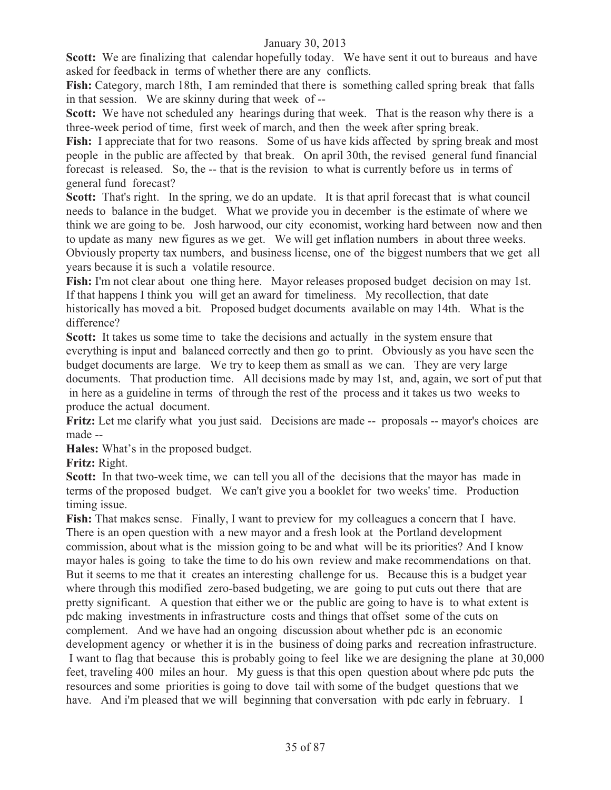**Scott:** We are finalizing that calendar hopefully today. We have sent it out to bureaus and have asked for feedback in terms of whether there are any conflicts.

**Fish:** Category, march 18th, I am reminded that there is something called spring break that falls in that session. We are skinny during that week of --

**Scott:** We have not scheduled any hearings during that week. That is the reason why there is a three-week period of time, first week of march, and then the week after spring break.

**Fish:** I appreciate that for two reasons. Some of us have kids affected by spring break and most people in the public are affected by that break. On april 30th, the revised general fund financial forecast is released. So, the -- that is the revision to what is currently before us in terms of general fund forecast?

Scott: That's right. In the spring, we do an update. It is that april forecast that is what council needs to balance in the budget. What we provide you in december is the estimate of where we think we are going to be. Josh harwood, our city economist, working hard between now and then to update as many new figures as we get. We will get inflation numbers in about three weeks. Obviously property tax numbers, and business license, one of the biggest numbers that we get all years because it is such a volatile resource.

**Fish:** I'm not clear about one thing here. Mayor releases proposed budget decision on may 1st. If that happens I think you will get an award for timeliness. My recollection, that date historically has moved a bit. Proposed budget documents available on may 14th. What is the difference?

**Scott:** It takes us some time to take the decisions and actually in the system ensure that everything is input and balanced correctly and then go to print. Obviously as you have seen the budget documents are large. We try to keep them as small as we can. They are very large documents. That production time. All decisions made by may 1st, and, again, we sort of put that in here as a guideline in terms of through the rest of the process and it takes us two weeks to produce the actual document.

Fritz: Let me clarify what you just said. Decisions are made -- proposals -- mayor's choices are made --

**Hales:** What's in the proposed budget.

**Fritz:** Right.

**Scott:** In that two-week time, we can tell you all of the decisions that the mayor has made in terms of the proposed budget. We can't give you a booklet for two weeks' time. Production timing issue.

**Fish:** That makes sense. Finally, I want to preview for my colleagues a concern that I have. There is an open question with a new mayor and a fresh look at the Portland development commission, about what is the mission going to be and what will be its priorities? And I know mayor hales is going to take the time to do his own review and make recommendations on that. But it seems to me that it creates an interesting challenge for us. Because this is a budget year where through this modified zero-based budgeting, we are going to put cuts out there that are pretty significant. A question that either we or the public are going to have is to what extent is pdc making investments in infrastructure costs and things that offset some of the cuts on complement. And we have had an ongoing discussion about whether pdc is an economic development agency or whether it is in the business of doing parks and recreation infrastructure. I want to flag that because this is probably going to feel like we are designing the plane at 30,000 feet, traveling 400 miles an hour. My guess is that this open question about where pdc puts the resources and some priorities is going to dove tail with some of the budget questions that we have. And i'm pleased that we will beginning that conversation with pdc early in february. I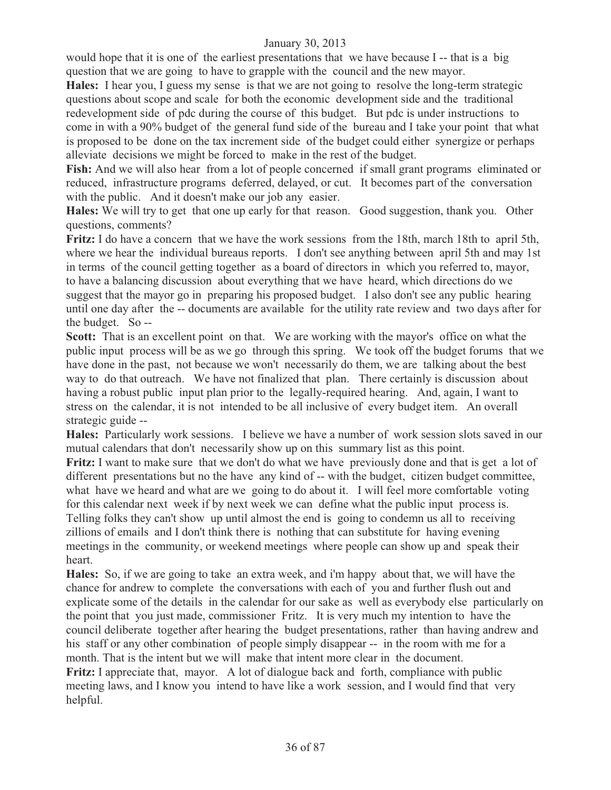would hope that it is one of the earliest presentations that we have because I -- that is a big question that we are going to have to grapple with the council and the new mayor.

**Hales:** I hear you, I guess my sense is that we are not going to resolve the long-term strategic questions about scope and scale for both the economic development side and the traditional redevelopment side of pdc during the course of this budget. But pdc is under instructions to come in with a 90% budget of the general fund side of the bureau and I take your point that what is proposed to be done on the tax increment side of the budget could either synergize or perhaps alleviate decisions we might be forced to make in the rest of the budget.

**Fish:** And we will also hear from a lot of people concerned if small grant programs eliminated or reduced, infrastructure programs deferred, delayed, or cut. It becomes part of the conversation with the public. And it doesn't make our job any easier.

**Hales:** We will try to get that one up early for that reason. Good suggestion, thank you. Other questions, comments?

**Fritz:** I do have a concern that we have the work sessions from the 18th, march 18th to april 5th, where we hear the individual bureaus reports. I don't see anything between april 5th and may 1st in terms of the council getting together as a board of directors in which you referred to, mayor, to have a balancing discussion about everything that we have heard, which directions do we suggest that the mayor go in preparing his proposed budget. I also don't see any public hearing until one day after the -- documents are available for the utility rate review and two days after for the budget. So --

**Scott:** That is an excellent point on that. We are working with the mayor's office on what the public input process will be as we go through this spring. We took off the budget forums that we have done in the past, not because we won't necessarily do them, we are talking about the best way to do that outreach. We have not finalized that plan. There certainly is discussion about having a robust public input plan prior to the legally-required hearing. And, again, I want to stress on the calendar, it is not intended to be all inclusive of every budget item. An overall strategic guide --

**Hales:** Particularly work sessions. I believe we have a number of work session slots saved in our mutual calendars that don't necessarily show up on this summary list as this point.

**Fritz:** I want to make sure that we don't do what we have previously done and that is get a lot of different presentations but no the have any kind of -- with the budget, citizen budget committee, what have we heard and what are we going to do about it. I will feel more comfortable voting for this calendar next week if by next week we can define what the public input process is. Telling folks they can't show up until almost the end is going to condemn us all to receiving zillions of emails and I don't think there is nothing that can substitute for having evening meetings in the community, or weekend meetings where people can show up and speak their heart.

**Hales:** So, if we are going to take an extra week, and i'm happy about that, we will have the chance for andrew to complete the conversations with each of you and further flush out and explicate some of the details in the calendar for our sake as well as everybody else particularly on the point that you just made, commissioner Fritz. It is very much my intention to have the council deliberate together after hearing the budget presentations, rather than having andrew and his staff or any other combination of people simply disappear -- in the room with me for a month. That is the intent but we will make that intent more clear in the document. **Fritz:** I appreciate that, mayor. A lot of dialogue back and forth, compliance with public meeting laws, and I know you intend to have like a work session, and I would find that very helpful.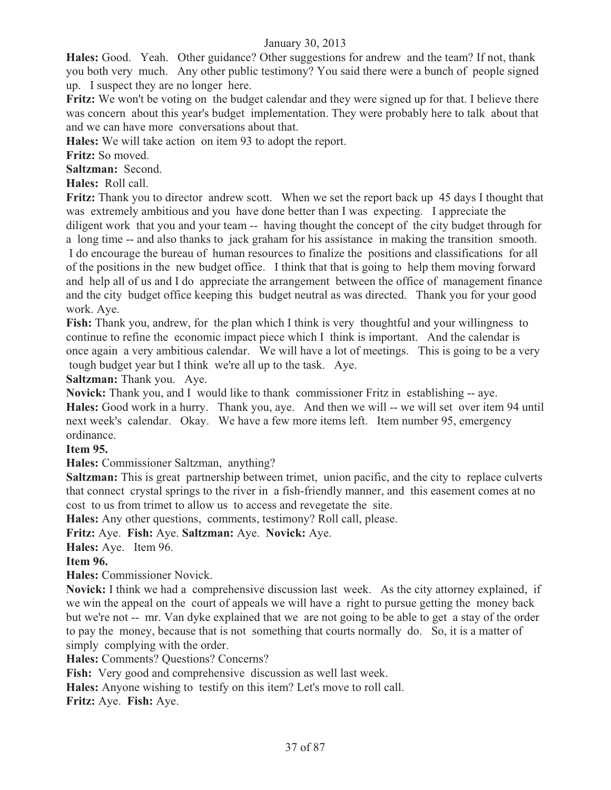**Hales:** Good. Yeah. Other guidance? Other suggestions for andrew and the team? If not, thank you both very much. Any other public testimony? You said there were a bunch of people signed up. I suspect they are no longer here.

**Fritz:** We won't be voting on the budget calendar and they were signed up for that. I believe there was concern about this year's budget implementation. They were probably here to talk about that and we can have more conversations about that.

**Hales:** We will take action on item 93 to adopt the report.

**Fritz:** So moved.

**Saltzman:** Second.

**Hales:** Roll call.

**Fritz:** Thank you to director andrew scott. When we set the report back up 45 days I thought that was extremely ambitious and you have done better than I was expecting. I appreciate the diligent work that you and your team -- having thought the concept of the city budget through for a long time -- and also thanks to jack graham for his assistance in making the transition smooth. I do encourage the bureau of human resources to finalize the positions and classifications for all of the positions in the new budget office. I think that that is going to help them moving forward and help all of us and I do appreciate the arrangement between the office of management finance and the city budget office keeping this budget neutral as was directed. Thank you for your good work. Aye.

**Fish:** Thank you, andrew, for the plan which I think is very thoughtful and your willingness to continue to refine the economic impact piece which I think is important. And the calendar is once again a very ambitious calendar. We will have a lot of meetings. This is going to be a very tough budget year but I think we're all up to the task. Aye.

**Saltzman:** Thank you. Aye.

**Novick:** Thank you, and I would like to thank commissioner Fritz in establishing -- aye. **Hales:** Good work in a hurry. Thank you, aye. And then we will -- we will set over item 94 until next week's calendar. Okay. We have a few more items left. Item number 95, emergency ordinance.

#### **Item 95.**

**Hales:** Commissioner Saltzman, anything?

**Saltzman:** This is great partnership between trimet, union pacific, and the city to replace culverts that connect crystal springs to the river in a fish-friendly manner, and this easement comes at no cost to us from trimet to allow us to access and revegetate the site.

**Hales:** Any other questions, comments, testimony? Roll call, please.

**Fritz:** Aye. **Fish:** Aye. **Saltzman:** Aye. **Novick:** Aye.

**Hales:** Aye. Item 96.

#### **Item 96.**

**Hales:** Commissioner Novick.

**Novick:** I think we had a comprehensive discussion last week. As the city attorney explained, if we win the appeal on the court of appeals we will have a right to pursue getting the money back but we're not -- mr. Van dyke explained that we are not going to be able to get a stay of the order to pay the money, because that is not something that courts normally do. So, it is a matter of simply complying with the order.

**Hales:** Comments? Questions? Concerns?

**Fish:** Very good and comprehensive discussion as well last week.

**Hales:** Anyone wishing to testify on this item? Let's move to roll call.

**Fritz:** Aye. **Fish:** Aye.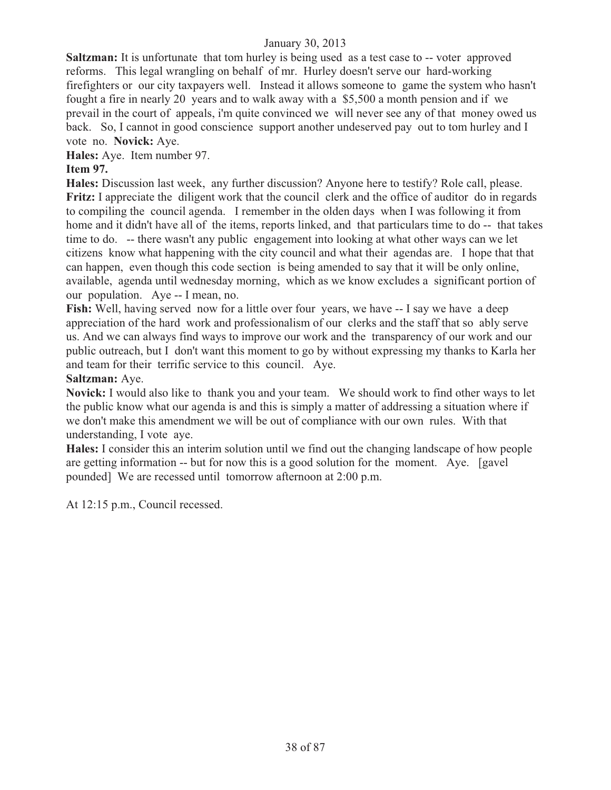**Saltzman:** It is unfortunate that tom hurley is being used as a test case to -- voter approved reforms. This legal wrangling on behalf of mr. Hurley doesn't serve our hard-working firefighters or our city taxpayers well. Instead it allows someone to game the system who hasn't fought a fire in nearly 20 years and to walk away with a \$5,500 a month pension and if we prevail in the court of appeals, i'm quite convinced we will never see any of that money owed us back. So, I cannot in good conscience support another undeserved pay out to tom hurley and I vote no. **Novick:** Aye.

**Hales:** Aye. Item number 97.

# **Item 97.**

**Hales:** Discussion last week, any further discussion? Anyone here to testify? Role call, please. **Fritz:** I appreciate the diligent work that the council clerk and the office of auditor do in regards to compiling the council agenda. I remember in the olden days when I was following it from home and it didn't have all of the items, reports linked, and that particulars time to do -- that takes time to do. -- there wasn't any public engagement into looking at what other ways can we let citizens know what happening with the city council and what their agendas are. I hope that that can happen, even though this code section is being amended to say that it will be only online, available, agenda until wednesday morning, which as we know excludes a significant portion of our population. Aye -- I mean, no.

**Fish:** Well, having served now for a little over four years, we have  $-$  I say we have a deep appreciation of the hard work and professionalism of our clerks and the staff that so ably serve us. And we can always find ways to improve our work and the transparency of our work and our public outreach, but I don't want this moment to go by without expressing my thanks to Karla her and team for their terrific service to this council. Aye.

#### **Saltzman:** Aye.

**Novick:** I would also like to thank you and your team. We should work to find other ways to let the public know what our agenda is and this is simply a matter of addressing a situation where if we don't make this amendment we will be out of compliance with our own rules. With that understanding, I vote aye.

**Hales:** I consider this an interim solution until we find out the changing landscape of how people are getting information -- but for now this is a good solution for the moment. Aye. [gavel pounded] We are recessed until tomorrow afternoon at 2:00 p.m.

At 12:15 p.m., Council recessed.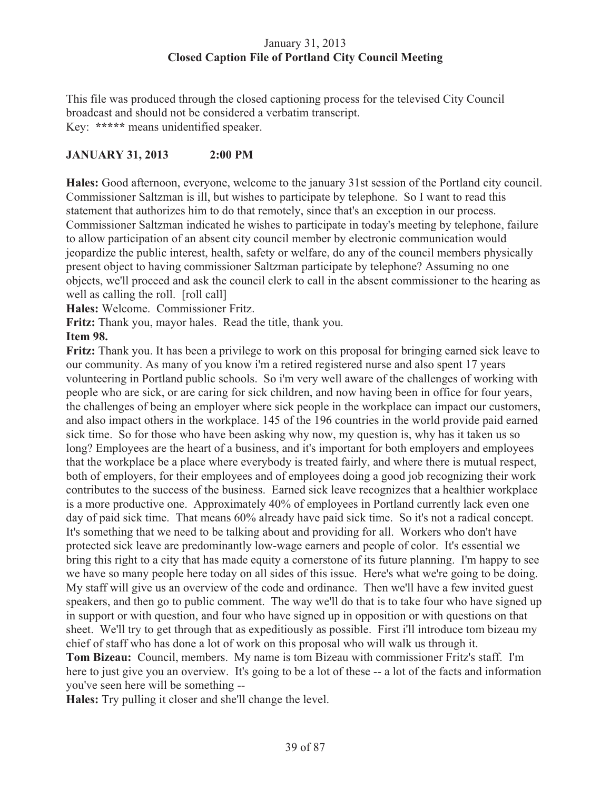#### January 31, 2013 **Closed Caption File of Portland City Council Meeting**

This file was produced through the closed captioning process for the televised City Council broadcast and should not be considered a verbatim transcript. Key: **\*\*\*\*\*** means unidentified speaker.

## **JANUARY 31, 2013 2:00 PM**

**Hales:** Good afternoon, everyone, welcome to the january 31st session of the Portland city council. Commissioner Saltzman is ill, but wishes to participate by telephone. So I want to read this statement that authorizes him to do that remotely, since that's an exception in our process. Commissioner Saltzman indicated he wishes to participate in today's meeting by telephone, failure to allow participation of an absent city council member by electronic communication would jeopardize the public interest, health, safety or welfare, do any of the council members physically present object to having commissioner Saltzman participate by telephone? Assuming no one objects, we'll proceed and ask the council clerk to call in the absent commissioner to the hearing as well as calling the roll. [roll call]

**Hales:** Welcome. Commissioner Fritz.

**Fritz:** Thank you, mayor hales. Read the title, thank you.

#### **Item 98.**

**Fritz:** Thank you. It has been a privilege to work on this proposal for bringing earned sick leave to our community. As many of you know i'm a retired registered nurse and also spent 17 years volunteering in Portland public schools. So i'm very well aware of the challenges of working with people who are sick, or are caring for sick children, and now having been in office for four years, the challenges of being an employer where sick people in the workplace can impact our customers, and also impact others in the workplace. 145 of the 196 countries in the world provide paid earned sick time. So for those who have been asking why now, my question is, why has it taken us so long? Employees are the heart of a business, and it's important for both employers and employees that the workplace be a place where everybody is treated fairly, and where there is mutual respect, both of employers, for their employees and of employees doing a good job recognizing their work contributes to the success of the business. Earned sick leave recognizes that a healthier workplace is a more productive one. Approximately 40% of employees in Portland currently lack even one day of paid sick time. That means 60% already have paid sick time. So it's not a radical concept. It's something that we need to be talking about and providing for all. Workers who don't have protected sick leave are predominantly low-wage earners and people of color. It's essential we bring this right to a city that has made equity a cornerstone of its future planning. I'm happy to see we have so many people here today on all sides of this issue. Here's what we're going to be doing. My staff will give us an overview of the code and ordinance. Then we'll have a few invited guest speakers, and then go to public comment. The way we'll do that is to take four who have signed up in support or with question, and four who have signed up in opposition or with questions on that sheet. We'll try to get through that as expeditiously as possible. First i'll introduce tom bizeau my chief of staff who has done a lot of work on this proposal who will walk us through it.

**Tom Bizeau:** Council, members. My name is tom Bizeau with commissioner Fritz's staff. I'm here to just give you an overview. It's going to be a lot of these -- a lot of the facts and information you've seen here will be something --

**Hales:** Try pulling it closer and she'll change the level.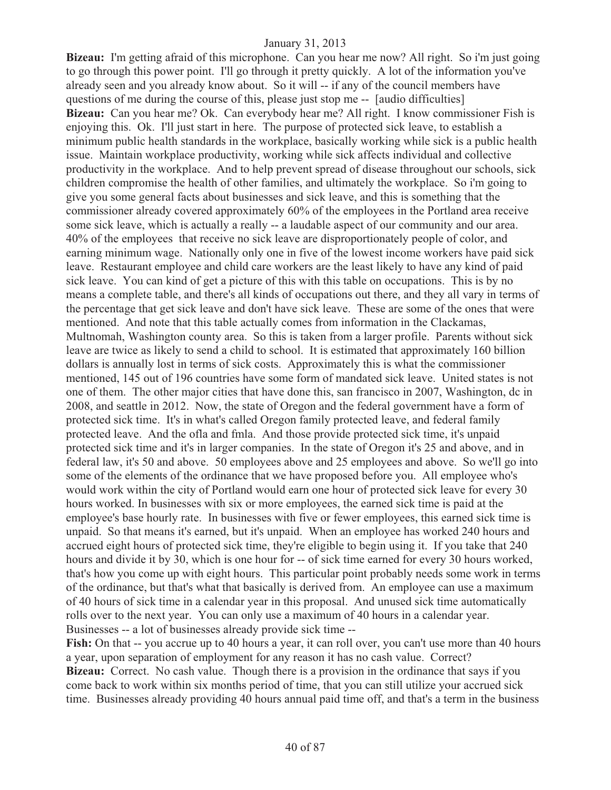**Bizeau:** I'm getting afraid of this microphone. Can you hear me now? All right. So i'm just going to go through this power point. I'll go through it pretty quickly. A lot of the information you've already seen and you already know about. So it will -- if any of the council members have questions of me during the course of this, please just stop me -- [audio difficulties] **Bizeau:** Can you hear me? Ok. Can everybody hear me? All right. I know commissioner Fish is enjoying this. Ok. I'll just start in here. The purpose of protected sick leave, to establish a minimum public health standards in the workplace, basically working while sick is a public health issue. Maintain workplace productivity, working while sick affects individual and collective productivity in the workplace. And to help prevent spread of disease throughout our schools, sick children compromise the health of other families, and ultimately the workplace. So i'm going to give you some general facts about businesses and sick leave, and this is something that the commissioner already covered approximately 60% of the employees in the Portland area receive some sick leave, which is actually a really -- a laudable aspect of our community and our area. 40% of the employees that receive no sick leave are disproportionately people of color, and earning minimum wage. Nationally only one in five of the lowest income workers have paid sick leave. Restaurant employee and child care workers are the least likely to have any kind of paid sick leave. You can kind of get a picture of this with this table on occupations. This is by no means a complete table, and there's all kinds of occupations out there, and they all vary in terms of the percentage that get sick leave and don't have sick leave. These are some of the ones that were mentioned. And note that this table actually comes from information in the Clackamas, Multnomah, Washington county area. So this is taken from a larger profile. Parents without sick leave are twice as likely to send a child to school. It is estimated that approximately 160 billion dollars is annually lost in terms of sick costs. Approximately this is what the commissioner mentioned, 145 out of 196 countries have some form of mandated sick leave. United states is not one of them. The other major cities that have done this, san francisco in 2007, Washington, dc in 2008, and seattle in 2012. Now, the state of Oregon and the federal government have a form of protected sick time. It's in what's called Oregon family protected leave, and federal family protected leave. And the ofla and fmla. And those provide protected sick time, it's unpaid protected sick time and it's in larger companies. In the state of Oregon it's 25 and above, and in federal law, it's 50 and above. 50 employees above and 25 employees and above. So we'll go into some of the elements of the ordinance that we have proposed before you. All employee who's would work within the city of Portland would earn one hour of protected sick leave for every 30 hours worked. In businesses with six or more employees, the earned sick time is paid at the employee's base hourly rate. In businesses with five or fewer employees, this earned sick time is unpaid. So that means it's earned, but it's unpaid. When an employee has worked 240 hours and accrued eight hours of protected sick time, they're eligible to begin using it. If you take that 240 hours and divide it by 30, which is one hour for -- of sick time earned for every 30 hours worked, that's how you come up with eight hours. This particular point probably needs some work in terms of the ordinance, but that's what that basically is derived from. An employee can use a maximum of 40 hours of sick time in a calendar year in this proposal. And unused sick time automatically rolls over to the next year. You can only use a maximum of 40 hours in a calendar year. Businesses -- a lot of businesses already provide sick time --

**Fish:** On that -- you accrue up to 40 hours a year, it can roll over, you can't use more than 40 hours a year, upon separation of employment for any reason it has no cash value. Correct? **Bizeau:** Correct. No cash value. Though there is a provision in the ordinance that says if you come back to work within six months period of time, that you can still utilize your accrued sick time. Businesses already providing 40 hours annual paid time off, and that's a term in the business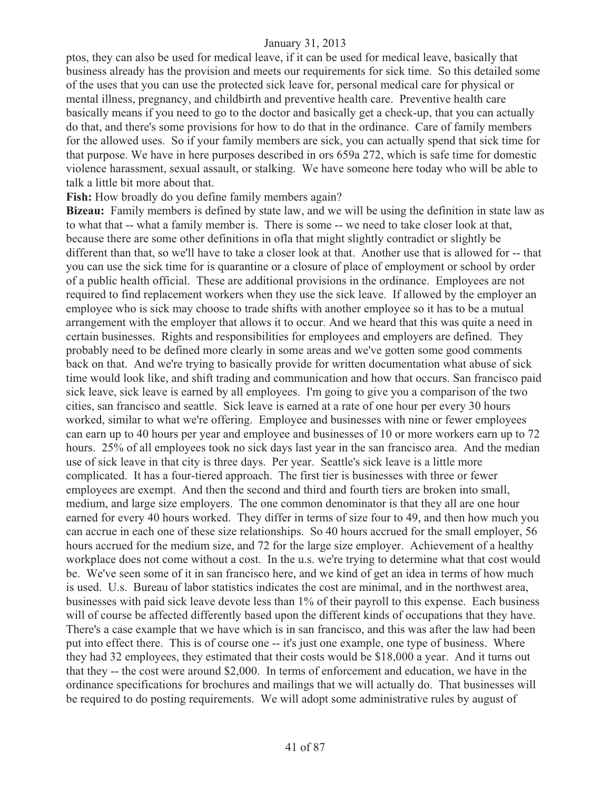ptos, they can also be used for medical leave, if it can be used for medical leave, basically that business already has the provision and meets our requirements for sick time. So this detailed some of the uses that you can use the protected sick leave for, personal medical care for physical or mental illness, pregnancy, and childbirth and preventive health care. Preventive health care basically means if you need to go to the doctor and basically get a check-up, that you can actually do that, and there's some provisions for how to do that in the ordinance. Care of family members for the allowed uses. So if your family members are sick, you can actually spend that sick time for that purpose. We have in here purposes described in ors 659a 272, which is safe time for domestic violence harassment, sexual assault, or stalking. We have someone here today who will be able to talk a little bit more about that.

**Fish:** How broadly do you define family members again?

**Bizeau:** Family members is defined by state law, and we will be using the definition in state law as to what that -- what a family member is. There is some -- we need to take closer look at that, because there are some other definitions in ofla that might slightly contradict or slightly be different than that, so we'll have to take a closer look at that. Another use that is allowed for -- that you can use the sick time for is quarantine or a closure of place of employment or school by order of a public health official. These are additional provisions in the ordinance. Employees are not required to find replacement workers when they use the sick leave. If allowed by the employer an employee who is sick may choose to trade shifts with another employee so it has to be a mutual arrangement with the employer that allows it to occur. And we heard that this was quite a need in certain businesses. Rights and responsibilities for employees and employers are defined. They probably need to be defined more clearly in some areas and we've gotten some good comments back on that. And we're trying to basically provide for written documentation what abuse of sick time would look like, and shift trading and communication and how that occurs. San francisco paid sick leave, sick leave is earned by all employees. I'm going to give you a comparison of the two cities, san francisco and seattle. Sick leave is earned at a rate of one hour per every 30 hours worked, similar to what we're offering. Employee and businesses with nine or fewer employees can earn up to 40 hours per year and employee and businesses of 10 or more workers earn up to 72 hours. 25% of all employees took no sick days last year in the san francisco area. And the median use of sick leave in that city is three days. Per year. Seattle's sick leave is a little more complicated. It has a four-tiered approach. The first tier is businesses with three or fewer employees are exempt. And then the second and third and fourth tiers are broken into small, medium, and large size employers. The one common denominator is that they all are one hour earned for every 40 hours worked. They differ in terms of size four to 49, and then how much you can accrue in each one of these size relationships. So 40 hours accrued for the small employer, 56 hours accrued for the medium size, and 72 for the large size employer. Achievement of a healthy workplace does not come without a cost. In the u.s. we're trying to determine what that cost would be. We've seen some of it in san francisco here, and we kind of get an idea in terms of how much is used. U.s. Bureau of labor statistics indicates the cost are minimal, and in the northwest area, businesses with paid sick leave devote less than 1% of their payroll to this expense. Each business will of course be affected differently based upon the different kinds of occupations that they have. There's a case example that we have which is in san francisco, and this was after the law had been put into effect there. This is of course one -- it's just one example, one type of business. Where they had 32 employees, they estimated that their costs would be \$18,000 a year. And it turns out that they -- the cost were around \$2,000. In terms of enforcement and education, we have in the ordinance specifications for brochures and mailings that we will actually do. That businesses will be required to do posting requirements. We will adopt some administrative rules by august of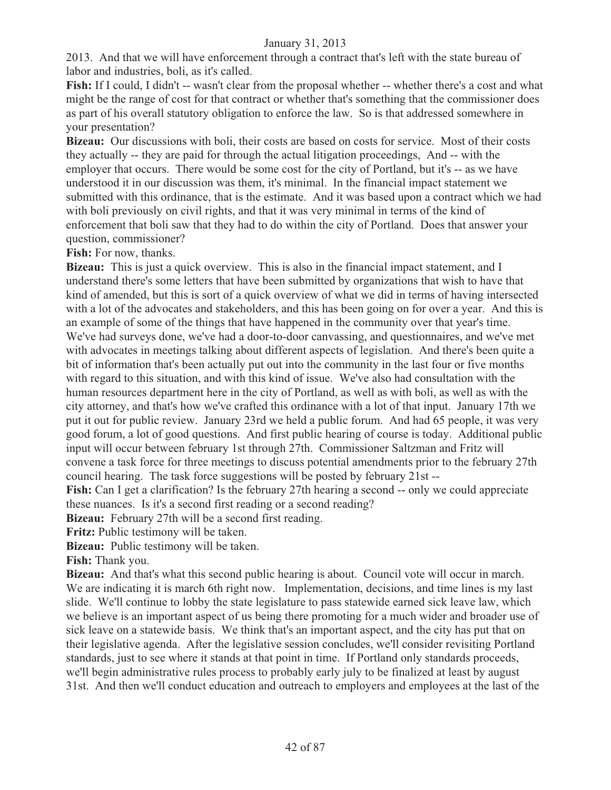2013. And that we will have enforcement through a contract that's left with the state bureau of labor and industries, boli, as it's called.

**Fish:** If I could, I didn't -- wasn't clear from the proposal whether -- whether there's a cost and what might be the range of cost for that contract or whether that's something that the commissioner does as part of his overall statutory obligation to enforce the law. So is that addressed somewhere in your presentation?

**Bizeau:** Our discussions with boli, their costs are based on costs for service. Most of their costs they actually -- they are paid for through the actual litigation proceedings, And -- with the employer that occurs. There would be some cost for the city of Portland, but it's -- as we have understood it in our discussion was them, it's minimal. In the financial impact statement we submitted with this ordinance, that is the estimate. And it was based upon a contract which we had with boli previously on civil rights, and that it was very minimal in terms of the kind of enforcement that boli saw that they had to do within the city of Portland. Does that answer your question, commissioner?

**Fish:** For now, thanks.

**Bizeau:** This is just a quick overview. This is also in the financial impact statement, and I understand there's some letters that have been submitted by organizations that wish to have that kind of amended, but this is sort of a quick overview of what we did in terms of having intersected with a lot of the advocates and stakeholders, and this has been going on for over a year. And this is an example of some of the things that have happened in the community over that year's time. We've had surveys done, we've had a door-to-door canvassing, and questionnaires, and we've met with advocates in meetings talking about different aspects of legislation. And there's been quite a bit of information that's been actually put out into the community in the last four or five months with regard to this situation, and with this kind of issue. We've also had consultation with the human resources department here in the city of Portland, as well as with boli, as well as with the city attorney, and that's how we've crafted this ordinance with a lot of that input. January 17th we put it out for public review. January 23rd we held a public forum. And had 65 people, it was very good forum, a lot of good questions. And first public hearing of course is today. Additional public input will occur between february 1st through 27th. Commissioner Saltzman and Fritz will convene a task force for three meetings to discuss potential amendments prior to the february 27th council hearing. The task force suggestions will be posted by february 21st --

**Fish:** Can I get a clarification? Is the february 27th hearing a second -- only we could appreciate these nuances. Is it's a second first reading or a second reading?

**Bizeau:** February 27th will be a second first reading.

**Fritz:** Public testimony will be taken.

**Bizeau:** Public testimony will be taken.

**Fish:** Thank you.

**Bizeau:** And that's what this second public hearing is about. Council vote will occur in march. We are indicating it is march 6th right now. Implementation, decisions, and time lines is my last slide. We'll continue to lobby the state legislature to pass statewide earned sick leave law, which we believe is an important aspect of us being there promoting for a much wider and broader use of sick leave on a statewide basis. We think that's an important aspect, and the city has put that on their legislative agenda. After the legislative session concludes, we'll consider revisiting Portland standards, just to see where it stands at that point in time. If Portland only standards proceeds, we'll begin administrative rules process to probably early july to be finalized at least by august 31st. And then we'll conduct education and outreach to employers and employees at the last of the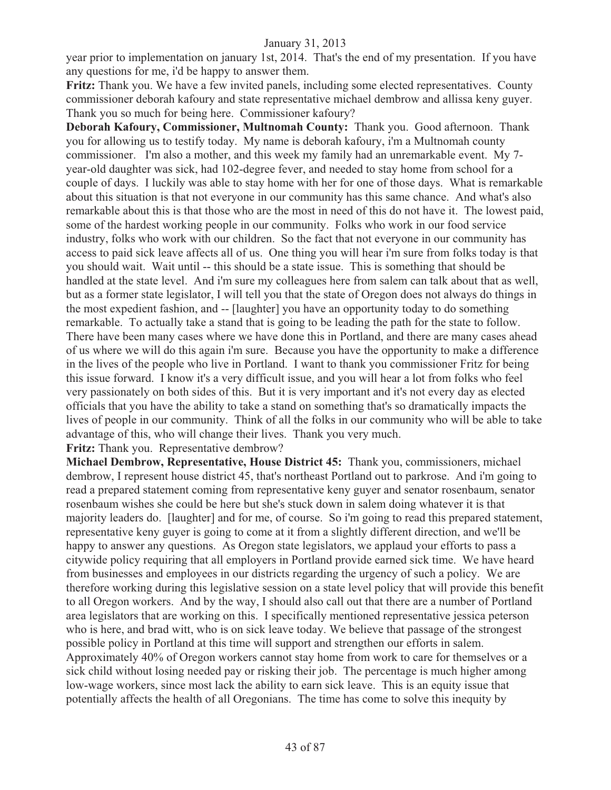year prior to implementation on january 1st, 2014. That's the end of my presentation. If you have any questions for me, i'd be happy to answer them.

**Fritz:** Thank you. We have a few invited panels, including some elected representatives. County commissioner deborah kafoury and state representative michael dembrow and allissa keny guyer. Thank you so much for being here. Commissioner kafoury?

**Deborah Kafoury, Commissioner, Multnomah County:** Thank you. Good afternoon. Thank you for allowing us to testify today. My name is deborah kafoury, i'm a Multnomah county commissioner. I'm also a mother, and this week my family had an unremarkable event. My 7 year-old daughter was sick, had 102-degree fever, and needed to stay home from school for a couple of days. I luckily was able to stay home with her for one of those days. What is remarkable about this situation is that not everyone in our community has this same chance. And what's also remarkable about this is that those who are the most in need of this do not have it. The lowest paid, some of the hardest working people in our community. Folks who work in our food service industry, folks who work with our children. So the fact that not everyone in our community has access to paid sick leave affects all of us. One thing you will hear i'm sure from folks today is that you should wait. Wait until -- this should be a state issue. This is something that should be handled at the state level. And i'm sure my colleagues here from salem can talk about that as well, but as a former state legislator, I will tell you that the state of Oregon does not always do things in the most expedient fashion, and -- [laughter] you have an opportunity today to do something remarkable. To actually take a stand that is going to be leading the path for the state to follow. There have been many cases where we have done this in Portland, and there are many cases ahead of us where we will do this again i'm sure. Because you have the opportunity to make a difference in the lives of the people who live in Portland. I want to thank you commissioner Fritz for being this issue forward. I know it's a very difficult issue, and you will hear a lot from folks who feel very passionately on both sides of this. But it is very important and it's not every day as elected officials that you have the ability to take a stand on something that's so dramatically impacts the lives of people in our community. Think of all the folks in our community who will be able to take advantage of this, who will change their lives. Thank you very much.

**Fritz:** Thank you. Representative dembrow?

**Michael Dembrow, Representative, House District 45:** Thank you, commissioners, michael dembrow, I represent house district 45, that's northeast Portland out to parkrose. And i'm going to read a prepared statement coming from representative keny guyer and senator rosenbaum, senator rosenbaum wishes she could be here but she's stuck down in salem doing whatever it is that majority leaders do. [laughter] and for me, of course. So i'm going to read this prepared statement, representative keny guyer is going to come at it from a slightly different direction, and we'll be happy to answer any questions. As Oregon state legislators, we applaud your efforts to pass a citywide policy requiring that all employers in Portland provide earned sick time. We have heard from businesses and employees in our districts regarding the urgency of such a policy. We are therefore working during this legislative session on a state level policy that will provide this benefit to all Oregon workers. And by the way, I should also call out that there are a number of Portland area legislators that are working on this. I specifically mentioned representative jessica peterson who is here, and brad witt, who is on sick leave today. We believe that passage of the strongest possible policy in Portland at this time will support and strengthen our efforts in salem. Approximately 40% of Oregon workers cannot stay home from work to care for themselves or a sick child without losing needed pay or risking their job. The percentage is much higher among low-wage workers, since most lack the ability to earn sick leave. This is an equity issue that potentially affects the health of all Oregonians. The time has come to solve this inequity by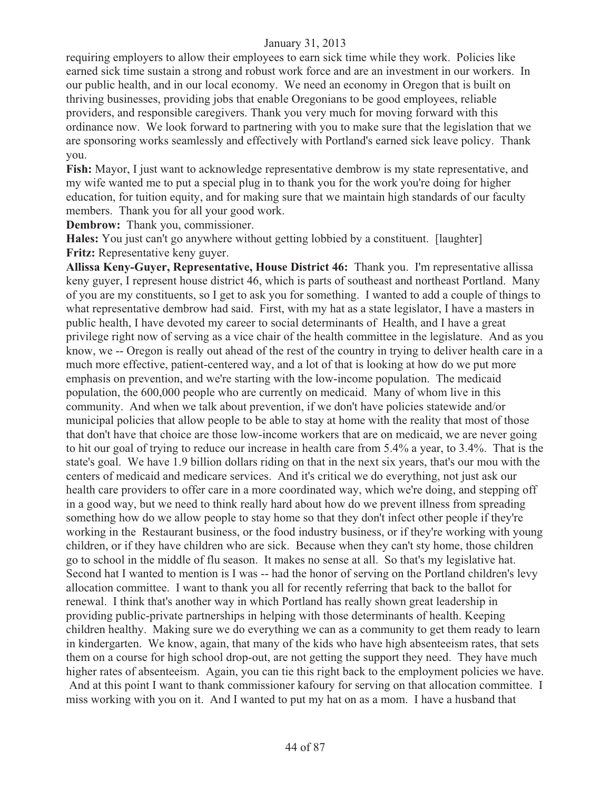requiring employers to allow their employees to earn sick time while they work. Policies like earned sick time sustain a strong and robust work force and are an investment in our workers. In our public health, and in our local economy. We need an economy in Oregon that is built on thriving businesses, providing jobs that enable Oregonians to be good employees, reliable providers, and responsible caregivers. Thank you very much for moving forward with this ordinance now. We look forward to partnering with you to make sure that the legislation that we are sponsoring works seamlessly and effectively with Portland's earned sick leave policy. Thank you.

**Fish:** Mayor, I just want to acknowledge representative dembrow is my state representative, and my wife wanted me to put a special plug in to thank you for the work you're doing for higher education, for tuition equity, and for making sure that we maintain high standards of our faculty members. Thank you for all your good work.

**Dembrow:** Thank you, commissioner.

**Hales:** You just can't go anywhere without getting lobbied by a constituent. [laughter] **Fritz:** Representative keny guyer.

**Allissa Keny-Guyer, Representative, House District 46:** Thank you. I'm representative allissa keny guyer, I represent house district 46, which is parts of southeast and northeast Portland. Many of you are my constituents, so I get to ask you for something. I wanted to add a couple of things to what representative dembrow had said. First, with my hat as a state legislator, I have a masters in public health, I have devoted my career to social determinants of Health, and I have a great privilege right now of serving as a vice chair of the health committee in the legislature. And as you know, we -- Oregon is really out ahead of the rest of the country in trying to deliver health care in a much more effective, patient-centered way, and a lot of that is looking at how do we put more emphasis on prevention, and we're starting with the low-income population. The medicaid population, the 600,000 people who are currently on medicaid. Many of whom live in this community. And when we talk about prevention, if we don't have policies statewide and/or municipal policies that allow people to be able to stay at home with the reality that most of those that don't have that choice are those low-income workers that are on medicaid, we are never going to hit our goal of trying to reduce our increase in health care from 5.4% a year, to 3.4%. That is the state's goal. We have 1.9 billion dollars riding on that in the next six years, that's our mou with the centers of medicaid and medicare services. And it's critical we do everything, not just ask our health care providers to offer care in a more coordinated way, which we're doing, and stepping off in a good way, but we need to think really hard about how do we prevent illness from spreading something how do we allow people to stay home so that they don't infect other people if they're working in the Restaurant business, or the food industry business, or if they're working with young children, or if they have children who are sick. Because when they can't sty home, those children go to school in the middle of flu season. It makes no sense at all. So that's my legislative hat. Second hat I wanted to mention is I was -- had the honor of serving on the Portland children's levy allocation committee. I want to thank you all for recently referring that back to the ballot for renewal. I think that's another way in which Portland has really shown great leadership in providing public-private partnerships in helping with those determinants of health. Keeping children healthy. Making sure we do everything we can as a community to get them ready to learn in kindergarten. We know, again, that many of the kids who have high absenteeism rates, that sets them on a course for high school drop-out, are not getting the support they need. They have much higher rates of absenteeism. Again, you can tie this right back to the employment policies we have. And at this point I want to thank commissioner kafoury for serving on that allocation committee. I miss working with you on it. And I wanted to put my hat on as a mom. I have a husband that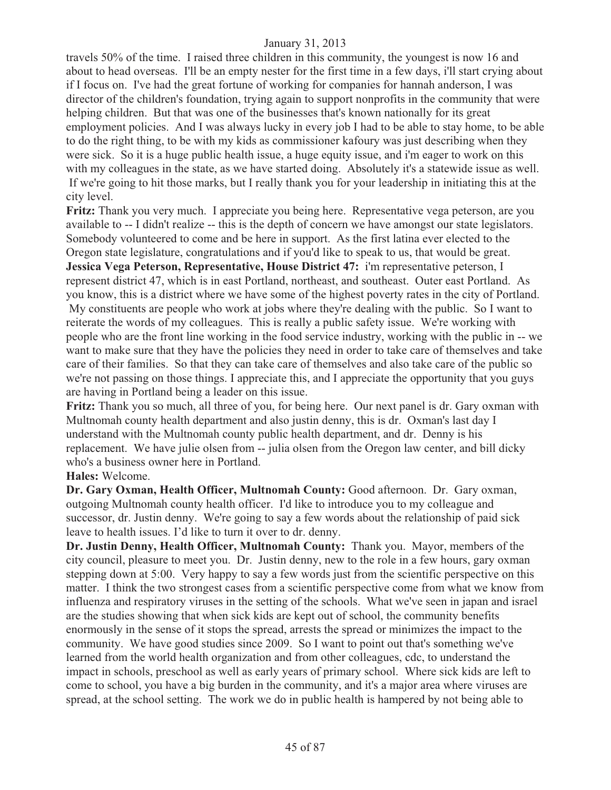travels 50% of the time. I raised three children in this community, the youngest is now 16 and about to head overseas. I'll be an empty nester for the first time in a few days, i'll start crying about if I focus on. I've had the great fortune of working for companies for hannah anderson, I was director of the children's foundation, trying again to support nonprofits in the community that were helping children. But that was one of the businesses that's known nationally for its great employment policies. And I was always lucky in every job I had to be able to stay home, to be able to do the right thing, to be with my kids as commissioner kafoury was just describing when they were sick. So it is a huge public health issue, a huge equity issue, and i'm eager to work on this with my colleagues in the state, as we have started doing. Absolutely it's a statewide issue as well. If we're going to hit those marks, but I really thank you for your leadership in initiating this at the city level.

**Fritz:** Thank you very much. I appreciate you being here. Representative vega peterson, are you available to -- I didn't realize -- this is the depth of concern we have amongst our state legislators. Somebody volunteered to come and be here in support. As the first latina ever elected to the Oregon state legislature, congratulations and if you'd like to speak to us, that would be great. **Jessica Vega Peterson, Representative, House District 47:** i'm representative peterson, I represent district 47, which is in east Portland, northeast, and southeast. Outer east Portland. As you know, this is a district where we have some of the highest poverty rates in the city of Portland. My constituents are people who work at jobs where they're dealing with the public. So I want to reiterate the words of my colleagues. This is really a public safety issue. We're working with people who are the front line working in the food service industry, working with the public in -- we want to make sure that they have the policies they need in order to take care of themselves and take care of their families. So that they can take care of themselves and also take care of the public so we're not passing on those things. I appreciate this, and I appreciate the opportunity that you guys are having in Portland being a leader on this issue.

**Fritz:** Thank you so much, all three of you, for being here. Our next panel is dr. Gary oxman with Multnomah county health department and also justin denny, this is dr. Oxman's last day I understand with the Multnomah county public health department, and dr. Denny is his replacement. We have julie olsen from -- julia olsen from the Oregon law center, and bill dicky who's a business owner here in Portland.

#### **Hales:** Welcome.

**Dr. Gary Oxman, Health Officer, Multnomah County:** Good afternoon. Dr. Gary oxman, outgoing Multnomah county health officer. I'd like to introduce you to my colleague and successor, dr. Justin denny. We're going to say a few words about the relationship of paid sick leave to health issues. I'd like to turn it over to dr. denny.

**Dr. Justin Denny, Health Officer, Multnomah County:** Thank you. Mayor, members of the city council, pleasure to meet you. Dr. Justin denny, new to the role in a few hours, gary oxman stepping down at 5:00. Very happy to say a few words just from the scientific perspective on this matter. I think the two strongest cases from a scientific perspective come from what we know from influenza and respiratory viruses in the setting of the schools. What we've seen in japan and israel are the studies showing that when sick kids are kept out of school, the community benefits enormously in the sense of it stops the spread, arrests the spread or minimizes the impact to the community. We have good studies since 2009. So I want to point out that's something we've learned from the world health organization and from other colleagues, cdc, to understand the impact in schools, preschool as well as early years of primary school. Where sick kids are left to come to school, you have a big burden in the community, and it's a major area where viruses are spread, at the school setting. The work we do in public health is hampered by not being able to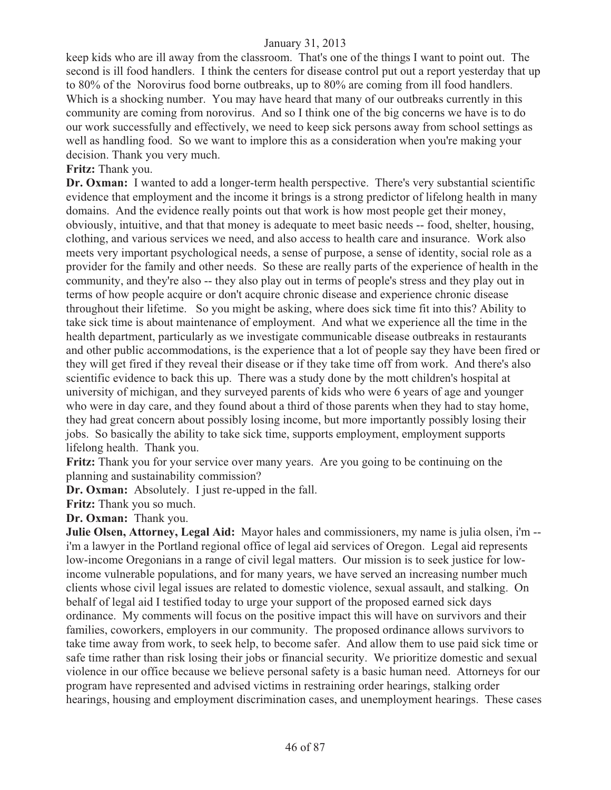keep kids who are ill away from the classroom. That's one of the things I want to point out. The second is ill food handlers. I think the centers for disease control put out a report yesterday that up to 80% of the Norovirus food borne outbreaks, up to 80% are coming from ill food handlers. Which is a shocking number. You may have heard that many of our outbreaks currently in this community are coming from norovirus. And so I think one of the big concerns we have is to do our work successfully and effectively, we need to keep sick persons away from school settings as well as handling food. So we want to implore this as a consideration when you're making your decision. Thank you very much.

**Fritz:** Thank you.

Dr. Oxman: I wanted to add a longer-term health perspective. There's very substantial scientific evidence that employment and the income it brings is a strong predictor of lifelong health in many domains. And the evidence really points out that work is how most people get their money, obviously, intuitive, and that that money is adequate to meet basic needs -- food, shelter, housing, clothing, and various services we need, and also access to health care and insurance. Work also meets very important psychological needs, a sense of purpose, a sense of identity, social role as a provider for the family and other needs. So these are really parts of the experience of health in the community, and they're also -- they also play out in terms of people's stress and they play out in terms of how people acquire or don't acquire chronic disease and experience chronic disease throughout their lifetime. So you might be asking, where does sick time fit into this? Ability to take sick time is about maintenance of employment. And what we experience all the time in the health department, particularly as we investigate communicable disease outbreaks in restaurants and other public accommodations, is the experience that a lot of people say they have been fired or they will get fired if they reveal their disease or if they take time off from work. And there's also scientific evidence to back this up. There was a study done by the mott children's hospital at university of michigan, and they surveyed parents of kids who were 6 years of age and younger who were in day care, and they found about a third of those parents when they had to stay home, they had great concern about possibly losing income, but more importantly possibly losing their jobs. So basically the ability to take sick time, supports employment, employment supports lifelong health. Thank you.

**Fritz:** Thank you for your service over many years. Are you going to be continuing on the planning and sustainability commission?

**Dr. Oxman:** Absolutely. I just re-upped in the fall.

**Fritz:** Thank you so much.

**Dr. Oxman:** Thank you.

**Julie Olsen, Attorney, Legal Aid:** Mayor hales and commissioners, my name is julia olsen, i'm - i'm a lawyer in the Portland regional office of legal aid services of Oregon. Legal aid represents low-income Oregonians in a range of civil legal matters. Our mission is to seek justice for lowincome vulnerable populations, and for many years, we have served an increasing number much clients whose civil legal issues are related to domestic violence, sexual assault, and stalking. On behalf of legal aid I testified today to urge your support of the proposed earned sick days ordinance. My comments will focus on the positive impact this will have on survivors and their families, coworkers, employers in our community. The proposed ordinance allows survivors to take time away from work, to seek help, to become safer. And allow them to use paid sick time or safe time rather than risk losing their jobs or financial security. We prioritize domestic and sexual violence in our office because we believe personal safety is a basic human need. Attorneys for our program have represented and advised victims in restraining order hearings, stalking order hearings, housing and employment discrimination cases, and unemployment hearings. These cases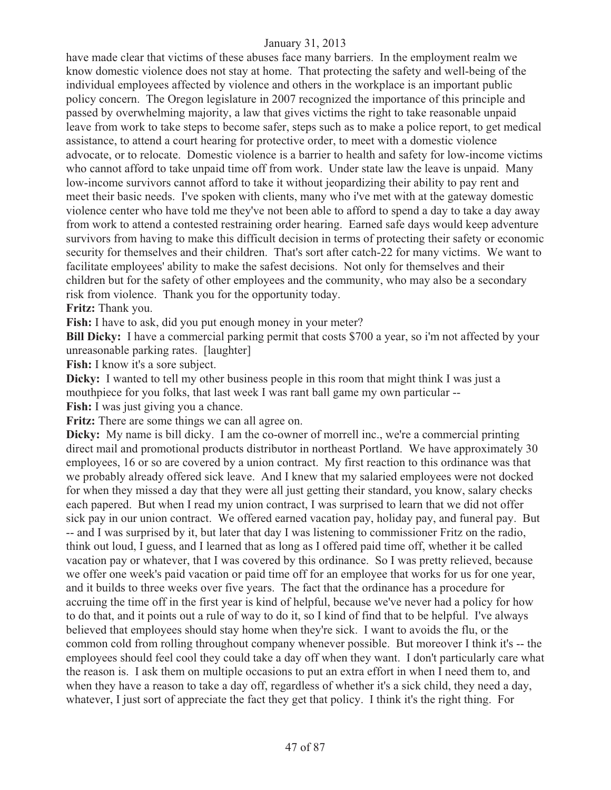have made clear that victims of these abuses face many barriers. In the employment realm we know domestic violence does not stay at home. That protecting the safety and well-being of the individual employees affected by violence and others in the workplace is an important public policy concern. The Oregon legislature in 2007 recognized the importance of this principle and passed by overwhelming majority, a law that gives victims the right to take reasonable unpaid leave from work to take steps to become safer, steps such as to make a police report, to get medical assistance, to attend a court hearing for protective order, to meet with a domestic violence advocate, or to relocate. Domestic violence is a barrier to health and safety for low-income victims who cannot afford to take unpaid time off from work. Under state law the leave is unpaid. Many low-income survivors cannot afford to take it without jeopardizing their ability to pay rent and meet their basic needs. I've spoken with clients, many who i've met with at the gateway domestic violence center who have told me they've not been able to afford to spend a day to take a day away from work to attend a contested restraining order hearing. Earned safe days would keep adventure survivors from having to make this difficult decision in terms of protecting their safety or economic security for themselves and their children. That's sort after catch-22 for many victims. We want to facilitate employees' ability to make the safest decisions. Not only for themselves and their children but for the safety of other employees and the community, who may also be a secondary risk from violence. Thank you for the opportunity today.

**Fritz:** Thank you.

**Fish:** I have to ask, did you put enough money in your meter?

**Bill Dicky:** I have a commercial parking permit that costs \$700 a year, so i'm not affected by your unreasonable parking rates. [laughter]

**Fish:** I know it's a sore subject.

**Dicky:** I wanted to tell my other business people in this room that might think I was just a mouthpiece for you folks, that last week I was rant ball game my own particular --

**Fish:** I was just giving you a chance.

**Fritz:** There are some things we can all agree on.

**Dicky:** My name is bill dicky. I am the co-owner of morrell inc., we're a commercial printing direct mail and promotional products distributor in northeast Portland. We have approximately 30 employees, 16 or so are covered by a union contract. My first reaction to this ordinance was that we probably already offered sick leave. And I knew that my salaried employees were not docked for when they missed a day that they were all just getting their standard, you know, salary checks each papered. But when I read my union contract, I was surprised to learn that we did not offer sick pay in our union contract. We offered earned vacation pay, holiday pay, and funeral pay. But -- and I was surprised by it, but later that day I was listening to commissioner Fritz on the radio, think out loud, I guess, and I learned that as long as I offered paid time off, whether it be called vacation pay or whatever, that I was covered by this ordinance. So I was pretty relieved, because we offer one week's paid vacation or paid time off for an employee that works for us for one year, and it builds to three weeks over five years. The fact that the ordinance has a procedure for accruing the time off in the first year is kind of helpful, because we've never had a policy for how to do that, and it points out a rule of way to do it, so I kind of find that to be helpful. I've always believed that employees should stay home when they're sick. I want to avoids the flu, or the common cold from rolling throughout company whenever possible. But moreover I think it's -- the employees should feel cool they could take a day off when they want. I don't particularly care what the reason is. I ask them on multiple occasions to put an extra effort in when I need them to, and when they have a reason to take a day off, regardless of whether it's a sick child, they need a day, whatever, I just sort of appreciate the fact they get that policy. I think it's the right thing. For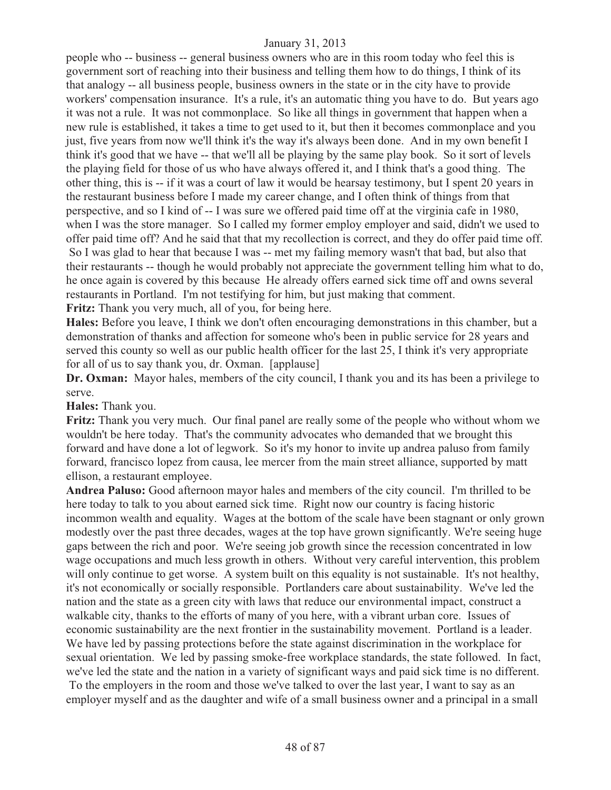people who -- business -- general business owners who are in this room today who feel this is government sort of reaching into their business and telling them how to do things, I think of its that analogy -- all business people, business owners in the state or in the city have to provide workers' compensation insurance. It's a rule, it's an automatic thing you have to do. But years ago it was not a rule. It was not commonplace. So like all things in government that happen when a new rule is established, it takes a time to get used to it, but then it becomes commonplace and you just, five years from now we'll think it's the way it's always been done. And in my own benefit I think it's good that we have -- that we'll all be playing by the same play book. So it sort of levels the playing field for those of us who have always offered it, and I think that's a good thing. The other thing, this is -- if it was a court of law it would be hearsay testimony, but I spent 20 years in the restaurant business before I made my career change, and I often think of things from that perspective, and so I kind of -- I was sure we offered paid time off at the virginia cafe in 1980, when I was the store manager. So I called my former employ employer and said, didn't we used to offer paid time off? And he said that that my recollection is correct, and they do offer paid time off. So I was glad to hear that because I was -- met my failing memory wasn't that bad, but also that their restaurants -- though he would probably not appreciate the government telling him what to do, he once again is covered by this because He already offers earned sick time off and owns several restaurants in Portland. I'm not testifying for him, but just making that comment. **Fritz:** Thank you very much, all of you, for being here.

**Hales:** Before you leave, I think we don't often encouraging demonstrations in this chamber, but a demonstration of thanks and affection for someone who's been in public service for 28 years and served this county so well as our public health officer for the last 25, I think it's very appropriate for all of us to say thank you, dr. Oxman. [applause]

**Dr. Oxman:** Mayor hales, members of the city council, I thank you and its has been a privilege to serve.

**Hales:** Thank you.

**Fritz:** Thank you very much. Our final panel are really some of the people who without whom we wouldn't be here today. That's the community advocates who demanded that we brought this forward and have done a lot of legwork. So it's my honor to invite up andrea paluso from family forward, francisco lopez from causa, lee mercer from the main street alliance, supported by matt ellison, a restaurant employee.

**Andrea Paluso:** Good afternoon mayor hales and members of the city council. I'm thrilled to be here today to talk to you about earned sick time. Right now our country is facing historic incommon wealth and equality. Wages at the bottom of the scale have been stagnant or only grown modestly over the past three decades, wages at the top have grown significantly. We're seeing huge gaps between the rich and poor. We're seeing job growth since the recession concentrated in low wage occupations and much less growth in others. Without very careful intervention, this problem will only continue to get worse. A system built on this equality is not sustainable. It's not healthy, it's not economically or socially responsible. Portlanders care about sustainability. We've led the nation and the state as a green city with laws that reduce our environmental impact, construct a walkable city, thanks to the efforts of many of you here, with a vibrant urban core. Issues of economic sustainability are the next frontier in the sustainability movement. Portland is a leader. We have led by passing protections before the state against discrimination in the workplace for sexual orientation. We led by passing smoke-free workplace standards, the state followed. In fact, we've led the state and the nation in a variety of significant ways and paid sick time is no different. To the employers in the room and those we've talked to over the last year, I want to say as an employer myself and as the daughter and wife of a small business owner and a principal in a small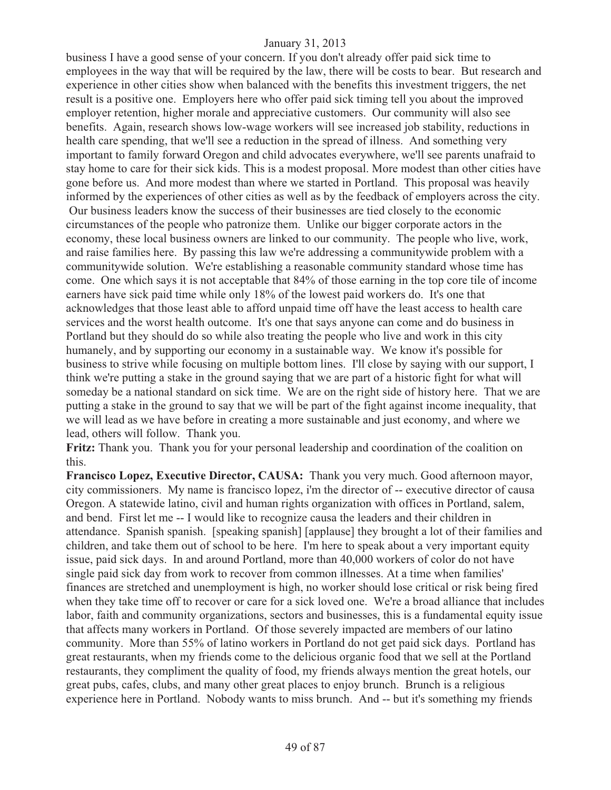business I have a good sense of your concern. If you don't already offer paid sick time to employees in the way that will be required by the law, there will be costs to bear. But research and experience in other cities show when balanced with the benefits this investment triggers, the net result is a positive one. Employers here who offer paid sick timing tell you about the improved employer retention, higher morale and appreciative customers. Our community will also see benefits. Again, research shows low-wage workers will see increased job stability, reductions in health care spending, that we'll see a reduction in the spread of illness. And something very important to family forward Oregon and child advocates everywhere, we'll see parents unafraid to stay home to care for their sick kids. This is a modest proposal. More modest than other cities have gone before us. And more modest than where we started in Portland. This proposal was heavily informed by the experiences of other cities as well as by the feedback of employers across the city. Our business leaders know the success of their businesses are tied closely to the economic circumstances of the people who patronize them. Unlike our bigger corporate actors in the economy, these local business owners are linked to our community. The people who live, work, and raise families here. By passing this law we're addressing a communitywide problem with a communitywide solution. We're establishing a reasonable community standard whose time has come. One which says it is not acceptable that 84% of those earning in the top core tile of income earners have sick paid time while only 18% of the lowest paid workers do. It's one that acknowledges that those least able to afford unpaid time off have the least access to health care services and the worst health outcome. It's one that says anyone can come and do business in Portland but they should do so while also treating the people who live and work in this city humanely, and by supporting our economy in a sustainable way. We know it's possible for business to strive while focusing on multiple bottom lines. I'll close by saying with our support, I think we're putting a stake in the ground saying that we are part of a historic fight for what will someday be a national standard on sick time. We are on the right side of history here. That we are putting a stake in the ground to say that we will be part of the fight against income inequality, that we will lead as we have before in creating a more sustainable and just economy, and where we lead, others will follow. Thank you.

**Fritz:** Thank you. Thank you for your personal leadership and coordination of the coalition on this.

**Francisco Lopez, Executive Director, CAUSA:** Thank you very much. Good afternoon mayor, city commissioners. My name is francisco lopez, i'm the director of -- executive director of causa Oregon. A statewide latino, civil and human rights organization with offices in Portland, salem, and bend. First let me -- I would like to recognize causa the leaders and their children in attendance. Spanish spanish. [speaking spanish] [applause] they brought a lot of their families and children, and take them out of school to be here. I'm here to speak about a very important equity issue, paid sick days. In and around Portland, more than 40,000 workers of color do not have single paid sick day from work to recover from common illnesses. At a time when families' finances are stretched and unemployment is high, no worker should lose critical or risk being fired when they take time off to recover or care for a sick loved one. We're a broad alliance that includes labor, faith and community organizations, sectors and businesses, this is a fundamental equity issue that affects many workers in Portland. Of those severely impacted are members of our latino community. More than 55% of latino workers in Portland do not get paid sick days. Portland has great restaurants, when my friends come to the delicious organic food that we sell at the Portland restaurants, they compliment the quality of food, my friends always mention the great hotels, our great pubs, cafes, clubs, and many other great places to enjoy brunch. Brunch is a religious experience here in Portland. Nobody wants to miss brunch. And -- but it's something my friends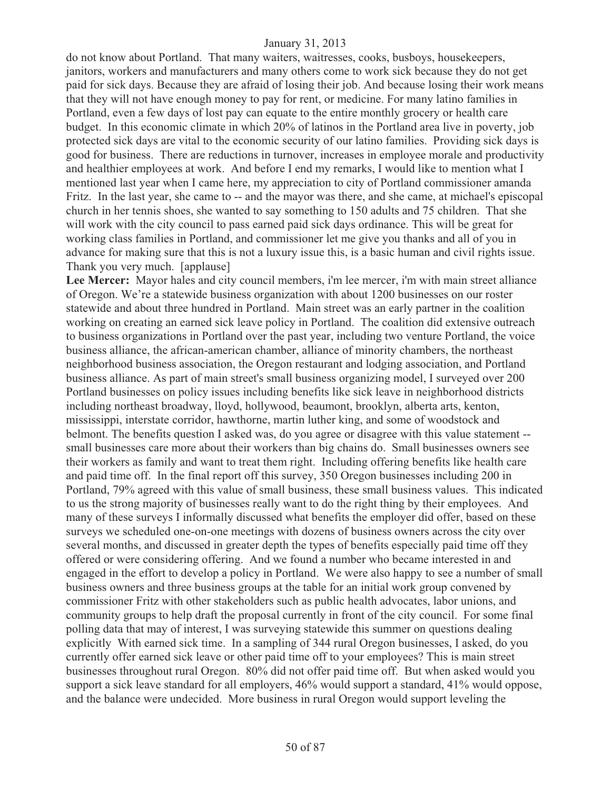do not know about Portland. That many waiters, waitresses, cooks, busboys, housekeepers, janitors, workers and manufacturers and many others come to work sick because they do not get paid for sick days. Because they are afraid of losing their job. And because losing their work means that they will not have enough money to pay for rent, or medicine. For many latino families in Portland, even a few days of lost pay can equate to the entire monthly grocery or health care budget. In this economic climate in which 20% of latinos in the Portland area live in poverty, job protected sick days are vital to the economic security of our latino families. Providing sick days is good for business. There are reductions in turnover, increases in employee morale and productivity and healthier employees at work. And before I end my remarks, I would like to mention what I mentioned last year when I came here, my appreciation to city of Portland commissioner amanda Fritz. In the last year, she came to -- and the mayor was there, and she came, at michael's episcopal church in her tennis shoes, she wanted to say something to 150 adults and 75 children. That she will work with the city council to pass earned paid sick days ordinance. This will be great for working class families in Portland, and commissioner let me give you thanks and all of you in advance for making sure that this is not a luxury issue this, is a basic human and civil rights issue. Thank you very much. [applause]

Lee Mercer: Mayor hales and city council members, i'm lee mercer, i'm with main street alliance of Oregon. We're a statewide business organization with about 1200 businesses on our roster statewide and about three hundred in Portland. Main street was an early partner in the coalition working on creating an earned sick leave policy in Portland. The coalition did extensive outreach to business organizations in Portland over the past year, including two venture Portland, the voice business alliance, the african-american chamber, alliance of minority chambers, the northeast neighborhood business association, the Oregon restaurant and lodging association, and Portland business alliance. As part of main street's small business organizing model, I surveyed over 200 Portland businesses on policy issues including benefits like sick leave in neighborhood districts including northeast broadway, lloyd, hollywood, beaumont, brooklyn, alberta arts, kenton, mississippi, interstate corridor, hawthorne, martin luther king, and some of woodstock and belmont. The benefits question I asked was, do you agree or disagree with this value statement - small businesses care more about their workers than big chains do. Small businesses owners see their workers as family and want to treat them right. Including offering benefits like health care and paid time off. In the final report off this survey, 350 Oregon businesses including 200 in Portland, 79% agreed with this value of small business, these small business values. This indicated to us the strong majority of businesses really want to do the right thing by their employees. And many of these surveys I informally discussed what benefits the employer did offer, based on these surveys we scheduled one-on-one meetings with dozens of business owners across the city over several months, and discussed in greater depth the types of benefits especially paid time off they offered or were considering offering. And we found a number who became interested in and engaged in the effort to develop a policy in Portland. We were also happy to see a number of small business owners and three business groups at the table for an initial work group convened by commissioner Fritz with other stakeholders such as public health advocates, labor unions, and community groups to help draft the proposal currently in front of the city council. For some final polling data that may of interest, I was surveying statewide this summer on questions dealing explicitly With earned sick time. In a sampling of 344 rural Oregon businesses, I asked, do you currently offer earned sick leave or other paid time off to your employees? This is main street businesses throughout rural Oregon. 80% did not offer paid time off. But when asked would you support a sick leave standard for all employers, 46% would support a standard, 41% would oppose, and the balance were undecided. More business in rural Oregon would support leveling the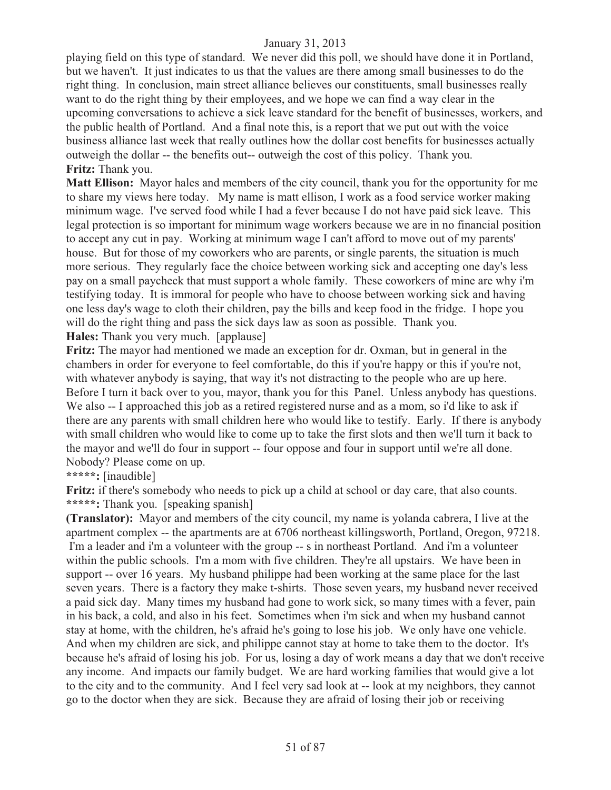playing field on this type of standard. We never did this poll, we should have done it in Portland, but we haven't. It just indicates to us that the values are there among small businesses to do the right thing. In conclusion, main street alliance believes our constituents, small businesses really want to do the right thing by their employees, and we hope we can find a way clear in the upcoming conversations to achieve a sick leave standard for the benefit of businesses, workers, and the public health of Portland. And a final note this, is a report that we put out with the voice business alliance last week that really outlines how the dollar cost benefits for businesses actually outweigh the dollar -- the benefits out-- outweigh the cost of this policy. Thank you. **Fritz:** Thank you.

**Matt Ellison:** Mayor hales and members of the city council, thank you for the opportunity for me to share my views here today. My name is matt ellison, I work as a food service worker making minimum wage. I've served food while I had a fever because I do not have paid sick leave. This legal protection is so important for minimum wage workers because we are in no financial position to accept any cut in pay. Working at minimum wage I can't afford to move out of my parents' house. But for those of my coworkers who are parents, or single parents, the situation is much more serious. They regularly face the choice between working sick and accepting one day's less pay on a small paycheck that must support a whole family. These coworkers of mine are why i'm testifying today. It is immoral for people who have to choose between working sick and having one less day's wage to cloth their children, pay the bills and keep food in the fridge. I hope you will do the right thing and pass the sick days law as soon as possible. Thank you.

**Hales:** Thank you very much. [applause]

**Fritz:** The mayor had mentioned we made an exception for dr. Oxman, but in general in the chambers in order for everyone to feel comfortable, do this if you're happy or this if you're not, with whatever anybody is saying, that way it's not distracting to the people who are up here. Before I turn it back over to you, mayor, thank you for this Panel. Unless anybody has questions. We also -- I approached this job as a retired registered nurse and as a mom, so i'd like to ask if there are any parents with small children here who would like to testify. Early. If there is anybody with small children who would like to come up to take the first slots and then we'll turn it back to the mayor and we'll do four in support -- four oppose and four in support until we're all done. Nobody? Please come on up.

**\*\*\*\*\*:** [inaudible]

Fritz: if there's somebody who needs to pick up a child at school or day care, that also counts. **\*\*\*\*\*:** Thank you. [speaking spanish]

**(Translator):** Mayor and members of the city council, my name is yolanda cabrera, I live at the apartment complex -- the apartments are at 6706 northeast killingsworth, Portland, Oregon, 97218. I'm a leader and i'm a volunteer with the group -- s in northeast Portland. And i'm a volunteer within the public schools. I'm a mom with five children. They're all upstairs. We have been in support -- over 16 years. My husband philippe had been working at the same place for the last seven years. There is a factory they make t-shirts. Those seven years, my husband never received a paid sick day. Many times my husband had gone to work sick, so many times with a fever, pain in his back, a cold, and also in his feet. Sometimes when i'm sick and when my husband cannot stay at home, with the children, he's afraid he's going to lose his job. We only have one vehicle. And when my children are sick, and philippe cannot stay at home to take them to the doctor. It's because he's afraid of losing his job. For us, losing a day of work means a day that we don't receive any income. And impacts our family budget. We are hard working families that would give a lot to the city and to the community. And I feel very sad look at -- look at my neighbors, they cannot go to the doctor when they are sick. Because they are afraid of losing their job or receiving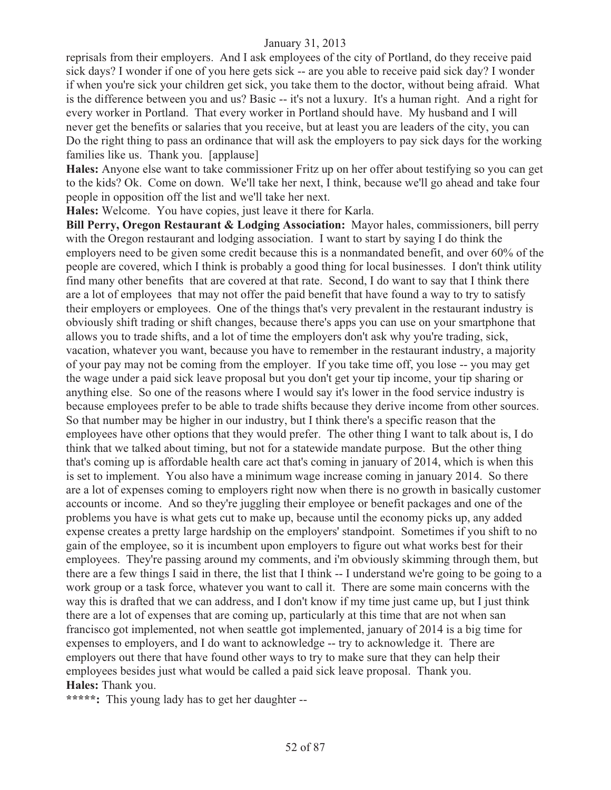reprisals from their employers. And I ask employees of the city of Portland, do they receive paid sick days? I wonder if one of you here gets sick -- are you able to receive paid sick day? I wonder if when you're sick your children get sick, you take them to the doctor, without being afraid. What is the difference between you and us? Basic -- it's not a luxury. It's a human right. And a right for every worker in Portland. That every worker in Portland should have. My husband and I will never get the benefits or salaries that you receive, but at least you are leaders of the city, you can Do the right thing to pass an ordinance that will ask the employers to pay sick days for the working families like us. Thank you. [applause]

**Hales:** Anyone else want to take commissioner Fritz up on her offer about testifying so you can get to the kids? Ok. Come on down. We'll take her next, I think, because we'll go ahead and take four people in opposition off the list and we'll take her next.

**Hales:** Welcome. You have copies, just leave it there for Karla.

**Bill Perry, Oregon Restaurant & Lodging Association:** Mayor hales, commissioners, bill perry with the Oregon restaurant and lodging association. I want to start by saying I do think the employers need to be given some credit because this is a nonmandated benefit, and over 60% of the people are covered, which I think is probably a good thing for local businesses. I don't think utility find many other benefits that are covered at that rate. Second, I do want to say that I think there are a lot of employees that may not offer the paid benefit that have found a way to try to satisfy their employers or employees. One of the things that's very prevalent in the restaurant industry is obviously shift trading or shift changes, because there's apps you can use on your smartphone that allows you to trade shifts, and a lot of time the employers don't ask why you're trading, sick, vacation, whatever you want, because you have to remember in the restaurant industry, a majority of your pay may not be coming from the employer. If you take time off, you lose -- you may get the wage under a paid sick leave proposal but you don't get your tip income, your tip sharing or anything else. So one of the reasons where I would say it's lower in the food service industry is because employees prefer to be able to trade shifts because they derive income from other sources. So that number may be higher in our industry, but I think there's a specific reason that the employees have other options that they would prefer. The other thing I want to talk about is, I do think that we talked about timing, but not for a statewide mandate purpose. But the other thing that's coming up is affordable health care act that's coming in january of 2014, which is when this is set to implement. You also have a minimum wage increase coming in january 2014. So there are a lot of expenses coming to employers right now when there is no growth in basically customer accounts or income. And so they're juggling their employee or benefit packages and one of the problems you have is what gets cut to make up, because until the economy picks up, any added expense creates a pretty large hardship on the employers' standpoint. Sometimes if you shift to no gain of the employee, so it is incumbent upon employers to figure out what works best for their employees. They're passing around my comments, and i'm obviously skimming through them, but there are a few things I said in there, the list that I think -- I understand we're going to be going to a work group or a task force, whatever you want to call it. There are some main concerns with the way this is drafted that we can address, and I don't know if my time just came up, but I just think there are a lot of expenses that are coming up, particularly at this time that are not when san francisco got implemented, not when seattle got implemented, january of 2014 is a big time for expenses to employers, and I do want to acknowledge -- try to acknowledge it. There are employers out there that have found other ways to try to make sure that they can help their employees besides just what would be called a paid sick leave proposal. Thank you. **Hales:** Thank you.

**\*\*\*\*\*:** This young lady has to get her daughter --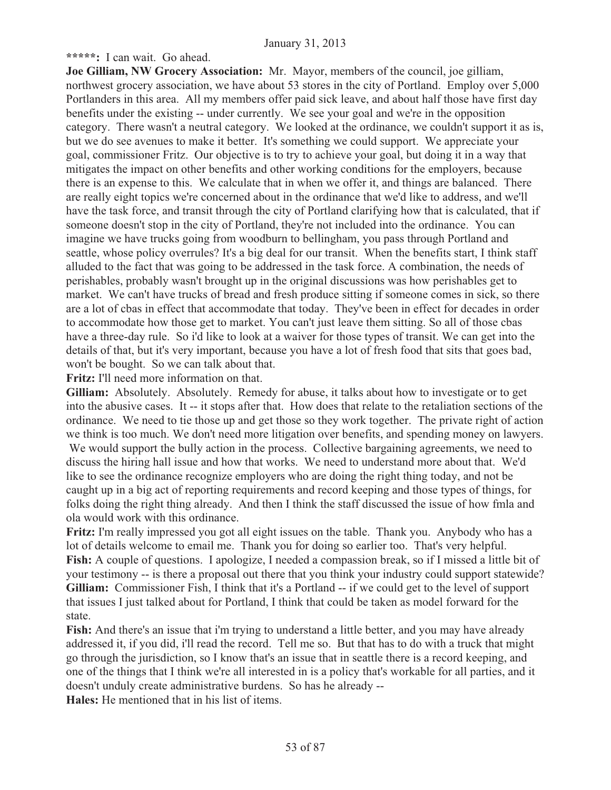**\*\*\*\*\*:** I can wait. Go ahead.

**Joe Gilliam, NW Grocery Association:** Mr. Mayor, members of the council, joe gilliam, northwest grocery association, we have about 53 stores in the city of Portland. Employ over 5,000 Portlanders in this area. All my members offer paid sick leave, and about half those have first day benefits under the existing -- under currently. We see your goal and we're in the opposition category. There wasn't a neutral category. We looked at the ordinance, we couldn't support it as is, but we do see avenues to make it better. It's something we could support. We appreciate your goal, commissioner Fritz. Our objective is to try to achieve your goal, but doing it in a way that mitigates the impact on other benefits and other working conditions for the employers, because there is an expense to this. We calculate that in when we offer it, and things are balanced. There are really eight topics we're concerned about in the ordinance that we'd like to address, and we'll have the task force, and transit through the city of Portland clarifying how that is calculated, that if someone doesn't stop in the city of Portland, they're not included into the ordinance. You can imagine we have trucks going from woodburn to bellingham, you pass through Portland and seattle, whose policy overrules? It's a big deal for our transit. When the benefits start, I think staff alluded to the fact that was going to be addressed in the task force. A combination, the needs of perishables, probably wasn't brought up in the original discussions was how perishables get to market. We can't have trucks of bread and fresh produce sitting if someone comes in sick, so there are a lot of cbas in effect that accommodate that today. They've been in effect for decades in order to accommodate how those get to market. You can't just leave them sitting. So all of those cbas have a three-day rule. So i'd like to look at a waiver for those types of transit. We can get into the details of that, but it's very important, because you have a lot of fresh food that sits that goes bad, won't be bought. So we can talk about that.

**Fritz:** I'll need more information on that.

**Gilliam:** Absolutely. Absolutely. Remedy for abuse, it talks about how to investigate or to get into the abusive cases. It -- it stops after that. How does that relate to the retaliation sections of the ordinance. We need to tie those up and get those so they work together. The private right of action we think is too much. We don't need more litigation over benefits, and spending money on lawyers. We would support the bully action in the process. Collective bargaining agreements, we need to discuss the hiring hall issue and how that works. We need to understand more about that. We'd like to see the ordinance recognize employers who are doing the right thing today, and not be caught up in a big act of reporting requirements and record keeping and those types of things, for folks doing the right thing already. And then I think the staff discussed the issue of how fmla and ola would work with this ordinance.

**Fritz:** I'm really impressed you got all eight issues on the table. Thank you. Anybody who has a lot of details welcome to email me. Thank you for doing so earlier too. That's very helpful. **Fish:** A couple of questions. I apologize, I needed a compassion break, so if I missed a little bit of your testimony -- is there a proposal out there that you think your industry could support statewide? **Gilliam:** Commissioner Fish, I think that it's a Portland -- if we could get to the level of support that issues I just talked about for Portland, I think that could be taken as model forward for the state.

**Fish:** And there's an issue that i'm trying to understand a little better, and you may have already addressed it, if you did, i'll read the record. Tell me so. But that has to do with a truck that might go through the jurisdiction, so I know that's an issue that in seattle there is a record keeping, and one of the things that I think we're all interested in is a policy that's workable for all parties, and it doesn't unduly create administrative burdens. So has he already --

**Hales:** He mentioned that in his list of items.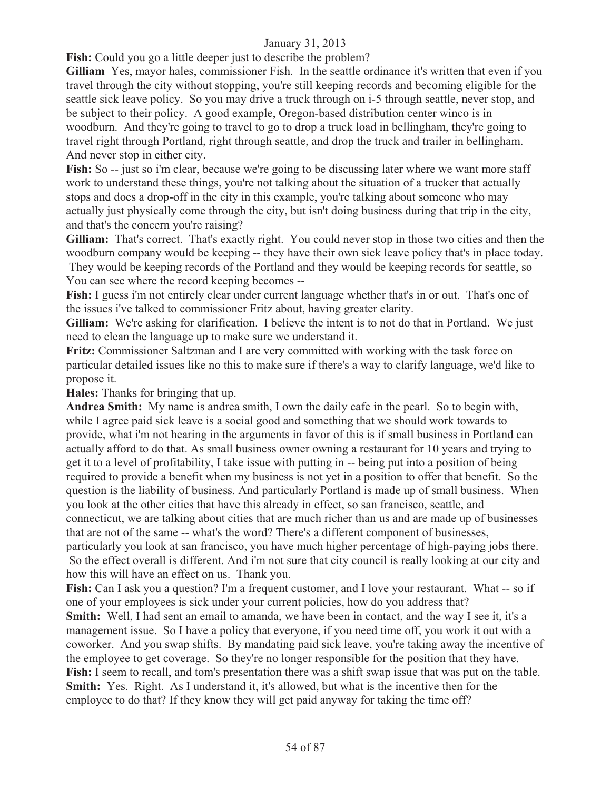**Fish:** Could you go a little deeper just to describe the problem?

**Gilliam** Yes, mayor hales, commissioner Fish. In the seattle ordinance it's written that even if you travel through the city without stopping, you're still keeping records and becoming eligible for the seattle sick leave policy. So you may drive a truck through on i-5 through seattle, never stop, and be subject to their policy. A good example, Oregon-based distribution center winco is in woodburn. And they're going to travel to go to drop a truck load in bellingham, they're going to travel right through Portland, right through seattle, and drop the truck and trailer in bellingham. And never stop in either city.

**Fish:** So -- just so i'm clear, because we're going to be discussing later where we want more staff work to understand these things, you're not talking about the situation of a trucker that actually stops and does a drop-off in the city in this example, you're talking about someone who may actually just physically come through the city, but isn't doing business during that trip in the city, and that's the concern you're raising?

**Gilliam:** That's correct. That's exactly right. You could never stop in those two cities and then the woodburn company would be keeping -- they have their own sick leave policy that's in place today. They would be keeping records of the Portland and they would be keeping records for seattle, so You can see where the record keeping becomes --

**Fish:** I guess i'm not entirely clear under current language whether that's in or out. That's one of the issues i've talked to commissioner Fritz about, having greater clarity.

**Gilliam:** We're asking for clarification. I believe the intent is to not do that in Portland. We just need to clean the language up to make sure we understand it.

**Fritz:** Commissioner Saltzman and I are very committed with working with the task force on particular detailed issues like no this to make sure if there's a way to clarify language, we'd like to propose it.

**Hales:** Thanks for bringing that up.

**Andrea Smith:** My name is andrea smith, I own the daily cafe in the pearl. So to begin with, while I agree paid sick leave is a social good and something that we should work towards to provide, what i'm not hearing in the arguments in favor of this is if small business in Portland can actually afford to do that. As small business owner owning a restaurant for 10 years and trying to get it to a level of profitability, I take issue with putting in -- being put into a position of being required to provide a benefit when my business is not yet in a position to offer that benefit. So the question is the liability of business. And particularly Portland is made up of small business. When you look at the other cities that have this already in effect, so san francisco, seattle, and connecticut, we are talking about cities that are much richer than us and are made up of businesses that are not of the same -- what's the word? There's a different component of businesses, particularly you look at san francisco, you have much higher percentage of high-paying jobs there. So the effect overall is different. And i'm not sure that city council is really looking at our city and

how this will have an effect on us. Thank you.

**Fish:** Can I ask you a question? I'm a frequent customer, and I love your restaurant. What -- so if one of your employees is sick under your current policies, how do you address that?

**Smith:** Well, I had sent an email to amanda, we have been in contact, and the way I see it, it's a management issue. So I have a policy that everyone, if you need time off, you work it out with a coworker. And you swap shifts. By mandating paid sick leave, you're taking away the incentive of the employee to get coverage. So they're no longer responsible for the position that they have. **Fish:** I seem to recall, and tom's presentation there was a shift swap issue that was put on the table. **Smith:** Yes. Right. As I understand it, it's allowed, but what is the incentive then for the employee to do that? If they know they will get paid anyway for taking the time off?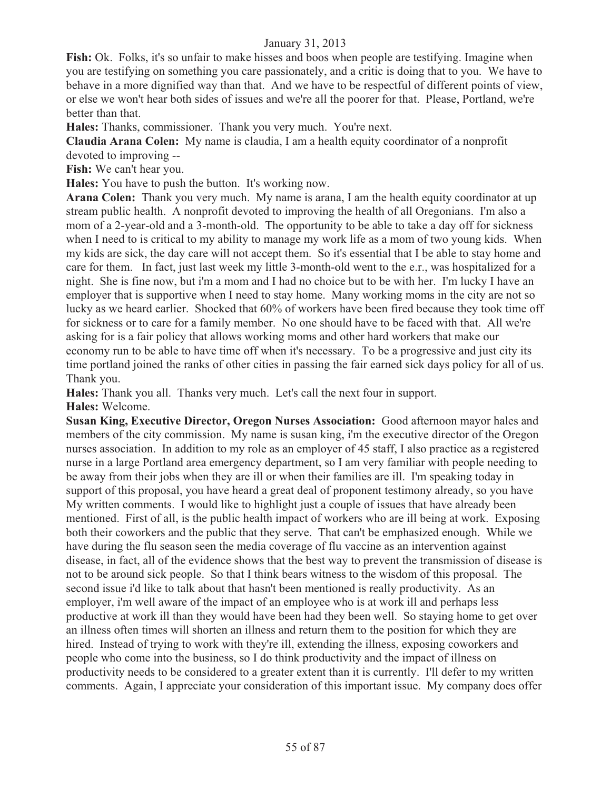**Fish:** Ok. Folks, it's so unfair to make hisses and boos when people are testifying. Imagine when you are testifying on something you care passionately, and a critic is doing that to you. We have to behave in a more dignified way than that. And we have to be respectful of different points of view, or else we won't hear both sides of issues and we're all the poorer for that. Please, Portland, we're better than that.

**Hales:** Thanks, commissioner. Thank you very much. You're next.

**Claudia Arana Colen:** My name is claudia, I am a health equity coordinator of a nonprofit devoted to improving --

**Fish:** We can't hear you.

**Hales:** You have to push the button. It's working now.

**Arana Colen:** Thank you very much. My name is arana, I am the health equity coordinator at up stream public health. A nonprofit devoted to improving the health of all Oregonians. I'm also a mom of a 2-year-old and a 3-month-old. The opportunity to be able to take a day off for sickness when I need to is critical to my ability to manage my work life as a mom of two young kids. When my kids are sick, the day care will not accept them. So it's essential that I be able to stay home and care for them. In fact, just last week my little 3-month-old went to the e.r., was hospitalized for a night. She is fine now, but i'm a mom and I had no choice but to be with her. I'm lucky I have an employer that is supportive when I need to stay home. Many working moms in the city are not so lucky as we heard earlier. Shocked that 60% of workers have been fired because they took time off for sickness or to care for a family member. No one should have to be faced with that. All we're asking for is a fair policy that allows working moms and other hard workers that make our economy run to be able to have time off when it's necessary. To be a progressive and just city its time portland joined the ranks of other cities in passing the fair earned sick days policy for all of us. Thank you.

**Hales:** Thank you all. Thanks very much. Let's call the next four in support. **Hales:** Welcome.

**Susan King, Executive Director, Oregon Nurses Association:** Good afternoon mayor hales and members of the city commission. My name is susan king, i'm the executive director of the Oregon nurses association. In addition to my role as an employer of 45 staff, I also practice as a registered nurse in a large Portland area emergency department, so I am very familiar with people needing to be away from their jobs when they are ill or when their families are ill. I'm speaking today in support of this proposal, you have heard a great deal of proponent testimony already, so you have My written comments. I would like to highlight just a couple of issues that have already been mentioned. First of all, is the public health impact of workers who are ill being at work. Exposing both their coworkers and the public that they serve. That can't be emphasized enough. While we have during the flu season seen the media coverage of flu vaccine as an intervention against disease, in fact, all of the evidence shows that the best way to prevent the transmission of disease is not to be around sick people. So that I think bears witness to the wisdom of this proposal. The second issue i'd like to talk about that hasn't been mentioned is really productivity. As an employer, i'm well aware of the impact of an employee who is at work ill and perhaps less productive at work ill than they would have been had they been well. So staying home to get over an illness often times will shorten an illness and return them to the position for which they are hired. Instead of trying to work with they're ill, extending the illness, exposing coworkers and people who come into the business, so I do think productivity and the impact of illness on productivity needs to be considered to a greater extent than it is currently. I'll defer to my written comments. Again, I appreciate your consideration of this important issue. My company does offer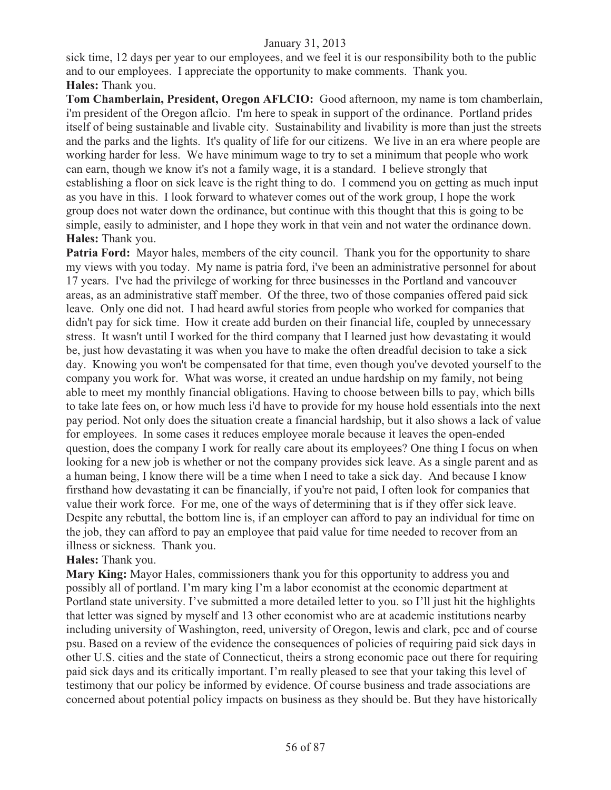sick time, 12 days per year to our employees, and we feel it is our responsibility both to the public and to our employees. I appreciate the opportunity to make comments. Thank you. **Hales:** Thank you.

**Tom Chamberlain, President, Oregon AFLCIO:** Good afternoon, my name is tom chamberlain, i'm president of the Oregon aflcio. I'm here to speak in support of the ordinance. Portland prides itself of being sustainable and livable city. Sustainability and livability is more than just the streets and the parks and the lights. It's quality of life for our citizens. We live in an era where people are working harder for less. We have minimum wage to try to set a minimum that people who work can earn, though we know it's not a family wage, it is a standard. I believe strongly that establishing a floor on sick leave is the right thing to do. I commend you on getting as much input as you have in this. I look forward to whatever comes out of the work group, I hope the work group does not water down the ordinance, but continue with this thought that this is going to be simple, easily to administer, and I hope they work in that vein and not water the ordinance down. **Hales:** Thank you.

**Patria Ford:** Mayor hales, members of the city council. Thank you for the opportunity to share my views with you today. My name is patria ford, i've been an administrative personnel for about 17 years. I've had the privilege of working for three businesses in the Portland and vancouver areas, as an administrative staff member. Of the three, two of those companies offered paid sick leave. Only one did not. I had heard awful stories from people who worked for companies that didn't pay for sick time. How it create add burden on their financial life, coupled by unnecessary stress. It wasn't until I worked for the third company that I learned just how devastating it would be, just how devastating it was when you have to make the often dreadful decision to take a sick day. Knowing you won't be compensated for that time, even though you've devoted yourself to the company you work for. What was worse, it created an undue hardship on my family, not being able to meet my monthly financial obligations. Having to choose between bills to pay, which bills to take late fees on, or how much less i'd have to provide for my house hold essentials into the next pay period. Not only does the situation create a financial hardship, but it also shows a lack of value for employees. In some cases it reduces employee morale because it leaves the open-ended question, does the company I work for really care about its employees? One thing I focus on when looking for a new job is whether or not the company provides sick leave. As a single parent and as a human being, I know there will be a time when I need to take a sick day. And because I know firsthand how devastating it can be financially, if you're not paid, I often look for companies that value their work force. For me, one of the ways of determining that is if they offer sick leave. Despite any rebuttal, the bottom line is, if an employer can afford to pay an individual for time on the job, they can afford to pay an employee that paid value for time needed to recover from an illness or sickness. Thank you.

#### **Hales:** Thank you.

**Mary King:** Mayor Hales, commissioners thank you for this opportunity to address you and possibly all of portland. I'm mary king I'm a labor economist at the economic department at Portland state university. I've submitted a more detailed letter to you. so I'll just hit the highlights that letter was signed by myself and 13 other economist who are at academic institutions nearby including university of Washington, reed, university of Oregon, lewis and clark, pcc and of course psu. Based on a review of the evidence the consequences of policies of requiring paid sick days in other U.S. cities and the state of Connecticut, theirs a strong economic pace out there for requiring paid sick days and its critically important. I'm really pleased to see that your taking this level of testimony that our policy be informed by evidence. Of course business and trade associations are concerned about potential policy impacts on business as they should be. But they have historically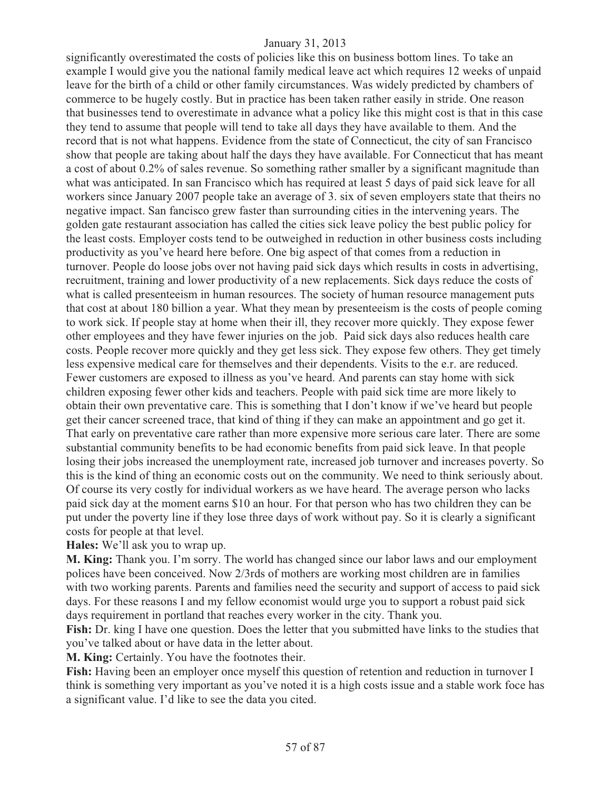significantly overestimated the costs of policies like this on business bottom lines. To take an example I would give you the national family medical leave act which requires 12 weeks of unpaid leave for the birth of a child or other family circumstances. Was widely predicted by chambers of commerce to be hugely costly. But in practice has been taken rather easily in stride. One reason that businesses tend to overestimate in advance what a policy like this might cost is that in this case they tend to assume that people will tend to take all days they have available to them. And the record that is not what happens. Evidence from the state of Connecticut, the city of san Francisco show that people are taking about half the days they have available. For Connecticut that has meant a cost of about 0.2% of sales revenue. So something rather smaller by a significant magnitude than what was anticipated. In san Francisco which has required at least 5 days of paid sick leave for all workers since January 2007 people take an average of 3. six of seven employers state that theirs no negative impact. San fancisco grew faster than surrounding cities in the intervening years. The golden gate restaurant association has called the cities sick leave policy the best public policy for the least costs. Employer costs tend to be outweighed in reduction in other business costs including productivity as you've heard here before. One big aspect of that comes from a reduction in turnover. People do loose jobs over not having paid sick days which results in costs in advertising, recruitment, training and lower productivity of a new replacements. Sick days reduce the costs of what is called presenteeism in human resources. The society of human resource management puts that cost at about 180 billion a year. What they mean by presenteeism is the costs of people coming to work sick. If people stay at home when their ill, they recover more quickly. They expose fewer other employees and they have fewer injuries on the job. Paid sick days also reduces health care costs. People recover more quickly and they get less sick. They expose few others. They get timely less expensive medical care for themselves and their dependents. Visits to the e.r. are reduced. Fewer customers are exposed to illness as you've heard. And parents can stay home with sick children exposing fewer other kids and teachers. People with paid sick time are more likely to obtain their own preventative care. This is something that I don't know if we've heard but people get their cancer screened trace, that kind of thing if they can make an appointment and go get it. That early on preventative care rather than more expensive more serious care later. There are some substantial community benefits to be had economic benefits from paid sick leave. In that people losing their jobs increased the unemployment rate, increased job turnover and increases poverty. So this is the kind of thing an economic costs out on the community. We need to think seriously about. Of course its very costly for individual workers as we have heard. The average person who lacks paid sick day at the moment earns \$10 an hour. For that person who has two children they can be put under the poverty line if they lose three days of work without pay. So it is clearly a significant costs for people at that level.

**Hales:** We'll ask you to wrap up.

**M. King:** Thank you. I'm sorry. The world has changed since our labor laws and our employment polices have been conceived. Now 2/3rds of mothers are working most children are in families with two working parents. Parents and families need the security and support of access to paid sick days. For these reasons I and my fellow economist would urge you to support a robust paid sick days requirement in portland that reaches every worker in the city. Thank you.

**Fish:** Dr. king I have one question. Does the letter that you submitted have links to the studies that you've talked about or have data in the letter about.

**M. King:** Certainly. You have the footnotes their.

**Fish:** Having been an employer once myself this question of retention and reduction in turnover I think is something very important as you've noted it is a high costs issue and a stable work foce has a significant value. I'd like to see the data you cited.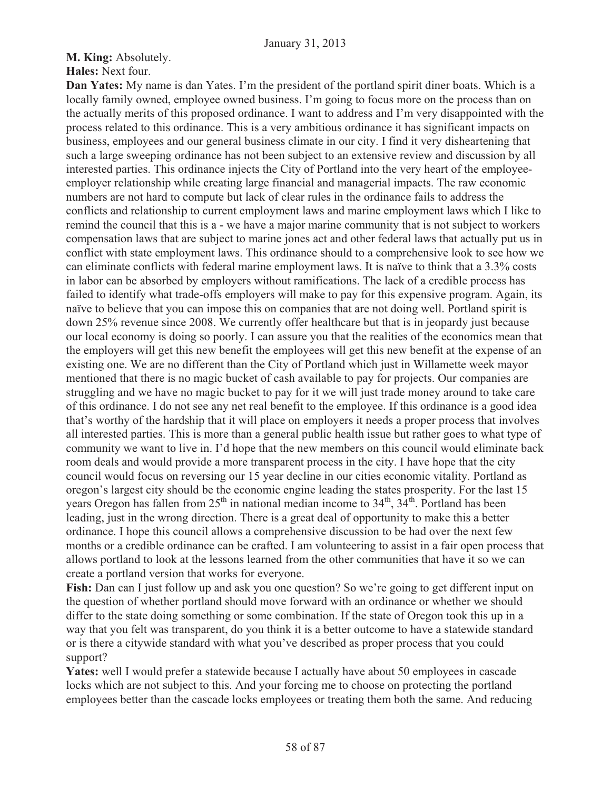**M. King:** Absolutely.

**Hales:** Next four.

**Dan Yates:** My name is dan Yates. I'm the president of the portland spirit diner boats. Which is a locally family owned, employee owned business. I'm going to focus more on the process than on the actually merits of this proposed ordinance. I want to address and I'm very disappointed with the process related to this ordinance. This is a very ambitious ordinance it has significant impacts on business, employees and our general business climate in our city. I find it very disheartening that such a large sweeping ordinance has not been subject to an extensive review and discussion by all interested parties. This ordinance injects the City of Portland into the very heart of the employeeemployer relationship while creating large financial and managerial impacts. The raw economic numbers are not hard to compute but lack of clear rules in the ordinance fails to address the conflicts and relationship to current employment laws and marine employment laws which I like to remind the council that this is a - we have a major marine community that is not subject to workers compensation laws that are subject to marine jones act and other federal laws that actually put us in conflict with state employment laws. This ordinance should to a comprehensive look to see how we can eliminate conflicts with federal marine employment laws. It is naïve to think that a 3.3% costs in labor can be absorbed by employers without ramifications. The lack of a credible process has failed to identify what trade-offs employers will make to pay for this expensive program. Again, its naïve to believe that you can impose this on companies that are not doing well. Portland spirit is down 25% revenue since 2008. We currently offer healthcare but that is in jeopardy just because our local economy is doing so poorly. I can assure you that the realities of the economics mean that the employers will get this new benefit the employees will get this new benefit at the expense of an existing one. We are no different than the City of Portland which just in Willamette week mayor mentioned that there is no magic bucket of cash available to pay for projects. Our companies are struggling and we have no magic bucket to pay for it we will just trade money around to take care of this ordinance. I do not see any net real benefit to the employee. If this ordinance is a good idea that's worthy of the hardship that it will place on employers it needs a proper process that involves all interested parties. This is more than a general public health issue but rather goes to what type of community we want to live in. I'd hope that the new members on this council would eliminate back room deals and would provide a more transparent process in the city. I have hope that the city council would focus on reversing our 15 year decline in our cities economic vitality. Portland as oregon's largest city should be the economic engine leading the states prosperity. For the last 15 years Oregon has fallen from  $25<sup>th</sup>$  in national median income to  $34<sup>th</sup>$ ,  $34<sup>th</sup>$ . Portland has been leading, just in the wrong direction. There is a great deal of opportunity to make this a better ordinance. I hope this council allows a comprehensive discussion to be had over the next few months or a credible ordinance can be crafted. I am volunteering to assist in a fair open process that allows portland to look at the lessons learned from the other communities that have it so we can create a portland version that works for everyone.

**Fish:** Dan can I just follow up and ask you one question? So we're going to get different input on the question of whether portland should move forward with an ordinance or whether we should differ to the state doing something or some combination. If the state of Oregon took this up in a way that you felt was transparent, do you think it is a better outcome to have a statewide standard or is there a citywide standard with what you've described as proper process that you could support?

**Yates:** well I would prefer a statewide because I actually have about 50 employees in cascade locks which are not subject to this. And your forcing me to choose on protecting the portland employees better than the cascade locks employees or treating them both the same. And reducing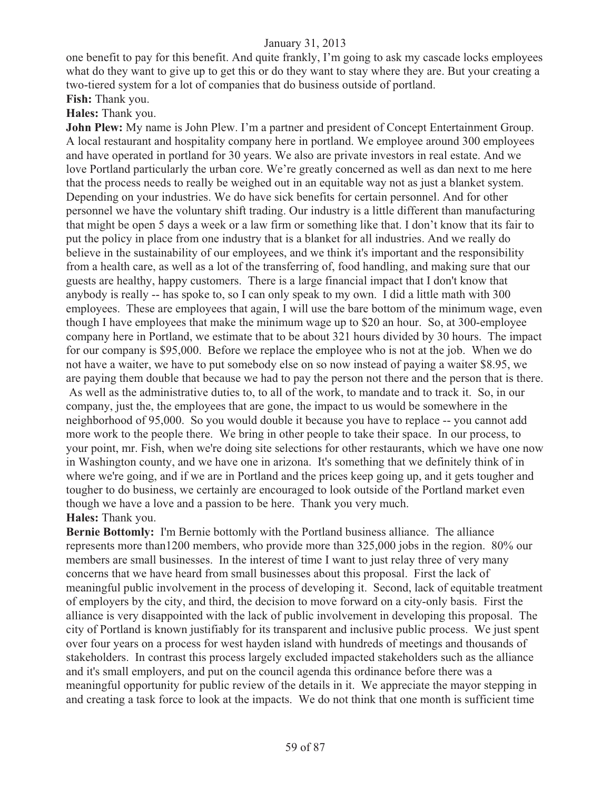one benefit to pay for this benefit. And quite frankly, I'm going to ask my cascade locks employees what do they want to give up to get this or do they want to stay where they are. But your creating a two-tiered system for a lot of companies that do business outside of portland.

# **Fish:** Thank you.

# **Hales:** Thank you.

**John Plew:** My name is John Plew. I'm a partner and president of Concept Entertainment Group. A local restaurant and hospitality company here in portland. We employee around 300 employees and have operated in portland for 30 years. We also are private investors in real estate. And we love Portland particularly the urban core. We're greatly concerned as well as dan next to me here that the process needs to really be weighed out in an equitable way not as just a blanket system. Depending on your industries. We do have sick benefits for certain personnel. And for other personnel we have the voluntary shift trading. Our industry is a little different than manufacturing that might be open 5 days a week or a law firm or something like that. I don't know that its fair to put the policy in place from one industry that is a blanket for all industries. And we really do believe in the sustainability of our employees, and we think it's important and the responsibility from a health care, as well as a lot of the transferring of, food handling, and making sure that our guests are healthy, happy customers. There is a large financial impact that I don't know that anybody is really -- has spoke to, so I can only speak to my own. I did a little math with 300 employees. These are employees that again, I will use the bare bottom of the minimum wage, even though I have employees that make the minimum wage up to \$20 an hour. So, at 300-employee company here in Portland, we estimate that to be about 321 hours divided by 30 hours. The impact for our company is \$95,000. Before we replace the employee who is not at the job. When we do not have a waiter, we have to put somebody else on so now instead of paying a waiter \$8.95, we are paying them double that because we had to pay the person not there and the person that is there. As well as the administrative duties to, to all of the work, to mandate and to track it. So, in our company, just the, the employees that are gone, the impact to us would be somewhere in the neighborhood of 95,000. So you would double it because you have to replace -- you cannot add more work to the people there. We bring in other people to take their space. In our process, to your point, mr. Fish, when we're doing site selections for other restaurants, which we have one now in Washington county, and we have one in arizona. It's something that we definitely think of in where we're going, and if we are in Portland and the prices keep going up, and it gets tougher and tougher to do business, we certainly are encouraged to look outside of the Portland market even though we have a love and a passion to be here. Thank you very much. **Hales:** Thank you.

**Bernie Bottomly:** I'm Bernie bottomly with the Portland business alliance. The alliance represents more than1200 members, who provide more than 325,000 jobs in the region. 80% our members are small businesses. In the interest of time I want to just relay three of very many concerns that we have heard from small businesses about this proposal. First the lack of meaningful public involvement in the process of developing it. Second, lack of equitable treatment of employers by the city, and third, the decision to move forward on a city-only basis. First the alliance is very disappointed with the lack of public involvement in developing this proposal. The city of Portland is known justifiably for its transparent and inclusive public process. We just spent over four years on a process for west hayden island with hundreds of meetings and thousands of stakeholders. In contrast this process largely excluded impacted stakeholders such as the alliance and it's small employers, and put on the council agenda this ordinance before there was a meaningful opportunity for public review of the details in it. We appreciate the mayor stepping in and creating a task force to look at the impacts. We do not think that one month is sufficient time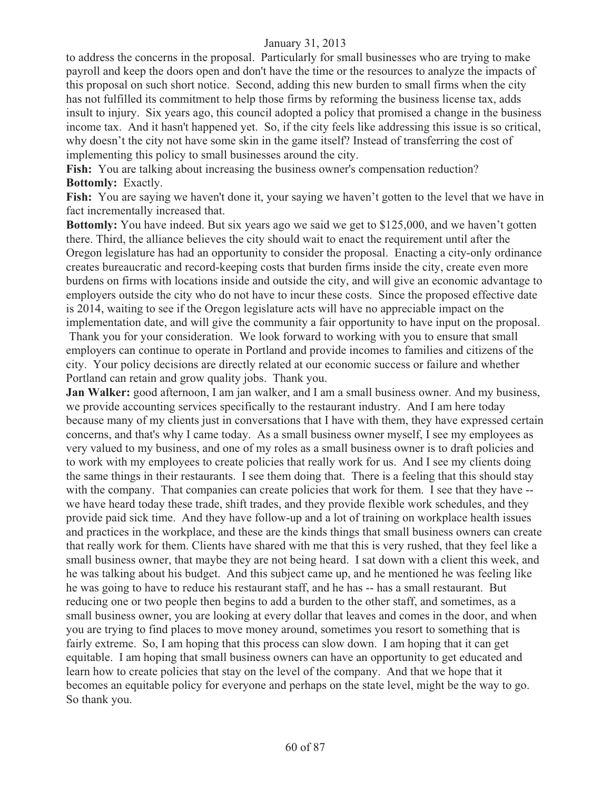to address the concerns in the proposal. Particularly for small businesses who are trying to make payroll and keep the doors open and don't have the time or the resources to analyze the impacts of this proposal on such short notice. Second, adding this new burden to small firms when the city has not fulfilled its commitment to help those firms by reforming the business license tax, adds insult to injury. Six years ago, this council adopted a policy that promised a change in the business income tax. And it hasn't happened yet. So, if the city feels like addressing this issue is so critical, why doesn't the city not have some skin in the game itself? Instead of transferring the cost of implementing this policy to small businesses around the city.

**Fish:** You are talking about increasing the business owner's compensation reduction? **Bottomly:** Exactly.

**Fish:** You are saying we haven't done it, your saying we haven't gotten to the level that we have in fact incrementally increased that.

**Bottomly:** You have indeed. But six years ago we said we get to \$125,000, and we haven't gotten there. Third, the alliance believes the city should wait to enact the requirement until after the Oregon legislature has had an opportunity to consider the proposal. Enacting a city-only ordinance creates bureaucratic and record-keeping costs that burden firms inside the city, create even more burdens on firms with locations inside and outside the city, and will give an economic advantage to employers outside the city who do not have to incur these costs. Since the proposed effective date is 2014, waiting to see if the Oregon legislature acts will have no appreciable impact on the implementation date, and will give the community a fair opportunity to have input on the proposal. Thank you for your consideration. We look forward to working with you to ensure that small employers can continue to operate in Portland and provide incomes to families and citizens of the city. Your policy decisions are directly related at our economic success or failure and whether Portland can retain and grow quality jobs. Thank you.

**Jan Walker:** good afternoon, I am jan walker, and I am a small business owner. And my business, we provide accounting services specifically to the restaurant industry. And I am here today because many of my clients just in conversations that I have with them, they have expressed certain concerns, and that's why I came today. As a small business owner myself, I see my employees as very valued to my business, and one of my roles as a small business owner is to draft policies and to work with my employees to create policies that really work for us. And I see my clients doing the same things in their restaurants. I see them doing that. There is a feeling that this should stay with the company. That companies can create policies that work for them. I see that they have -we have heard today these trade, shift trades, and they provide flexible work schedules, and they provide paid sick time. And they have follow-up and a lot of training on workplace health issues and practices in the workplace, and these are the kinds things that small business owners can create that really work for them. Clients have shared with me that this is very rushed, that they feel like a small business owner, that maybe they are not being heard. I sat down with a client this week, and he was talking about his budget. And this subject came up, and he mentioned he was feeling like he was going to have to reduce his restaurant staff, and he has -- has a small restaurant. But reducing one or two people then begins to add a burden to the other staff, and sometimes, as a small business owner, you are looking at every dollar that leaves and comes in the door, and when you are trying to find places to move money around, sometimes you resort to something that is fairly extreme. So, I am hoping that this process can slow down. I am hoping that it can get equitable. I am hoping that small business owners can have an opportunity to get educated and learn how to create policies that stay on the level of the company. And that we hope that it becomes an equitable policy for everyone and perhaps on the state level, might be the way to go. So thank you.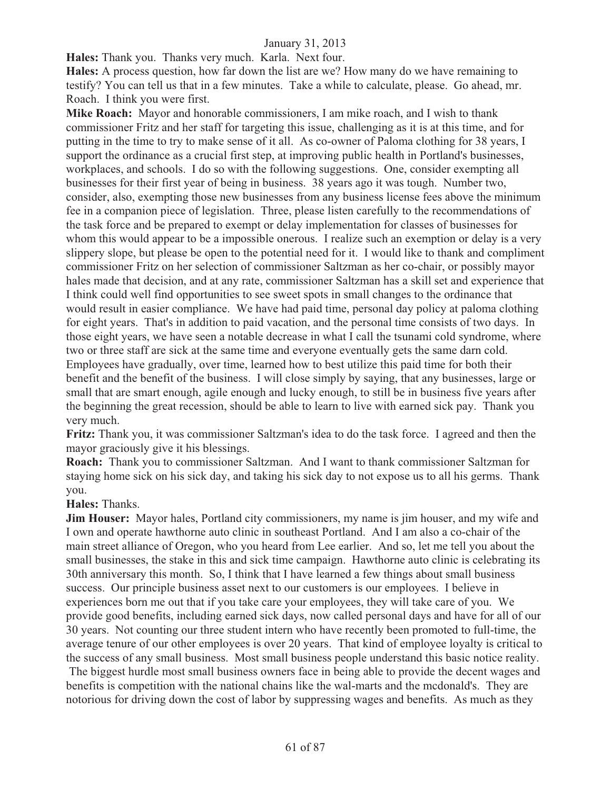**Hales:** Thank you. Thanks very much. Karla. Next four.

**Hales:** A process question, how far down the list are we? How many do we have remaining to testify? You can tell us that in a few minutes. Take a while to calculate, please. Go ahead, mr. Roach. I think you were first.

**Mike Roach:** Mayor and honorable commissioners, I am mike roach, and I wish to thank commissioner Fritz and her staff for targeting this issue, challenging as it is at this time, and for putting in the time to try to make sense of it all. As co-owner of Paloma clothing for 38 years, I support the ordinance as a crucial first step, at improving public health in Portland's businesses, workplaces, and schools. I do so with the following suggestions. One, consider exempting all businesses for their first year of being in business. 38 years ago it was tough. Number two, consider, also, exempting those new businesses from any business license fees above the minimum fee in a companion piece of legislation. Three, please listen carefully to the recommendations of the task force and be prepared to exempt or delay implementation for classes of businesses for whom this would appear to be a impossible onerous. I realize such an exemption or delay is a very slippery slope, but please be open to the potential need for it. I would like to thank and compliment commissioner Fritz on her selection of commissioner Saltzman as her co-chair, or possibly mayor hales made that decision, and at any rate, commissioner Saltzman has a skill set and experience that I think could well find opportunities to see sweet spots in small changes to the ordinance that would result in easier compliance. We have had paid time, personal day policy at paloma clothing for eight years. That's in addition to paid vacation, and the personal time consists of two days. In those eight years, we have seen a notable decrease in what I call the tsunami cold syndrome, where two or three staff are sick at the same time and everyone eventually gets the same darn cold. Employees have gradually, over time, learned how to best utilize this paid time for both their benefit and the benefit of the business. I will close simply by saying, that any businesses, large or small that are smart enough, agile enough and lucky enough, to still be in business five years after the beginning the great recession, should be able to learn to live with earned sick pay. Thank you very much.

**Fritz:** Thank you, it was commissioner Saltzman's idea to do the task force. I agreed and then the mayor graciously give it his blessings.

**Roach:** Thank you to commissioner Saltzman. And I want to thank commissioner Saltzman for staying home sick on his sick day, and taking his sick day to not expose us to all his germs. Thank you.

**Hales:** Thanks.

**Jim Houser:** Mayor hales, Portland city commissioners, my name is jim houser, and my wife and I own and operate hawthorne auto clinic in southeast Portland. And I am also a co-chair of the main street alliance of Oregon, who you heard from Lee earlier. And so, let me tell you about the small businesses, the stake in this and sick time campaign. Hawthorne auto clinic is celebrating its 30th anniversary this month. So, I think that I have learned a few things about small business success. Our principle business asset next to our customers is our employees. I believe in experiences born me out that if you take care your employees, they will take care of you. We provide good benefits, including earned sick days, now called personal days and have for all of our 30 years. Not counting our three student intern who have recently been promoted to full-time, the average tenure of our other employees is over 20 years. That kind of employee loyalty is critical to the success of any small business. Most small business people understand this basic notice reality. The biggest hurdle most small business owners face in being able to provide the decent wages and benefits is competition with the national chains like the wal-marts and the mcdonald's. They are notorious for driving down the cost of labor by suppressing wages and benefits. As much as they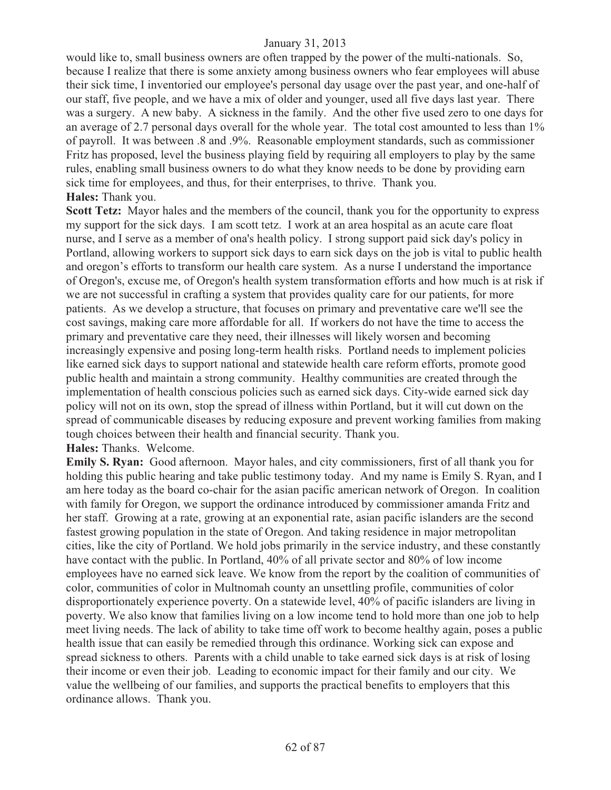would like to, small business owners are often trapped by the power of the multi-nationals. So, because I realize that there is some anxiety among business owners who fear employees will abuse their sick time, I inventoried our employee's personal day usage over the past year, and one-half of our staff, five people, and we have a mix of older and younger, used all five days last year. There was a surgery. A new baby. A sickness in the family. And the other five used zero to one days for an average of 2.7 personal days overall for the whole year. The total cost amounted to less than 1% of payroll. It was between .8 and .9%. Reasonable employment standards, such as commissioner Fritz has proposed, level the business playing field by requiring all employers to play by the same rules, enabling small business owners to do what they know needs to be done by providing earn sick time for employees, and thus, for their enterprises, to thrive. Thank you. **Hales:** Thank you.

**Scott Tetz:** Mayor hales and the members of the council, thank you for the opportunity to express my support for the sick days. I am scott tetz. I work at an area hospital as an acute care float nurse, and I serve as a member of ona's health policy. I strong support paid sick day's policy in Portland, allowing workers to support sick days to earn sick days on the job is vital to public health and oregon's efforts to transform our health care system. As a nurse I understand the importance of Oregon's, excuse me, of Oregon's health system transformation efforts and how much is at risk if we are not successful in crafting a system that provides quality care for our patients, for more patients. As we develop a structure, that focuses on primary and preventative care we'll see the cost savings, making care more affordable for all. If workers do not have the time to access the primary and preventative care they need, their illnesses will likely worsen and becoming increasingly expensive and posing long-term health risks. Portland needs to implement policies like earned sick days to support national and statewide health care reform efforts, promote good public health and maintain a strong community. Healthy communities are created through the implementation of health conscious policies such as earned sick days. City-wide earned sick day policy will not on its own, stop the spread of illness within Portland, but it will cut down on the spread of communicable diseases by reducing exposure and prevent working families from making tough choices between their health and financial security. Thank you.

**Hales:** Thanks. Welcome.

**Emily S. Ryan:** Good afternoon. Mayor hales, and city commissioners, first of all thank you for holding this public hearing and take public testimony today. And my name is Emily S. Ryan, and I am here today as the board co-chair for the asian pacific american network of Oregon. In coalition with family for Oregon, we support the ordinance introduced by commissioner amanda Fritz and her staff. Growing at a rate, growing at an exponential rate, asian pacific islanders are the second fastest growing population in the state of Oregon. And taking residence in major metropolitan cities, like the city of Portland. We hold jobs primarily in the service industry, and these constantly have contact with the public. In Portland, 40% of all private sector and 80% of low income employees have no earned sick leave. We know from the report by the coalition of communities of color, communities of color in Multnomah county an unsettling profile, communities of color disproportionately experience poverty. On a statewide level, 40% of pacific islanders are living in poverty. We also know that families living on a low income tend to hold more than one job to help meet living needs. The lack of ability to take time off work to become healthy again, poses a public health issue that can easily be remedied through this ordinance. Working sick can expose and spread sickness to others. Parents with a child unable to take earned sick days is at risk of losing their income or even their job. Leading to economic impact for their family and our city. We value the wellbeing of our families, and supports the practical benefits to employers that this ordinance allows. Thank you.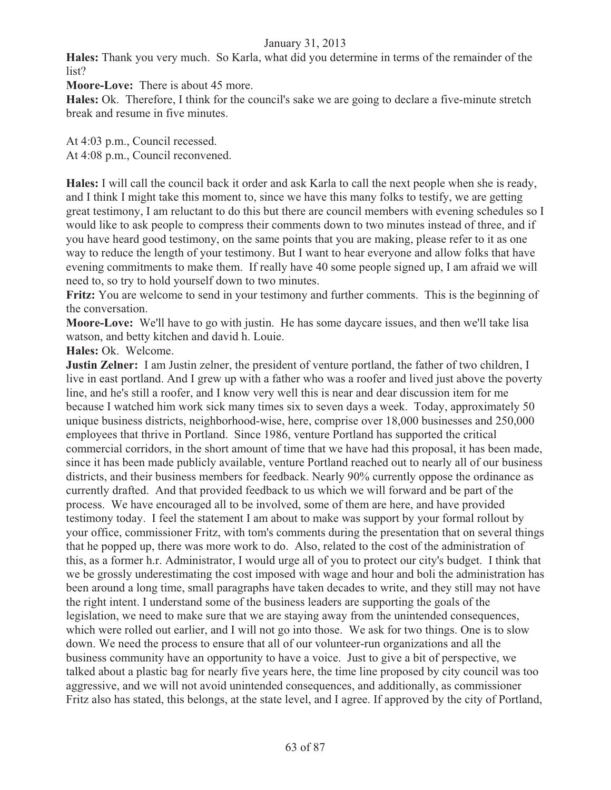**Hales:** Thank you very much. So Karla, what did you determine in terms of the remainder of the list?

**Moore-Love:** There is about 45 more.

**Hales:** Ok. Therefore, I think for the council's sake we are going to declare a five-minute stretch break and resume in five minutes.

At 4:03 p.m., Council recessed. At 4:08 p.m., Council reconvened.

**Hales:** I will call the council back it order and ask Karla to call the next people when she is ready, and I think I might take this moment to, since we have this many folks to testify, we are getting great testimony, I am reluctant to do this but there are council members with evening schedules so I would like to ask people to compress their comments down to two minutes instead of three, and if you have heard good testimony, on the same points that you are making, please refer to it as one way to reduce the length of your testimony. But I want to hear everyone and allow folks that have evening commitments to make them. If really have 40 some people signed up, I am afraid we will need to, so try to hold yourself down to two minutes.

**Fritz:** You are welcome to send in your testimony and further comments. This is the beginning of the conversation.

**Moore-Love:** We'll have to go with justin. He has some daycare issues, and then we'll take lisa watson, and betty kitchen and david h. Louie.

**Hales:** Ok. Welcome.

**Justin Zelner:** I am Justin zelner, the president of venture portland, the father of two children, I live in east portland. And I grew up with a father who was a roofer and lived just above the poverty line, and he's still a roofer, and I know very well this is near and dear discussion item for me because I watched him work sick many times six to seven days a week. Today, approximately 50 unique business districts, neighborhood-wise, here, comprise over 18,000 businesses and 250,000 employees that thrive in Portland. Since 1986, venture Portland has supported the critical commercial corridors, in the short amount of time that we have had this proposal, it has been made, since it has been made publicly available, venture Portland reached out to nearly all of our business districts, and their business members for feedback. Nearly 90% currently oppose the ordinance as currently drafted. And that provided feedback to us which we will forward and be part of the process. We have encouraged all to be involved, some of them are here, and have provided testimony today. I feel the statement I am about to make was support by your formal rollout by your office, commissioner Fritz, with tom's comments during the presentation that on several things that he popped up, there was more work to do. Also, related to the cost of the administration of this, as a former h.r. Administrator, I would urge all of you to protect our city's budget. I think that we be grossly underestimating the cost imposed with wage and hour and boli the administration has been around a long time, small paragraphs have taken decades to write, and they still may not have the right intent. I understand some of the business leaders are supporting the goals of the legislation, we need to make sure that we are staying away from the unintended consequences, which were rolled out earlier, and I will not go into those. We ask for two things. One is to slow down. We need the process to ensure that all of our volunteer-run organizations and all the business community have an opportunity to have a voice. Just to give a bit of perspective, we talked about a plastic bag for nearly five years here, the time line proposed by city council was too aggressive, and we will not avoid unintended consequences, and additionally, as commissioner Fritz also has stated, this belongs, at the state level, and I agree. If approved by the city of Portland,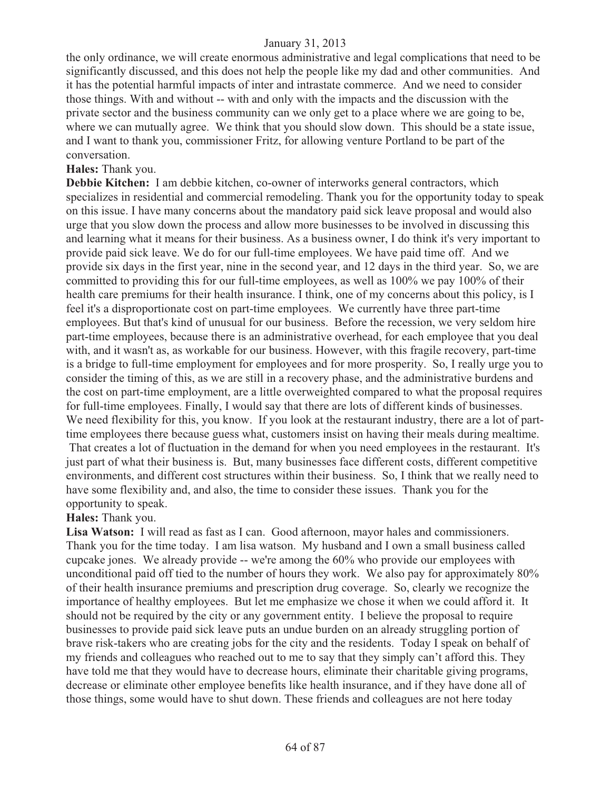the only ordinance, we will create enormous administrative and legal complications that need to be significantly discussed, and this does not help the people like my dad and other communities. And it has the potential harmful impacts of inter and intrastate commerce. And we need to consider those things. With and without -- with and only with the impacts and the discussion with the private sector and the business community can we only get to a place where we are going to be, where we can mutually agree. We think that you should slow down. This should be a state issue, and I want to thank you, commissioner Fritz, for allowing venture Portland to be part of the conversation.

#### **Hales:** Thank you.

**Debbie Kitchen:** I am debbie kitchen, co-owner of interworks general contractors, which specializes in residential and commercial remodeling. Thank you for the opportunity today to speak on this issue. I have many concerns about the mandatory paid sick leave proposal and would also urge that you slow down the process and allow more businesses to be involved in discussing this and learning what it means for their business. As a business owner, I do think it's very important to provide paid sick leave. We do for our full-time employees. We have paid time off. And we provide six days in the first year, nine in the second year, and 12 days in the third year. So, we are committed to providing this for our full-time employees, as well as 100% we pay 100% of their health care premiums for their health insurance. I think, one of my concerns about this policy, is I feel it's a disproportionate cost on part-time employees. We currently have three part-time employees. But that's kind of unusual for our business. Before the recession, we very seldom hire part-time employees, because there is an administrative overhead, for each employee that you deal with, and it wasn't as, as workable for our business. However, with this fragile recovery, part-time is a bridge to full-time employment for employees and for more prosperity. So, I really urge you to consider the timing of this, as we are still in a recovery phase, and the administrative burdens and the cost on part-time employment, are a little overweighted compared to what the proposal requires for full-time employees. Finally, I would say that there are lots of different kinds of businesses. We need flexibility for this, you know. If you look at the restaurant industry, there are a lot of parttime employees there because guess what, customers insist on having their meals during mealtime. That creates a lot of fluctuation in the demand for when you need employees in the restaurant. It's just part of what their business is. But, many businesses face different costs, different competitive environments, and different cost structures within their business. So, I think that we really need to have some flexibility and, and also, the time to consider these issues. Thank you for the

# opportunity to speak.

# **Hales:** Thank you.

**Lisa Watson:** I will read as fast as I can. Good afternoon, mayor hales and commissioners. Thank you for the time today. I am lisa watson. My husband and I own a small business called cupcake jones. We already provide -- we're among the 60% who provide our employees with unconditional paid off tied to the number of hours they work. We also pay for approximately 80% of their health insurance premiums and prescription drug coverage. So, clearly we recognize the importance of healthy employees. But let me emphasize we chose it when we could afford it. It should not be required by the city or any government entity. I believe the proposal to require businesses to provide paid sick leave puts an undue burden on an already struggling portion of brave risk-takers who are creating jobs for the city and the residents. Today I speak on behalf of my friends and colleagues who reached out to me to say that they simply can't afford this. They have told me that they would have to decrease hours, eliminate their charitable giving programs, decrease or eliminate other employee benefits like health insurance, and if they have done all of those things, some would have to shut down. These friends and colleagues are not here today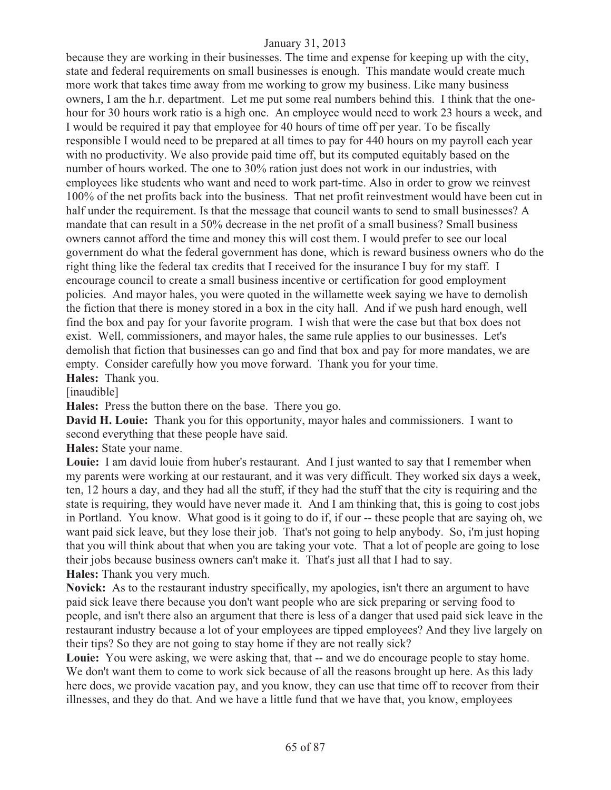because they are working in their businesses. The time and expense for keeping up with the city, state and federal requirements on small businesses is enough. This mandate would create much more work that takes time away from me working to grow my business. Like many business owners, I am the h.r. department. Let me put some real numbers behind this. I think that the onehour for 30 hours work ratio is a high one. An employee would need to work 23 hours a week, and I would be required it pay that employee for 40 hours of time off per year. To be fiscally responsible I would need to be prepared at all times to pay for 440 hours on my payroll each year with no productivity. We also provide paid time off, but its computed equitably based on the number of hours worked. The one to 30% ration just does not work in our industries, with employees like students who want and need to work part-time. Also in order to grow we reinvest 100% of the net profits back into the business. That net profit reinvestment would have been cut in half under the requirement. Is that the message that council wants to send to small businesses? A mandate that can result in a 50% decrease in the net profit of a small business? Small business owners cannot afford the time and money this will cost them. I would prefer to see our local government do what the federal government has done, which is reward business owners who do the right thing like the federal tax credits that I received for the insurance I buy for my staff. I encourage council to create a small business incentive or certification for good employment policies. And mayor hales, you were quoted in the willamette week saying we have to demolish the fiction that there is money stored in a box in the city hall. And if we push hard enough, well find the box and pay for your favorite program. I wish that were the case but that box does not exist. Well, commissioners, and mayor hales, the same rule applies to our businesses. Let's demolish that fiction that businesses can go and find that box and pay for more mandates, we are empty. Consider carefully how you move forward. Thank you for your time.

**Hales:** Thank you.

[inaudible]

**Hales:** Press the button there on the base. There you go.

**David H. Louie:** Thank you for this opportunity, mayor hales and commissioners. I want to second everything that these people have said.

**Hales:** State your name.

**Louie:** I am david louie from huber's restaurant. And I just wanted to say that I remember when my parents were working at our restaurant, and it was very difficult. They worked six days a week, ten, 12 hours a day, and they had all the stuff, if they had the stuff that the city is requiring and the state is requiring, they would have never made it. And I am thinking that, this is going to cost jobs in Portland. You know. What good is it going to do if, if our -- these people that are saying oh, we want paid sick leave, but they lose their job. That's not going to help anybody. So, i'm just hoping that you will think about that when you are taking your vote. That a lot of people are going to lose their jobs because business owners can't make it. That's just all that I had to say. **Hales:** Thank you very much.

**Novick:** As to the restaurant industry specifically, my apologies, isn't there an argument to have paid sick leave there because you don't want people who are sick preparing or serving food to people, and isn't there also an argument that there is less of a danger that used paid sick leave in the restaurant industry because a lot of your employees are tipped employees? And they live largely on their tips? So they are not going to stay home if they are not really sick?

Louie: You were asking, we were asking that, that -- and we do encourage people to stay home. We don't want them to come to work sick because of all the reasons brought up here. As this lady here does, we provide vacation pay, and you know, they can use that time off to recover from their illnesses, and they do that. And we have a little fund that we have that, you know, employees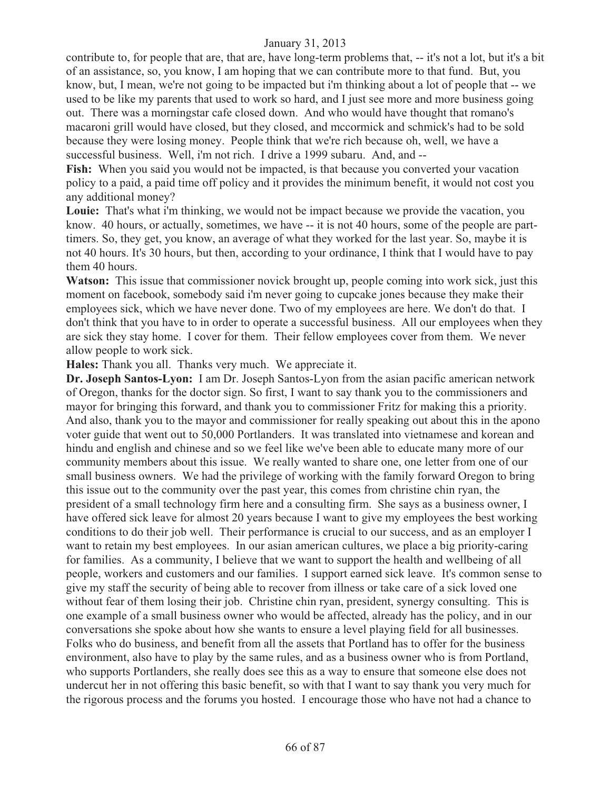contribute to, for people that are, that are, have long-term problems that, -- it's not a lot, but it's a bit of an assistance, so, you know, I am hoping that we can contribute more to that fund. But, you know, but, I mean, we're not going to be impacted but i'm thinking about a lot of people that -- we used to be like my parents that used to work so hard, and I just see more and more business going out. There was a morningstar cafe closed down. And who would have thought that romano's macaroni grill would have closed, but they closed, and mccormick and schmick's had to be sold because they were losing money. People think that we're rich because oh, well, we have a successful business. Well, i'm not rich. I drive a 1999 subaru. And, and --

**Fish:** When you said you would not be impacted, is that because you converted your vacation policy to a paid, a paid time off policy and it provides the minimum benefit, it would not cost you any additional money?

**Louie:** That's what i'm thinking, we would not be impact because we provide the vacation, you know. 40 hours, or actually, sometimes, we have -- it is not 40 hours, some of the people are parttimers. So, they get, you know, an average of what they worked for the last year. So, maybe it is not 40 hours. It's 30 hours, but then, according to your ordinance, I think that I would have to pay them 40 hours.

**Watson:** This issue that commissioner novick brought up, people coming into work sick, just this moment on facebook, somebody said i'm never going to cupcake jones because they make their employees sick, which we have never done. Two of my employees are here. We don't do that. I don't think that you have to in order to operate a successful business. All our employees when they are sick they stay home. I cover for them. Their fellow employees cover from them. We never allow people to work sick.

**Hales:** Thank you all. Thanks very much. We appreciate it.

**Dr. Joseph Santos-Lyon:** I am Dr. Joseph Santos-Lyon from the asian pacific american network of Oregon, thanks for the doctor sign. So first, I want to say thank you to the commissioners and mayor for bringing this forward, and thank you to commissioner Fritz for making this a priority. And also, thank you to the mayor and commissioner for really speaking out about this in the apono voter guide that went out to 50,000 Portlanders. It was translated into vietnamese and korean and hindu and english and chinese and so we feel like we've been able to educate many more of our community members about this issue. We really wanted to share one, one letter from one of our small business owners. We had the privilege of working with the family forward Oregon to bring this issue out to the community over the past year, this comes from christine chin ryan, the president of a small technology firm here and a consulting firm. She says as a business owner, I have offered sick leave for almost 20 years because I want to give my employees the best working conditions to do their job well. Their performance is crucial to our success, and as an employer I want to retain my best employees. In our asian american cultures, we place a big priority-caring for families. As a community, I believe that we want to support the health and wellbeing of all people, workers and customers and our families. I support earned sick leave. It's common sense to give my staff the security of being able to recover from illness or take care of a sick loved one without fear of them losing their job. Christine chin ryan, president, synergy consulting. This is one example of a small business owner who would be affected, already has the policy, and in our conversations she spoke about how she wants to ensure a level playing field for all businesses. Folks who do business, and benefit from all the assets that Portland has to offer for the business environment, also have to play by the same rules, and as a business owner who is from Portland, who supports Portlanders, she really does see this as a way to ensure that someone else does not undercut her in not offering this basic benefit, so with that I want to say thank you very much for the rigorous process and the forums you hosted. I encourage those who have not had a chance to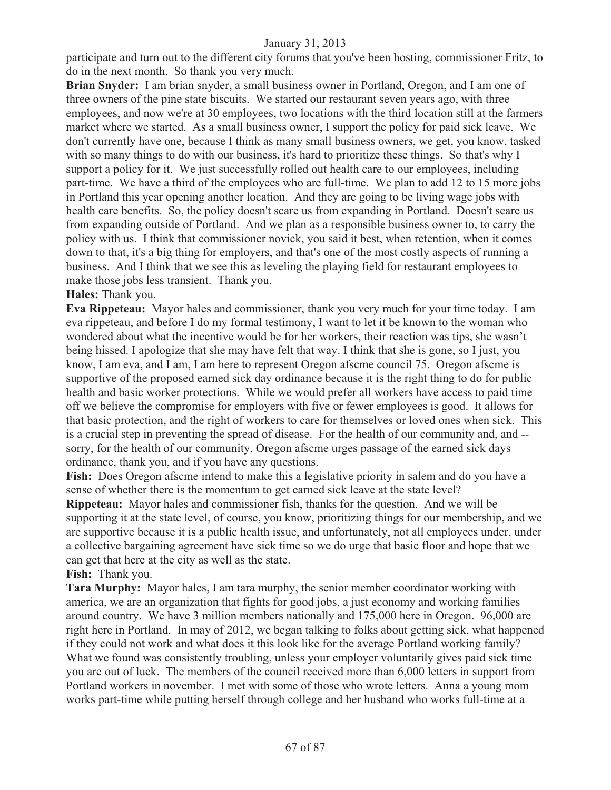participate and turn out to the different city forums that you've been hosting, commissioner Fritz, to do in the next month. So thank you very much.

**Brian Snyder:** I am brian snyder, a small business owner in Portland, Oregon, and I am one of three owners of the pine state biscuits. We started our restaurant seven years ago, with three employees, and now we're at 30 employees, two locations with the third location still at the farmers market where we started. As a small business owner, I support the policy for paid sick leave. We don't currently have one, because I think as many small business owners, we get, you know, tasked with so many things to do with our business, it's hard to prioritize these things. So that's why I support a policy for it. We just successfully rolled out health care to our employees, including part-time. We have a third of the employees who are full-time. We plan to add 12 to 15 more jobs in Portland this year opening another location. And they are going to be living wage jobs with health care benefits. So, the policy doesn't scare us from expanding in Portland. Doesn't scare us from expanding outside of Portland. And we plan as a responsible business owner to, to carry the policy with us. I think that commissioner novick, you said it best, when retention, when it comes down to that, it's a big thing for employers, and that's one of the most costly aspects of running a business. And I think that we see this as leveling the playing field for restaurant employees to make those jobs less transient. Thank you.

#### **Hales:** Thank you.

**Eva Rippeteau:** Mayor hales and commissioner, thank you very much for your time today. I am eva rippeteau, and before I do my formal testimony, I want to let it be known to the woman who wondered about what the incentive would be for her workers, their reaction was tips, she wasn't being hissed. I apologize that she may have felt that way. I think that she is gone, so I just, you know, I am eva, and I am, I am here to represent Oregon afscme council 75. Oregon afscme is supportive of the proposed earned sick day ordinance because it is the right thing to do for public health and basic worker protections. While we would prefer all workers have access to paid time off we believe the compromise for employers with five or fewer employees is good. It allows for that basic protection, and the right of workers to care for themselves or loved ones when sick. This is a crucial step in preventing the spread of disease. For the health of our community and, and - sorry, for the health of our community, Oregon afscme urges passage of the earned sick days ordinance, thank you, and if you have any questions.

**Fish:** Does Oregon afscme intend to make this a legislative priority in salem and do you have a sense of whether there is the momentum to get earned sick leave at the state level?

**Rippeteau:** Mayor hales and commissioner fish, thanks for the question. And we will be supporting it at the state level, of course, you know, prioritizing things for our membership, and we are supportive because it is a public health issue, and unfortunately, not all employees under, under a collective bargaining agreement have sick time so we do urge that basic floor and hope that we can get that here at the city as well as the state.

**Fish:** Thank you.

**Tara Murphy:** Mayor hales, I am tara murphy, the senior member coordinator working with america, we are an organization that fights for good jobs, a just economy and working families around country. We have 3 million members nationally and 175,000 here in Oregon. 96,000 are right here in Portland. In may of 2012, we began talking to folks about getting sick, what happened if they could not work and what does it this look like for the average Portland working family? What we found was consistently troubling, unless your employer voluntarily gives paid sick time you are out of luck. The members of the council received more than 6,000 letters in support from Portland workers in november. I met with some of those who wrote letters. Anna a young mom works part-time while putting herself through college and her husband who works full-time at a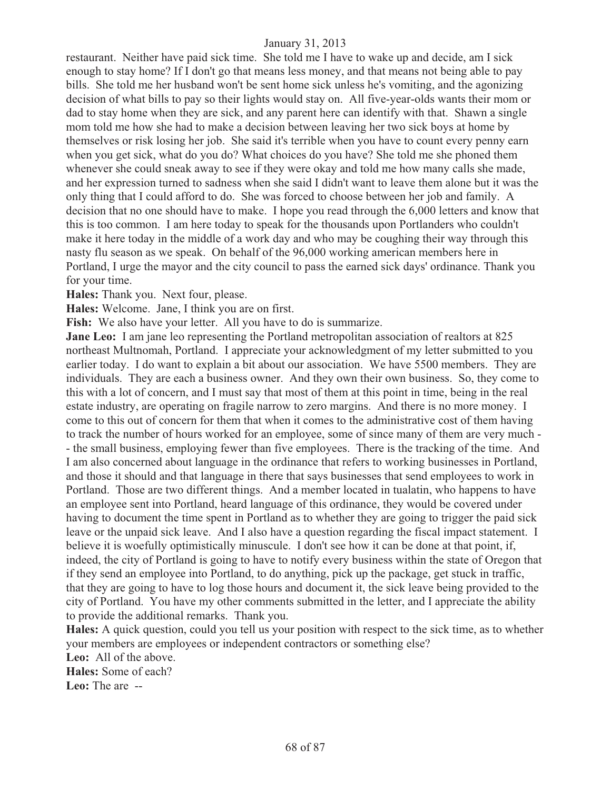restaurant. Neither have paid sick time. She told me I have to wake up and decide, am I sick enough to stay home? If I don't go that means less money, and that means not being able to pay bills. She told me her husband won't be sent home sick unless he's vomiting, and the agonizing decision of what bills to pay so their lights would stay on. All five-year-olds wants their mom or dad to stay home when they are sick, and any parent here can identify with that. Shawn a single mom told me how she had to make a decision between leaving her two sick boys at home by themselves or risk losing her job. She said it's terrible when you have to count every penny earn when you get sick, what do you do? What choices do you have? She told me she phoned them whenever she could sneak away to see if they were okay and told me how many calls she made, and her expression turned to sadness when she said I didn't want to leave them alone but it was the only thing that I could afford to do. She was forced to choose between her job and family. A decision that no one should have to make. I hope you read through the 6,000 letters and know that this is too common. I am here today to speak for the thousands upon Portlanders who couldn't make it here today in the middle of a work day and who may be coughing their way through this nasty flu season as we speak. On behalf of the 96,000 working american members here in Portland, I urge the mayor and the city council to pass the earned sick days' ordinance. Thank you for your time.

**Hales:** Thank you. Next four, please.

**Hales:** Welcome. Jane, I think you are on first.

Fish: We also have your letter. All you have to do is summarize.

**Jane Leo:** I am jane leo representing the Portland metropolitan association of realtors at 825 northeast Multnomah, Portland. I appreciate your acknowledgment of my letter submitted to you earlier today. I do want to explain a bit about our association. We have 5500 members. They are individuals. They are each a business owner. And they own their own business. So, they come to this with a lot of concern, and I must say that most of them at this point in time, being in the real estate industry, are operating on fragile narrow to zero margins. And there is no more money. I come to this out of concern for them that when it comes to the administrative cost of them having to track the number of hours worked for an employee, some of since many of them are very much - - the small business, employing fewer than five employees. There is the tracking of the time. And I am also concerned about language in the ordinance that refers to working businesses in Portland, and those it should and that language in there that says businesses that send employees to work in Portland. Those are two different things. And a member located in tualatin, who happens to have an employee sent into Portland, heard language of this ordinance, they would be covered under having to document the time spent in Portland as to whether they are going to trigger the paid sick leave or the unpaid sick leave. And I also have a question regarding the fiscal impact statement. I believe it is woefully optimistically minuscule. I don't see how it can be done at that point, if, indeed, the city of Portland is going to have to notify every business within the state of Oregon that if they send an employee into Portland, to do anything, pick up the package, get stuck in traffic, that they are going to have to log those hours and document it, the sick leave being provided to the city of Portland. You have my other comments submitted in the letter, and I appreciate the ability to provide the additional remarks. Thank you.

**Hales:** A quick question, could you tell us your position with respect to the sick time, as to whether your members are employees or independent contractors or something else?

**Leo:** All of the above. **Hales:** Some of each? **Leo:** The are --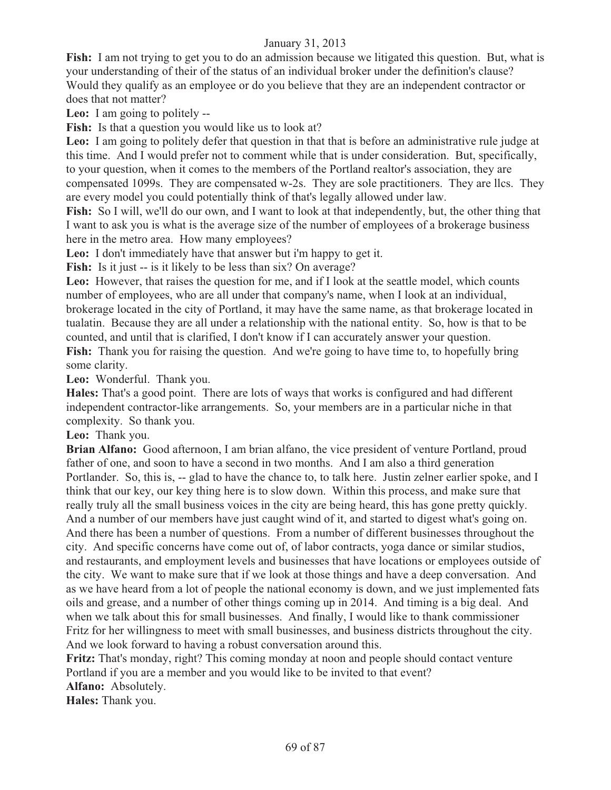**Fish:** I am not trying to get you to do an admission because we litigated this question. But, what is your understanding of their of the status of an individual broker under the definition's clause? Would they qualify as an employee or do you believe that they are an independent contractor or does that not matter?

**Leo:** I am going to politely --

Fish: Is that a question you would like us to look at?

**Leo:** I am going to politely defer that question in that that is before an administrative rule judge at this time. And I would prefer not to comment while that is under consideration. But, specifically, to your question, when it comes to the members of the Portland realtor's association, they are compensated 1099s. They are compensated w-2s. They are sole practitioners. They are llcs. They are every model you could potentially think of that's legally allowed under law.

**Fish:** So I will, we'll do our own, and I want to look at that independently, but, the other thing that I want to ask you is what is the average size of the number of employees of a brokerage business here in the metro area. How many employees?

**Leo:** I don't immediately have that answer but i'm happy to get it.

Fish: Is it just -- is it likely to be less than six? On average?

**Leo:** However, that raises the question for me, and if I look at the seattle model, which counts number of employees, who are all under that company's name, when I look at an individual, brokerage located in the city of Portland, it may have the same name, as that brokerage located in tualatin. Because they are all under a relationship with the national entity. So, how is that to be counted, and until that is clarified, I don't know if I can accurately answer your question. Fish: Thank you for raising the question. And we're going to have time to, to hopefully bring some clarity.

**Leo:** Wonderful. Thank you.

**Hales:** That's a good point. There are lots of ways that works is configured and had different independent contractor-like arrangements. So, your members are in a particular niche in that complexity. So thank you.

**Leo:** Thank you.

**Brian Alfano:** Good afternoon, I am brian alfano, the vice president of venture Portland, proud father of one, and soon to have a second in two months. And I am also a third generation Portlander. So, this is, -- glad to have the chance to, to talk here. Justin zelner earlier spoke, and I think that our key, our key thing here is to slow down. Within this process, and make sure that really truly all the small business voices in the city are being heard, this has gone pretty quickly. And a number of our members have just caught wind of it, and started to digest what's going on. And there has been a number of questions. From a number of different businesses throughout the city. And specific concerns have come out of, of labor contracts, yoga dance or similar studios, and restaurants, and employment levels and businesses that have locations or employees outside of the city. We want to make sure that if we look at those things and have a deep conversation. And as we have heard from a lot of people the national economy is down, and we just implemented fats oils and grease, and a number of other things coming up in 2014. And timing is a big deal. And when we talk about this for small businesses. And finally, I would like to thank commissioner Fritz for her willingness to meet with small businesses, and business districts throughout the city. And we look forward to having a robust conversation around this.

**Fritz:** That's monday, right? This coming monday at noon and people should contact venture Portland if you are a member and you would like to be invited to that event?

**Alfano:** Absolutely.

**Hales:** Thank you.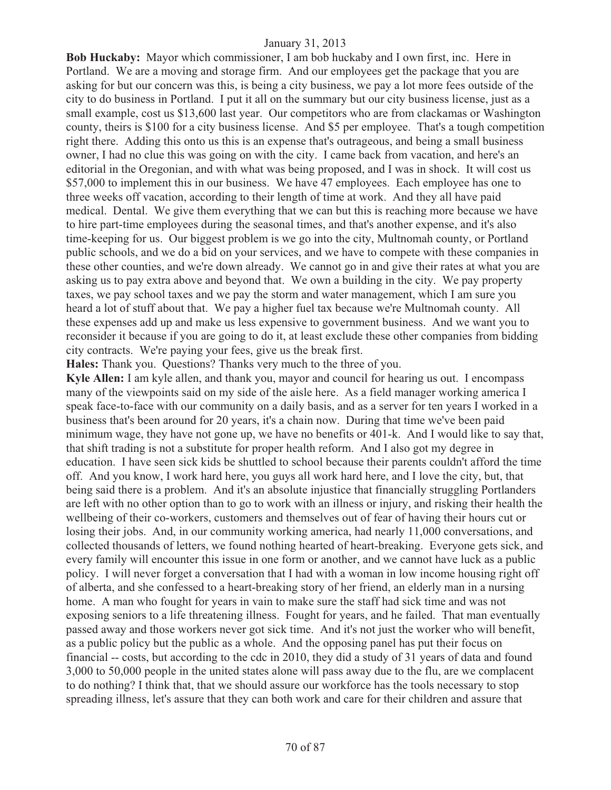**Bob Huckaby:** Mayor which commissioner, I am bob huckaby and I own first, inc. Here in Portland. We are a moving and storage firm. And our employees get the package that you are asking for but our concern was this, is being a city business, we pay a lot more fees outside of the city to do business in Portland. I put it all on the summary but our city business license, just as a small example, cost us \$13,600 last year. Our competitors who are from clackamas or Washington county, theirs is \$100 for a city business license. And \$5 per employee. That's a tough competition right there. Adding this onto us this is an expense that's outrageous, and being a small business owner, I had no clue this was going on with the city. I came back from vacation, and here's an editorial in the Oregonian, and with what was being proposed, and I was in shock. It will cost us \$57,000 to implement this in our business. We have 47 employees. Each employee has one to three weeks off vacation, according to their length of time at work. And they all have paid medical. Dental. We give them everything that we can but this is reaching more because we have to hire part-time employees during the seasonal times, and that's another expense, and it's also time-keeping for us. Our biggest problem is we go into the city, Multnomah county, or Portland public schools, and we do a bid on your services, and we have to compete with these companies in these other counties, and we're down already. We cannot go in and give their rates at what you are asking us to pay extra above and beyond that. We own a building in the city. We pay property taxes, we pay school taxes and we pay the storm and water management, which I am sure you heard a lot of stuff about that. We pay a higher fuel tax because we're Multnomah county. All these expenses add up and make us less expensive to government business. And we want you to reconsider it because if you are going to do it, at least exclude these other companies from bidding city contracts. We're paying your fees, give us the break first.

**Hales:** Thank you. Questions? Thanks very much to the three of you.

**Kyle Allen:** I am kyle allen, and thank you, mayor and council for hearing us out. I encompass many of the viewpoints said on my side of the aisle here. As a field manager working america I speak face-to-face with our community on a daily basis, and as a server for ten years I worked in a business that's been around for 20 years, it's a chain now. During that time we've been paid minimum wage, they have not gone up, we have no benefits or 401-k. And I would like to say that, that shift trading is not a substitute for proper health reform. And I also got my degree in education. I have seen sick kids be shuttled to school because their parents couldn't afford the time off. And you know, I work hard here, you guys all work hard here, and I love the city, but, that being said there is a problem. And it's an absolute injustice that financially struggling Portlanders are left with no other option than to go to work with an illness or injury, and risking their health the wellbeing of their co-workers, customers and themselves out of fear of having their hours cut or losing their jobs. And, in our community working america, had nearly 11,000 conversations, and collected thousands of letters, we found nothing hearted of heart-breaking. Everyone gets sick, and every family will encounter this issue in one form or another, and we cannot have luck as a public policy. I will never forget a conversation that I had with a woman in low income housing right off of alberta, and she confessed to a heart-breaking story of her friend, an elderly man in a nursing home. A man who fought for years in vain to make sure the staff had sick time and was not exposing seniors to a life threatening illness. Fought for years, and he failed. That man eventually passed away and those workers never got sick time. And it's not just the worker who will benefit, as a public policy but the public as a whole. And the opposing panel has put their focus on financial -- costs, but according to the cdc in 2010, they did a study of 31 years of data and found 3,000 to 50,000 people in the united states alone will pass away due to the flu, are we complacent to do nothing? I think that, that we should assure our workforce has the tools necessary to stop spreading illness, let's assure that they can both work and care for their children and assure that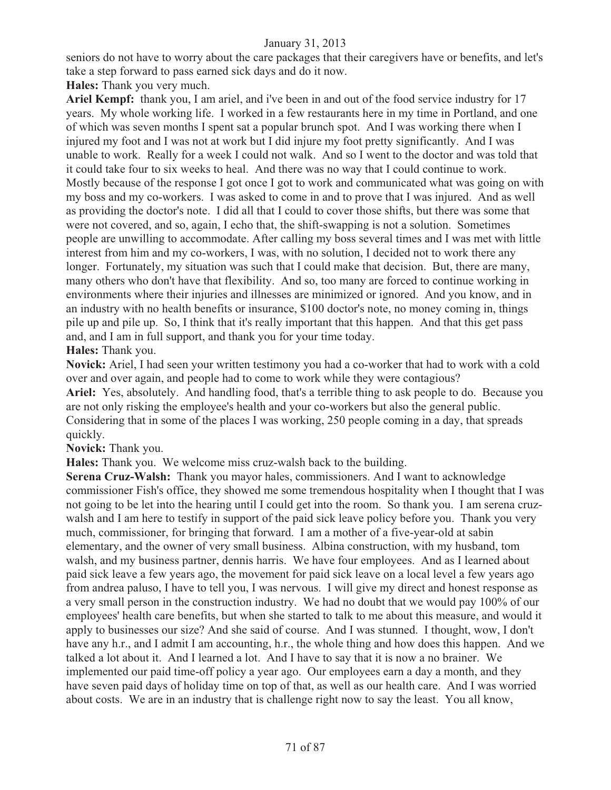seniors do not have to worry about the care packages that their caregivers have or benefits, and let's take a step forward to pass earned sick days and do it now.

**Hales:** Thank you very much.

**Ariel Kempf:** thank you, I am ariel, and i've been in and out of the food service industry for 17 years. My whole working life. I worked in a few restaurants here in my time in Portland, and one of which was seven months I spent sat a popular brunch spot. And I was working there when I injured my foot and I was not at work but I did injure my foot pretty significantly. And I was unable to work. Really for a week I could not walk. And so I went to the doctor and was told that it could take four to six weeks to heal. And there was no way that I could continue to work. Mostly because of the response I got once I got to work and communicated what was going on with my boss and my co-workers. I was asked to come in and to prove that I was injured. And as well as providing the doctor's note. I did all that I could to cover those shifts, but there was some that were not covered, and so, again, I echo that, the shift-swapping is not a solution. Sometimes people are unwilling to accommodate. After calling my boss several times and I was met with little interest from him and my co-workers, I was, with no solution, I decided not to work there any longer. Fortunately, my situation was such that I could make that decision. But, there are many, many others who don't have that flexibility. And so, too many are forced to continue working in environments where their injuries and illnesses are minimized or ignored. And you know, and in an industry with no health benefits or insurance, \$100 doctor's note, no money coming in, things pile up and pile up. So, I think that it's really important that this happen. And that this get pass and, and I am in full support, and thank you for your time today.

### **Hales:** Thank you.

**Novick:** Ariel, I had seen your written testimony you had a co-worker that had to work with a cold over and over again, and people had to come to work while they were contagious? **Ariel:** Yes, absolutely. And handling food, that's a terrible thing to ask people to do. Because you are not only risking the employee's health and your co-workers but also the general public. Considering that in some of the places I was working, 250 people coming in a day, that spreads quickly.

**Novick:** Thank you.

**Hales:** Thank you. We welcome miss cruz-walsh back to the building.

**Serena Cruz-Walsh:** Thank you mayor hales, commissioners. And I want to acknowledge commissioner Fish's office, they showed me some tremendous hospitality when I thought that I was not going to be let into the hearing until I could get into the room. So thank you. I am serena cruzwalsh and I am here to testify in support of the paid sick leave policy before you. Thank you very much, commissioner, for bringing that forward. I am a mother of a five-year-old at sabin elementary, and the owner of very small business. Albina construction, with my husband, tom walsh, and my business partner, dennis harris. We have four employees. And as I learned about paid sick leave a few years ago, the movement for paid sick leave on a local level a few years ago from andrea paluso, I have to tell you, I was nervous. I will give my direct and honest response as a very small person in the construction industry. We had no doubt that we would pay 100% of our employees' health care benefits, but when she started to talk to me about this measure, and would it apply to businesses our size? And she said of course. And I was stunned. I thought, wow, I don't have any h.r., and I admit I am accounting, h.r., the whole thing and how does this happen. And we talked a lot about it. And I learned a lot. And I have to say that it is now a no brainer. We implemented our paid time-off policy a year ago. Our employees earn a day a month, and they have seven paid days of holiday time on top of that, as well as our health care. And I was worried about costs. We are in an industry that is challenge right now to say the least. You all know,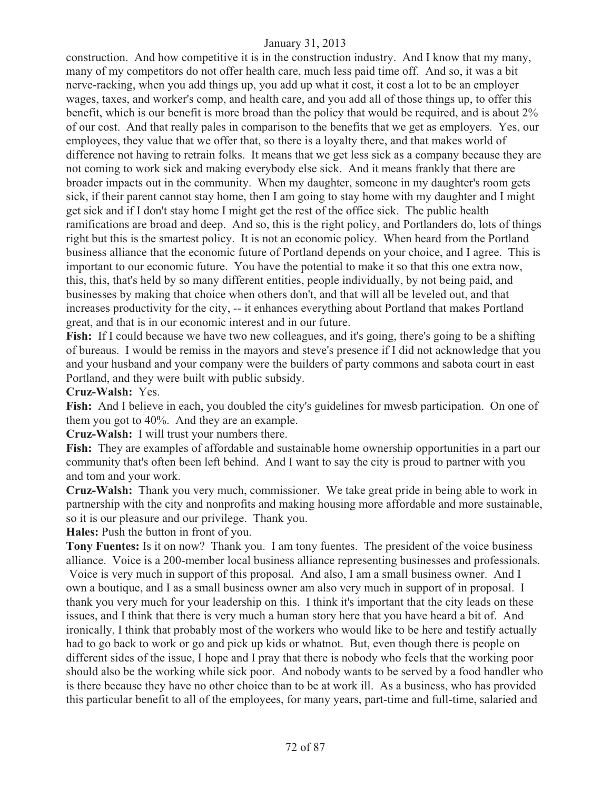construction. And how competitive it is in the construction industry. And I know that my many, many of my competitors do not offer health care, much less paid time off. And so, it was a bit nerve-racking, when you add things up, you add up what it cost, it cost a lot to be an employer wages, taxes, and worker's comp, and health care, and you add all of those things up, to offer this benefit, which is our benefit is more broad than the policy that would be required, and is about 2% of our cost. And that really pales in comparison to the benefits that we get as employers. Yes, our employees, they value that we offer that, so there is a loyalty there, and that makes world of difference not having to retrain folks. It means that we get less sick as a company because they are not coming to work sick and making everybody else sick. And it means frankly that there are broader impacts out in the community. When my daughter, someone in my daughter's room gets sick, if their parent cannot stay home, then I am going to stay home with my daughter and I might get sick and if I don't stay home I might get the rest of the office sick. The public health ramifications are broad and deep. And so, this is the right policy, and Portlanders do, lots of things right but this is the smartest policy. It is not an economic policy. When heard from the Portland business alliance that the economic future of Portland depends on your choice, and I agree. This is important to our economic future. You have the potential to make it so that this one extra now, this, this, that's held by so many different entities, people individually, by not being paid, and businesses by making that choice when others don't, and that will all be leveled out, and that increases productivity for the city, -- it enhances everything about Portland that makes Portland great, and that is in our economic interest and in our future.

Fish: If I could because we have two new colleagues, and it's going, there's going to be a shifting of bureaus. I would be remiss in the mayors and steve's presence if I did not acknowledge that you and your husband and your company were the builders of party commons and sabota court in east Portland, and they were built with public subsidy.

**Cruz-Walsh:** Yes.

Fish: And I believe in each, you doubled the city's guidelines for mwesb participation. On one of them you got to 40%. And they are an example.

**Cruz-Walsh:** I will trust your numbers there.

**Fish:** They are examples of affordable and sustainable home ownership opportunities in a part our community that's often been left behind. And I want to say the city is proud to partner with you and tom and your work.

**Cruz-Walsh:** Thank you very much, commissioner. We take great pride in being able to work in partnership with the city and nonprofits and making housing more affordable and more sustainable, so it is our pleasure and our privilege. Thank you.

**Hales:** Push the button in front of you.

**Tony Fuentes:** Is it on now? Thank you. I am tony fuentes. The president of the voice business alliance. Voice is a 200-member local business alliance representing businesses and professionals. Voice is very much in support of this proposal. And also, I am a small business owner. And I own a boutique, and I as a small business owner am also very much in support of in proposal. I thank you very much for your leadership on this. I think it's important that the city leads on these issues, and I think that there is very much a human story here that you have heard a bit of. And ironically, I think that probably most of the workers who would like to be here and testify actually had to go back to work or go and pick up kids or whatnot. But, even though there is people on different sides of the issue, I hope and I pray that there is nobody who feels that the working poor should also be the working while sick poor. And nobody wants to be served by a food handler who is there because they have no other choice than to be at work ill. As a business, who has provided this particular benefit to all of the employees, for many years, part-time and full-time, salaried and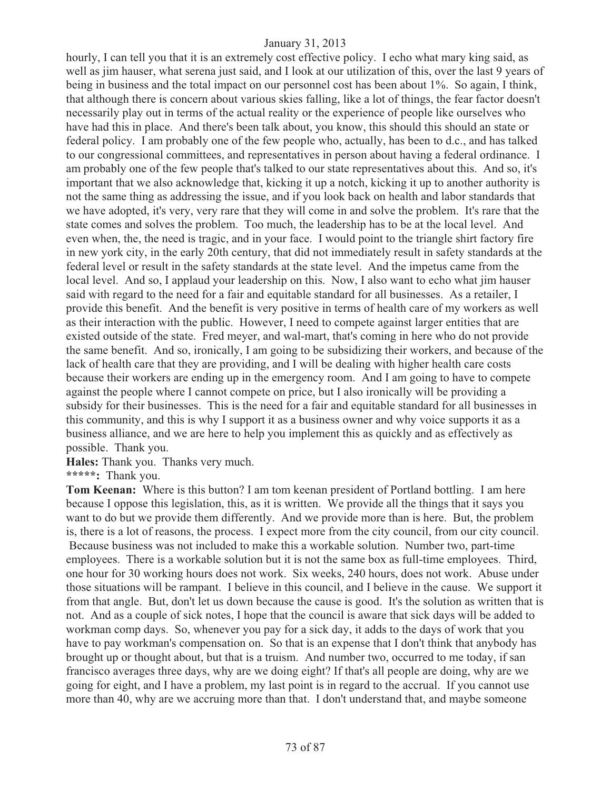hourly, I can tell you that it is an extremely cost effective policy. I echo what mary king said, as well as jim hauser, what serena just said, and I look at our utilization of this, over the last 9 years of being in business and the total impact on our personnel cost has been about 1%. So again, I think, that although there is concern about various skies falling, like a lot of things, the fear factor doesn't necessarily play out in terms of the actual reality or the experience of people like ourselves who have had this in place. And there's been talk about, you know, this should this should an state or federal policy. I am probably one of the few people who, actually, has been to d.c., and has talked to our congressional committees, and representatives in person about having a federal ordinance. I am probably one of the few people that's talked to our state representatives about this. And so, it's important that we also acknowledge that, kicking it up a notch, kicking it up to another authority is not the same thing as addressing the issue, and if you look back on health and labor standards that we have adopted, it's very, very rare that they will come in and solve the problem. It's rare that the state comes and solves the problem. Too much, the leadership has to be at the local level. And even when, the, the need is tragic, and in your face. I would point to the triangle shirt factory fire in new york city, in the early 20th century, that did not immediately result in safety standards at the federal level or result in the safety standards at the state level. And the impetus came from the local level. And so, I applaud your leadership on this. Now, I also want to echo what jim hauser said with regard to the need for a fair and equitable standard for all businesses. As a retailer, I provide this benefit. And the benefit is very positive in terms of health care of my workers as well as their interaction with the public. However, I need to compete against larger entities that are existed outside of the state. Fred meyer, and wal-mart, that's coming in here who do not provide the same benefit. And so, ironically, I am going to be subsidizing their workers, and because of the lack of health care that they are providing, and I will be dealing with higher health care costs because their workers are ending up in the emergency room. And I am going to have to compete against the people where I cannot compete on price, but I also ironically will be providing a subsidy for their businesses. This is the need for a fair and equitable standard for all businesses in this community, and this is why I support it as a business owner and why voice supports it as a business alliance, and we are here to help you implement this as quickly and as effectively as possible. Thank you.

**Hales:** Thank you. Thanks very much.

**\*\*\*\*\*:** Thank you.

**Tom Keenan:** Where is this button? I am tom keenan president of Portland bottling. I am here because I oppose this legislation, this, as it is written. We provide all the things that it says you want to do but we provide them differently. And we provide more than is here. But, the problem is, there is a lot of reasons, the process. I expect more from the city council, from our city council. Because business was not included to make this a workable solution. Number two, part-time employees. There is a workable solution but it is not the same box as full-time employees. Third, one hour for 30 working hours does not work. Six weeks, 240 hours, does not work. Abuse under those situations will be rampant. I believe in this council, and I believe in the cause. We support it from that angle. But, don't let us down because the cause is good. It's the solution as written that is not. And as a couple of sick notes, I hope that the council is aware that sick days will be added to workman comp days. So, whenever you pay for a sick day, it adds to the days of work that you have to pay workman's compensation on. So that is an expense that I don't think that anybody has brought up or thought about, but that is a truism. And number two, occurred to me today, if san francisco averages three days, why are we doing eight? If that's all people are doing, why are we going for eight, and I have a problem, my last point is in regard to the accrual. If you cannot use more than 40, why are we accruing more than that. I don't understand that, and maybe someone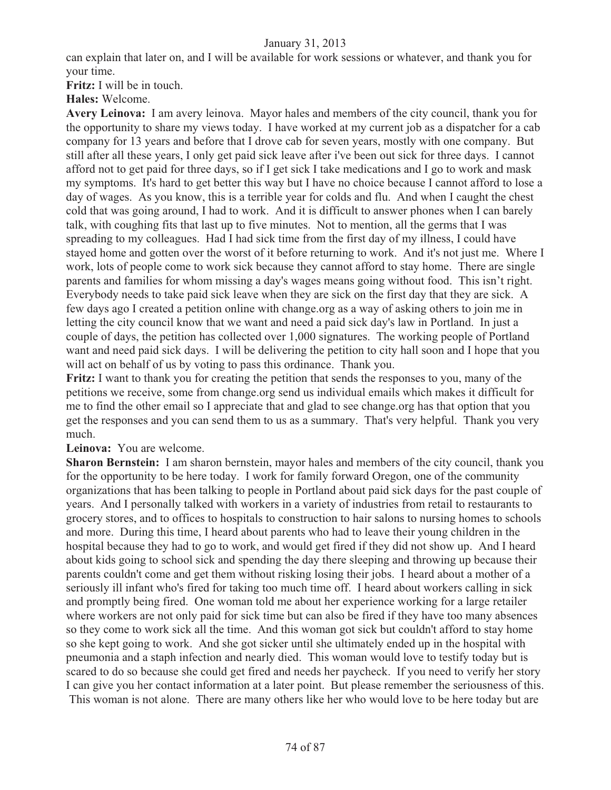can explain that later on, and I will be available for work sessions or whatever, and thank you for your time.

**Fritz:** I will be in touch.

**Hales:** Welcome.

**Avery Leinova:** I am avery leinova. Mayor hales and members of the city council, thank you for the opportunity to share my views today. I have worked at my current job as a dispatcher for a cab company for 13 years and before that I drove cab for seven years, mostly with one company. But still after all these years, I only get paid sick leave after i've been out sick for three days. I cannot afford not to get paid for three days, so if I get sick I take medications and I go to work and mask my symptoms. It's hard to get better this way but I have no choice because I cannot afford to lose a day of wages. As you know, this is a terrible year for colds and flu. And when I caught the chest cold that was going around, I had to work. And it is difficult to answer phones when I can barely talk, with coughing fits that last up to five minutes. Not to mention, all the germs that I was spreading to my colleagues. Had I had sick time from the first day of my illness, I could have stayed home and gotten over the worst of it before returning to work. And it's not just me. Where I work, lots of people come to work sick because they cannot afford to stay home. There are single parents and families for whom missing a day's wages means going without food. This isn't right. Everybody needs to take paid sick leave when they are sick on the first day that they are sick. A few days ago I created a petition online with change.org as a way of asking others to join me in letting the city council know that we want and need a paid sick day's law in Portland. In just a couple of days, the petition has collected over 1,000 signatures. The working people of Portland want and need paid sick days. I will be delivering the petition to city hall soon and I hope that you will act on behalf of us by voting to pass this ordinance. Thank you.

**Fritz:** I want to thank you for creating the petition that sends the responses to you, many of the petitions we receive, some from change.org send us individual emails which makes it difficult for me to find the other email so I appreciate that and glad to see change.org has that option that you get the responses and you can send them to us as a summary. That's very helpful. Thank you very much.

**Leinova:** You are welcome.

**Sharon Bernstein:** I am sharon bernstein, mayor hales and members of the city council, thank you for the opportunity to be here today. I work for family forward Oregon, one of the community organizations that has been talking to people in Portland about paid sick days for the past couple of years. And I personally talked with workers in a variety of industries from retail to restaurants to grocery stores, and to offices to hospitals to construction to hair salons to nursing homes to schools and more. During this time, I heard about parents who had to leave their young children in the hospital because they had to go to work, and would get fired if they did not show up. And I heard about kids going to school sick and spending the day there sleeping and throwing up because their parents couldn't come and get them without risking losing their jobs. I heard about a mother of a seriously ill infant who's fired for taking too much time off. I heard about workers calling in sick and promptly being fired. One woman told me about her experience working for a large retailer where workers are not only paid for sick time but can also be fired if they have too many absences so they come to work sick all the time. And this woman got sick but couldn't afford to stay home so she kept going to work. And she got sicker until she ultimately ended up in the hospital with pneumonia and a staph infection and nearly died. This woman would love to testify today but is scared to do so because she could get fired and needs her paycheck. If you need to verify her story I can give you her contact information at a later point. But please remember the seriousness of this. This woman is not alone. There are many others like her who would love to be here today but are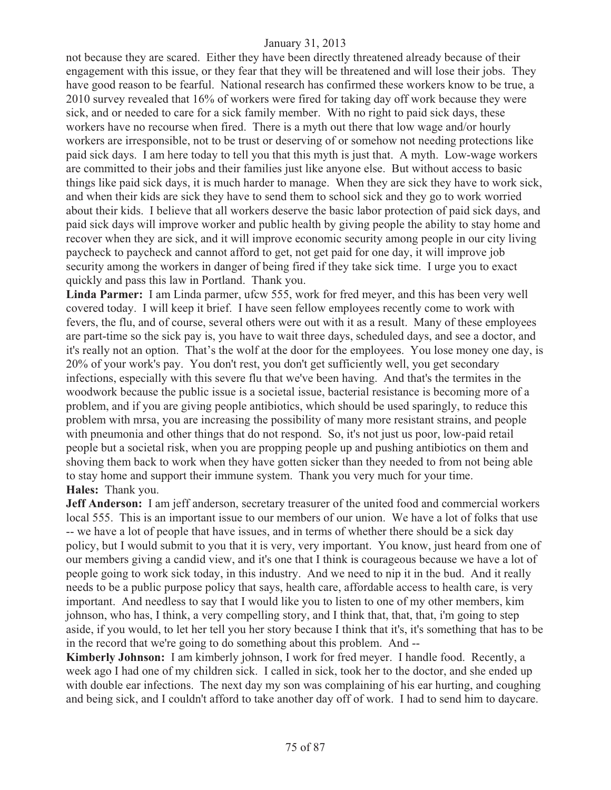not because they are scared. Either they have been directly threatened already because of their engagement with this issue, or they fear that they will be threatened and will lose their jobs. They have good reason to be fearful. National research has confirmed these workers know to be true, a 2010 survey revealed that 16% of workers were fired for taking day off work because they were sick, and or needed to care for a sick family member. With no right to paid sick days, these workers have no recourse when fired. There is a myth out there that low wage and/or hourly workers are irresponsible, not to be trust or deserving of or somehow not needing protections like paid sick days. I am here today to tell you that this myth is just that. A myth. Low-wage workers are committed to their jobs and their families just like anyone else. But without access to basic things like paid sick days, it is much harder to manage. When they are sick they have to work sick, and when their kids are sick they have to send them to school sick and they go to work worried about their kids. I believe that all workers deserve the basic labor protection of paid sick days, and paid sick days will improve worker and public health by giving people the ability to stay home and recover when they are sick, and it will improve economic security among people in our city living paycheck to paycheck and cannot afford to get, not get paid for one day, it will improve job security among the workers in danger of being fired if they take sick time. I urge you to exact quickly and pass this law in Portland. Thank you.

**Linda Parmer:** I am Linda parmer, ufcw 555, work for fred meyer, and this has been very well covered today. I will keep it brief. I have seen fellow employees recently come to work with fevers, the flu, and of course, several others were out with it as a result. Many of these employees are part-time so the sick pay is, you have to wait three days, scheduled days, and see a doctor, and it's really not an option. That's the wolf at the door for the employees. You lose money one day, is 20% of your work's pay. You don't rest, you don't get sufficiently well, you get secondary infections, especially with this severe flu that we've been having. And that's the termites in the woodwork because the public issue is a societal issue, bacterial resistance is becoming more of a problem, and if you are giving people antibiotics, which should be used sparingly, to reduce this problem with mrsa, you are increasing the possibility of many more resistant strains, and people with pneumonia and other things that do not respond. So, it's not just us poor, low-paid retail people but a societal risk, when you are propping people up and pushing antibiotics on them and shoving them back to work when they have gotten sicker than they needed to from not being able to stay home and support their immune system. Thank you very much for your time. **Hales:** Thank you.

**Jeff Anderson:** I am jeff anderson, secretary treasurer of the united food and commercial workers local 555. This is an important issue to our members of our union. We have a lot of folks that use -- we have a lot of people that have issues, and in terms of whether there should be a sick day policy, but I would submit to you that it is very, very important. You know, just heard from one of our members giving a candid view, and it's one that I think is courageous because we have a lot of people going to work sick today, in this industry. And we need to nip it in the bud. And it really needs to be a public purpose policy that says, health care, affordable access to health care, is very important. And needless to say that I would like you to listen to one of my other members, kim johnson, who has, I think, a very compelling story, and I think that, that, that, i'm going to step aside, if you would, to let her tell you her story because I think that it's, it's something that has to be in the record that we're going to do something about this problem. And --

**Kimberly Johnson:** I am kimberly johnson, I work for fred meyer. I handle food. Recently, a week ago I had one of my children sick. I called in sick, took her to the doctor, and she ended up with double ear infections. The next day my son was complaining of his ear hurting, and coughing and being sick, and I couldn't afford to take another day off of work. I had to send him to daycare.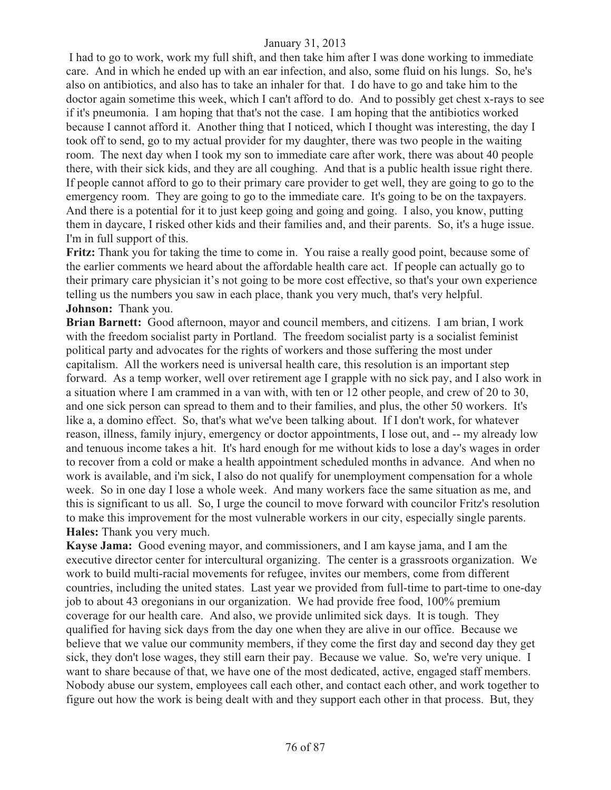I had to go to work, work my full shift, and then take him after I was done working to immediate care. And in which he ended up with an ear infection, and also, some fluid on his lungs. So, he's also on antibiotics, and also has to take an inhaler for that. I do have to go and take him to the doctor again sometime this week, which I can't afford to do. And to possibly get chest x-rays to see if it's pneumonia. I am hoping that that's not the case. I am hoping that the antibiotics worked because I cannot afford it. Another thing that I noticed, which I thought was interesting, the day I took off to send, go to my actual provider for my daughter, there was two people in the waiting room. The next day when I took my son to immediate care after work, there was about 40 people there, with their sick kids, and they are all coughing. And that is a public health issue right there. If people cannot afford to go to their primary care provider to get well, they are going to go to the emergency room. They are going to go to the immediate care. It's going to be on the taxpayers. And there is a potential for it to just keep going and going and going. I also, you know, putting them in daycare, I risked other kids and their families and, and their parents. So, it's a huge issue. I'm in full support of this.

**Fritz:** Thank you for taking the time to come in. You raise a really good point, because some of the earlier comments we heard about the affordable health care act. If people can actually go to their primary care physician it's not going to be more cost effective, so that's your own experience telling us the numbers you saw in each place, thank you very much, that's very helpful. **Johnson:** Thank you.

**Brian Barnett:** Good afternoon, mayor and council members, and citizens. I am brian, I work with the freedom socialist party in Portland. The freedom socialist party is a socialist feminist political party and advocates for the rights of workers and those suffering the most under capitalism. All the workers need is universal health care, this resolution is an important step forward. As a temp worker, well over retirement age I grapple with no sick pay, and I also work in a situation where I am crammed in a van with, with ten or 12 other people, and crew of 20 to 30, and one sick person can spread to them and to their families, and plus, the other 50 workers. It's like a, a domino effect. So, that's what we've been talking about. If I don't work, for whatever reason, illness, family injury, emergency or doctor appointments, I lose out, and -- my already low and tenuous income takes a hit. It's hard enough for me without kids to lose a day's wages in order to recover from a cold or make a health appointment scheduled months in advance. And when no work is available, and i'm sick, I also do not qualify for unemployment compensation for a whole week. So in one day I lose a whole week. And many workers face the same situation as me, and this is significant to us all. So, I urge the council to move forward with councilor Fritz's resolution to make this improvement for the most vulnerable workers in our city, especially single parents. **Hales:** Thank you very much.

**Kayse Jama:** Good evening mayor, and commissioners, and I am kayse jama, and I am the executive director center for intercultural organizing. The center is a grassroots organization. We work to build multi-racial movements for refugee, invites our members, come from different countries, including the united states. Last year we provided from full-time to part-time to one-day job to about 43 oregonians in our organization. We had provide free food, 100% premium coverage for our health care. And also, we provide unlimited sick days. It is tough. They qualified for having sick days from the day one when they are alive in our office. Because we believe that we value our community members, if they come the first day and second day they get sick, they don't lose wages, they still earn their pay. Because we value. So, we're very unique. I want to share because of that, we have one of the most dedicated, active, engaged staff members. Nobody abuse our system, employees call each other, and contact each other, and work together to figure out how the work is being dealt with and they support each other in that process. But, they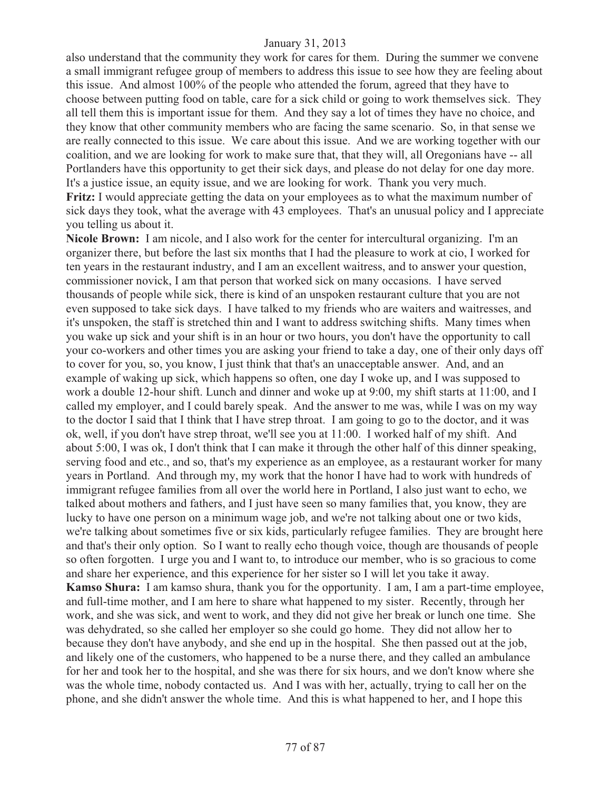also understand that the community they work for cares for them. During the summer we convene a small immigrant refugee group of members to address this issue to see how they are feeling about this issue. And almost 100% of the people who attended the forum, agreed that they have to choose between putting food on table, care for a sick child or going to work themselves sick. They all tell them this is important issue for them. And they say a lot of times they have no choice, and they know that other community members who are facing the same scenario. So, in that sense we are really connected to this issue. We care about this issue. And we are working together with our coalition, and we are looking for work to make sure that, that they will, all Oregonians have -- all Portlanders have this opportunity to get their sick days, and please do not delay for one day more. It's a justice issue, an equity issue, and we are looking for work. Thank you very much.

**Fritz:** I would appreciate getting the data on your employees as to what the maximum number of sick days they took, what the average with 43 employees. That's an unusual policy and I appreciate you telling us about it.

**Nicole Brown:** I am nicole, and I also work for the center for intercultural organizing. I'm an organizer there, but before the last six months that I had the pleasure to work at cio, I worked for ten years in the restaurant industry, and I am an excellent waitress, and to answer your question, commissioner novick, I am that person that worked sick on many occasions. I have served thousands of people while sick, there is kind of an unspoken restaurant culture that you are not even supposed to take sick days. I have talked to my friends who are waiters and waitresses, and it's unspoken, the staff is stretched thin and I want to address switching shifts. Many times when you wake up sick and your shift is in an hour or two hours, you don't have the opportunity to call your co-workers and other times you are asking your friend to take a day, one of their only days off to cover for you, so, you know, I just think that that's an unacceptable answer. And, and an example of waking up sick, which happens so often, one day I woke up, and I was supposed to work a double 12-hour shift. Lunch and dinner and woke up at 9:00, my shift starts at 11:00, and I called my employer, and I could barely speak. And the answer to me was, while I was on my way to the doctor I said that I think that I have strep throat. I am going to go to the doctor, and it was ok, well, if you don't have strep throat, we'll see you at 11:00. I worked half of my shift. And about 5:00, I was ok, I don't think that I can make it through the other half of this dinner speaking, serving food and etc., and so, that's my experience as an employee, as a restaurant worker for many years in Portland. And through my, my work that the honor I have had to work with hundreds of immigrant refugee families from all over the world here in Portland, I also just want to echo, we talked about mothers and fathers, and I just have seen so many families that, you know, they are lucky to have one person on a minimum wage job, and we're not talking about one or two kids, we're talking about sometimes five or six kids, particularly refugee families. They are brought here and that's their only option. So I want to really echo though voice, though are thousands of people so often forgotten. I urge you and I want to, to introduce our member, who is so gracious to come and share her experience, and this experience for her sister so I will let you take it away. **Kamso Shura:** I am kamso shura, thank you for the opportunity. I am, I am a part-time employee, and full-time mother, and I am here to share what happened to my sister. Recently, through her work, and she was sick, and went to work, and they did not give her break or lunch one time. She was dehydrated, so she called her employer so she could go home. They did not allow her to because they don't have anybody, and she end up in the hospital. She then passed out at the job, and likely one of the customers, who happened to be a nurse there, and they called an ambulance for her and took her to the hospital, and she was there for six hours, and we don't know where she was the whole time, nobody contacted us. And I was with her, actually, trying to call her on the phone, and she didn't answer the whole time. And this is what happened to her, and I hope this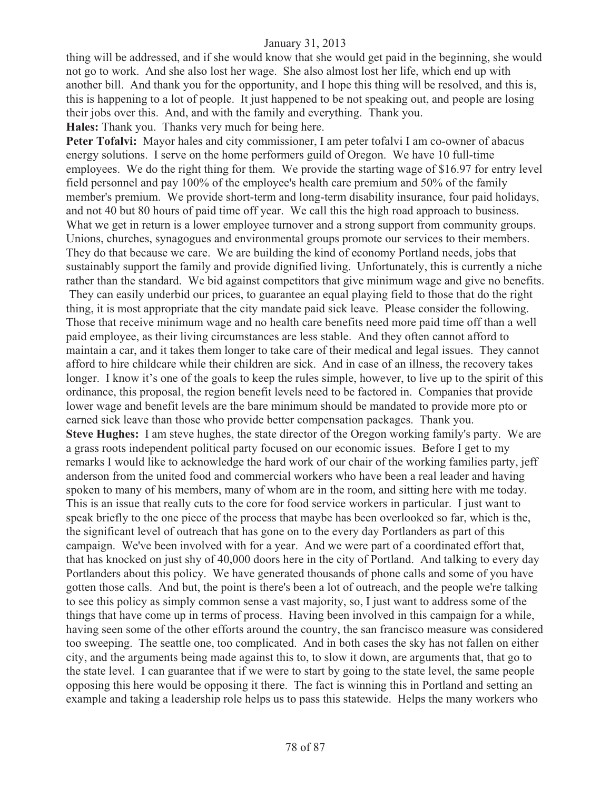thing will be addressed, and if she would know that she would get paid in the beginning, she would not go to work. And she also lost her wage. She also almost lost her life, which end up with another bill. And thank you for the opportunity, and I hope this thing will be resolved, and this is, this is happening to a lot of people. It just happened to be not speaking out, and people are losing their jobs over this. And, and with the family and everything. Thank you. **Hales:** Thank you. Thanks very much for being here.

Peter Tofalvi: Mayor hales and city commissioner, I am peter tofalvi I am co-owner of abacus energy solutions. I serve on the home performers guild of Oregon. We have 10 full-time employees. We do the right thing for them. We provide the starting wage of \$16.97 for entry level field personnel and pay 100% of the employee's health care premium and 50% of the family member's premium. We provide short-term and long-term disability insurance, four paid holidays, and not 40 but 80 hours of paid time off year. We call this the high road approach to business. What we get in return is a lower employee turnover and a strong support from community groups. Unions, churches, synagogues and environmental groups promote our services to their members. They do that because we care. We are building the kind of economy Portland needs, jobs that sustainably support the family and provide dignified living. Unfortunately, this is currently a niche rather than the standard. We bid against competitors that give minimum wage and give no benefits. They can easily underbid our prices, to guarantee an equal playing field to those that do the right thing, it is most appropriate that the city mandate paid sick leave. Please consider the following. Those that receive minimum wage and no health care benefits need more paid time off than a well paid employee, as their living circumstances are less stable. And they often cannot afford to maintain a car, and it takes them longer to take care of their medical and legal issues. They cannot afford to hire childcare while their children are sick. And in case of an illness, the recovery takes longer. I know it's one of the goals to keep the rules simple, however, to live up to the spirit of this ordinance, this proposal, the region benefit levels need to be factored in. Companies that provide lower wage and benefit levels are the bare minimum should be mandated to provide more pto or earned sick leave than those who provide better compensation packages. Thank you. **Steve Hughes:** I am steve hughes, the state director of the Oregon working family's party. We are a grass roots independent political party focused on our economic issues. Before I get to my remarks I would like to acknowledge the hard work of our chair of the working families party, jeff anderson from the united food and commercial workers who have been a real leader and having spoken to many of his members, many of whom are in the room, and sitting here with me today. This is an issue that really cuts to the core for food service workers in particular. I just want to speak briefly to the one piece of the process that maybe has been overlooked so far, which is the, the significant level of outreach that has gone on to the every day Portlanders as part of this campaign. We've been involved with for a year. And we were part of a coordinated effort that, that has knocked on just shy of 40,000 doors here in the city of Portland. And talking to every day Portlanders about this policy. We have generated thousands of phone calls and some of you have gotten those calls. And but, the point is there's been a lot of outreach, and the people we're talking to see this policy as simply common sense a vast majority, so, I just want to address some of the things that have come up in terms of process. Having been involved in this campaign for a while, having seen some of the other efforts around the country, the san francisco measure was considered too sweeping. The seattle one, too complicated. And in both cases the sky has not fallen on either city, and the arguments being made against this to, to slow it down, are arguments that, that go to the state level. I can guarantee that if we were to start by going to the state level, the same people opposing this here would be opposing it there. The fact is winning this in Portland and setting an example and taking a leadership role helps us to pass this statewide. Helps the many workers who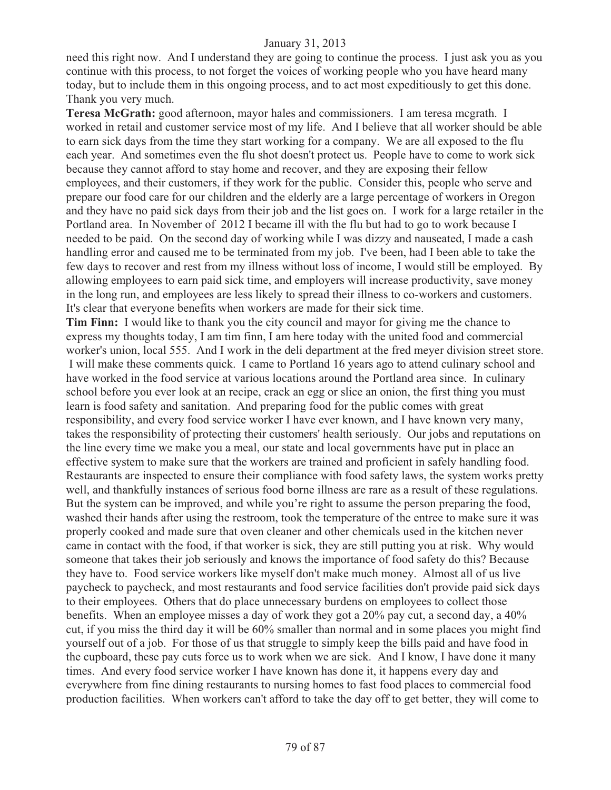need this right now. And I understand they are going to continue the process. I just ask you as you continue with this process, to not forget the voices of working people who you have heard many today, but to include them in this ongoing process, and to act most expeditiously to get this done. Thank you very much.

**Teresa McGrath:** good afternoon, mayor hales and commissioners. I am teresa mcgrath. I worked in retail and customer service most of my life. And I believe that all worker should be able to earn sick days from the time they start working for a company. We are all exposed to the flu each year. And sometimes even the flu shot doesn't protect us. People have to come to work sick because they cannot afford to stay home and recover, and they are exposing their fellow employees, and their customers, if they work for the public. Consider this, people who serve and prepare our food care for our children and the elderly are a large percentage of workers in Oregon and they have no paid sick days from their job and the list goes on. I work for a large retailer in the Portland area. In November of 2012 I became ill with the flu but had to go to work because I needed to be paid. On the second day of working while I was dizzy and nauseated, I made a cash handling error and caused me to be terminated from my job. I've been, had I been able to take the few days to recover and rest from my illness without loss of income, I would still be employed. By allowing employees to earn paid sick time, and employers will increase productivity, save money in the long run, and employees are less likely to spread their illness to co-workers and customers. It's clear that everyone benefits when workers are made for their sick time.

**Tim Finn:** I would like to thank you the city council and mayor for giving me the chance to express my thoughts today, I am tim finn, I am here today with the united food and commercial worker's union, local 555. And I work in the deli department at the fred meyer division street store. I will make these comments quick. I came to Portland 16 years ago to attend culinary school and have worked in the food service at various locations around the Portland area since. In culinary school before you ever look at an recipe, crack an egg or slice an onion, the first thing you must learn is food safety and sanitation. And preparing food for the public comes with great responsibility, and every food service worker I have ever known, and I have known very many, takes the responsibility of protecting their customers' health seriously. Our jobs and reputations on the line every time we make you a meal, our state and local governments have put in place an effective system to make sure that the workers are trained and proficient in safely handling food. Restaurants are inspected to ensure their compliance with food safety laws, the system works pretty well, and thankfully instances of serious food borne illness are rare as a result of these regulations. But the system can be improved, and while you're right to assume the person preparing the food, washed their hands after using the restroom, took the temperature of the entree to make sure it was properly cooked and made sure that oven cleaner and other chemicals used in the kitchen never came in contact with the food, if that worker is sick, they are still putting you at risk. Why would someone that takes their job seriously and knows the importance of food safety do this? Because they have to. Food service workers like myself don't make much money. Almost all of us live paycheck to paycheck, and most restaurants and food service facilities don't provide paid sick days to their employees. Others that do place unnecessary burdens on employees to collect those benefits. When an employee misses a day of work they got a 20% pay cut, a second day, a 40% cut, if you miss the third day it will be 60% smaller than normal and in some places you might find yourself out of a job. For those of us that struggle to simply keep the bills paid and have food in the cupboard, these pay cuts force us to work when we are sick. And I know, I have done it many times. And every food service worker I have known has done it, it happens every day and everywhere from fine dining restaurants to nursing homes to fast food places to commercial food production facilities. When workers can't afford to take the day off to get better, they will come to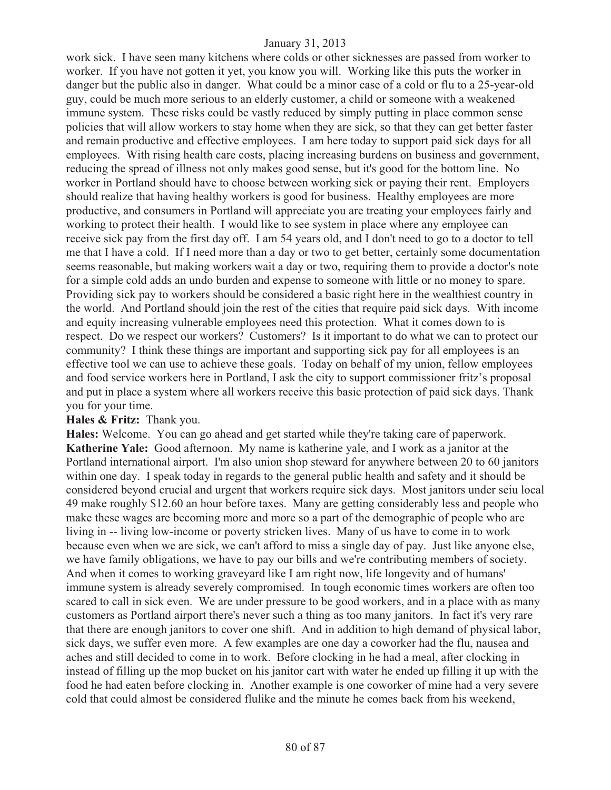work sick. I have seen many kitchens where colds or other sicknesses are passed from worker to worker. If you have not gotten it yet, you know you will. Working like this puts the worker in danger but the public also in danger. What could be a minor case of a cold or flu to a 25-year-old guy, could be much more serious to an elderly customer, a child or someone with a weakened immune system. These risks could be vastly reduced by simply putting in place common sense policies that will allow workers to stay home when they are sick, so that they can get better faster and remain productive and effective employees. I am here today to support paid sick days for all employees. With rising health care costs, placing increasing burdens on business and government, reducing the spread of illness not only makes good sense, but it's good for the bottom line. No worker in Portland should have to choose between working sick or paying their rent. Employers should realize that having healthy workers is good for business. Healthy employees are more productive, and consumers in Portland will appreciate you are treating your employees fairly and working to protect their health. I would like to see system in place where any employee can receive sick pay from the first day off. I am 54 years old, and I don't need to go to a doctor to tell me that I have a cold. If I need more than a day or two to get better, certainly some documentation seems reasonable, but making workers wait a day or two, requiring them to provide a doctor's note for a simple cold adds an undo burden and expense to someone with little or no money to spare. Providing sick pay to workers should be considered a basic right here in the wealthiest country in the world. And Portland should join the rest of the cities that require paid sick days. With income and equity increasing vulnerable employees need this protection. What it comes down to is respect. Do we respect our workers? Customers? Is it important to do what we can to protect our community? I think these things are important and supporting sick pay for all employees is an effective tool we can use to achieve these goals. Today on behalf of my union, fellow employees and food service workers here in Portland, I ask the city to support commissioner fritz's proposal and put in place a system where all workers receive this basic protection of paid sick days. Thank you for your time.

### **Hales & Fritz:** Thank you.

**Hales:** Welcome. You can go ahead and get started while they're taking care of paperwork. **Katherine Yale:** Good afternoon. My name is katherine yale, and I work as a janitor at the Portland international airport. I'm also union shop steward for anywhere between 20 to 60 janitors within one day. I speak today in regards to the general public health and safety and it should be considered beyond crucial and urgent that workers require sick days. Most janitors under seiu local 49 make roughly \$12.60 an hour before taxes. Many are getting considerably less and people who make these wages are becoming more and more so a part of the demographic of people who are living in -- living low-income or poverty stricken lives. Many of us have to come in to work because even when we are sick, we can't afford to miss a single day of pay. Just like anyone else, we have family obligations, we have to pay our bills and we're contributing members of society. And when it comes to working graveyard like I am right now, life longevity and of humans' immune system is already severely compromised. In tough economic times workers are often too scared to call in sick even. We are under pressure to be good workers, and in a place with as many customers as Portland airport there's never such a thing as too many janitors. In fact it's very rare that there are enough janitors to cover one shift. And in addition to high demand of physical labor, sick days, we suffer even more. A few examples are one day a coworker had the flu, nausea and aches and still decided to come in to work. Before clocking in he had a meal, after clocking in instead of filling up the mop bucket on his janitor cart with water he ended up filling it up with the food he had eaten before clocking in. Another example is one coworker of mine had a very severe cold that could almost be considered flulike and the minute he comes back from his weekend,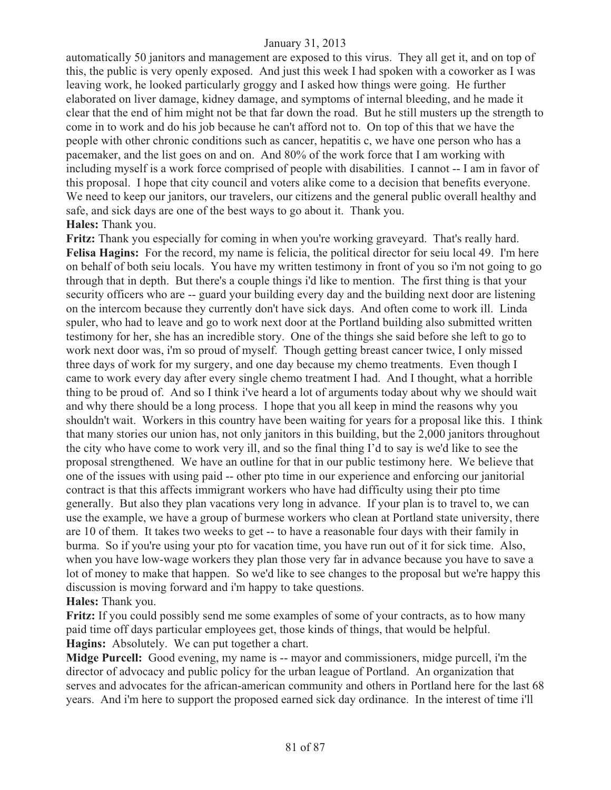automatically 50 janitors and management are exposed to this virus. They all get it, and on top of this, the public is very openly exposed. And just this week I had spoken with a coworker as I was leaving work, he looked particularly groggy and I asked how things were going. He further elaborated on liver damage, kidney damage, and symptoms of internal bleeding, and he made it clear that the end of him might not be that far down the road. But he still musters up the strength to come in to work and do his job because he can't afford not to. On top of this that we have the people with other chronic conditions such as cancer, hepatitis c, we have one person who has a pacemaker, and the list goes on and on. And 80% of the work force that I am working with including myself is a work force comprised of people with disabilities. I cannot -- I am in favor of this proposal. I hope that city council and voters alike come to a decision that benefits everyone. We need to keep our janitors, our travelers, our citizens and the general public overall healthy and safe, and sick days are one of the best ways to go about it. Thank you. **Hales:** Thank you.

**Fritz:** Thank you especially for coming in when you're working graveyard. That's really hard. **Felisa Hagins:** For the record, my name is felicia, the political director for seiu local 49. I'm here on behalf of both seiu locals. You have my written testimony in front of you so i'm not going to go through that in depth. But there's a couple things i'd like to mention. The first thing is that your security officers who are -- guard your building every day and the building next door are listening on the intercom because they currently don't have sick days. And often come to work ill. Linda spuler, who had to leave and go to work next door at the Portland building also submitted written testimony for her, she has an incredible story. One of the things she said before she left to go to work next door was, i'm so proud of myself. Though getting breast cancer twice, I only missed three days of work for my surgery, and one day because my chemo treatments. Even though I came to work every day after every single chemo treatment I had. And I thought, what a horrible thing to be proud of. And so I think i've heard a lot of arguments today about why we should wait and why there should be a long process. I hope that you all keep in mind the reasons why you shouldn't wait. Workers in this country have been waiting for years for a proposal like this. I think that many stories our union has, not only janitors in this building, but the 2,000 janitors throughout the city who have come to work very ill, and so the final thing I'd to say is we'd like to see the proposal strengthened. We have an outline for that in our public testimony here. We believe that one of the issues with using paid -- other pto time in our experience and enforcing our janitorial contract is that this affects immigrant workers who have had difficulty using their pto time generally. But also they plan vacations very long in advance. If your plan is to travel to, we can use the example, we have a group of burmese workers who clean at Portland state university, there are 10 of them. It takes two weeks to get -- to have a reasonable four days with their family in burma. So if you're using your pto for vacation time, you have run out of it for sick time. Also, when you have low-wage workers they plan those very far in advance because you have to save a lot of money to make that happen. So we'd like to see changes to the proposal but we're happy this discussion is moving forward and i'm happy to take questions. **Hales:** Thank you.

**Fritz:** If you could possibly send me some examples of some of your contracts, as to how many paid time off days particular employees get, those kinds of things, that would be helpful. **Hagins:** Absolutely. We can put together a chart.

**Midge Purcell:** Good evening, my name is -- mayor and commissioners, midge purcell, i'm the director of advocacy and public policy for the urban league of Portland. An organization that serves and advocates for the african-american community and others in Portland here for the last 68 years. And i'm here to support the proposed earned sick day ordinance. In the interest of time i'll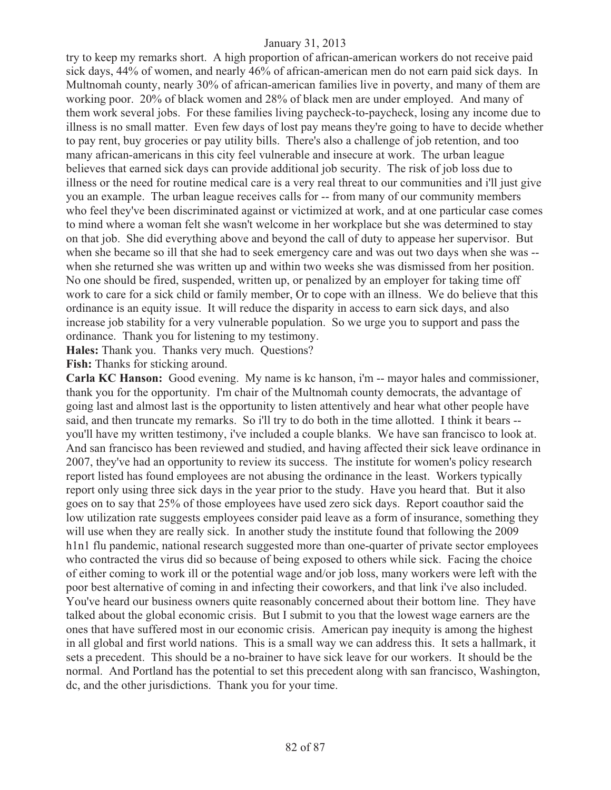try to keep my remarks short. A high proportion of african-american workers do not receive paid sick days, 44% of women, and nearly 46% of african-american men do not earn paid sick days. In Multnomah county, nearly 30% of african-american families live in poverty, and many of them are working poor. 20% of black women and 28% of black men are under employed. And many of them work several jobs. For these families living paycheck-to-paycheck, losing any income due to illness is no small matter. Even few days of lost pay means they're going to have to decide whether to pay rent, buy groceries or pay utility bills. There's also a challenge of job retention, and too many african-americans in this city feel vulnerable and insecure at work. The urban league believes that earned sick days can provide additional job security. The risk of job loss due to illness or the need for routine medical care is a very real threat to our communities and i'll just give you an example. The urban league receives calls for -- from many of our community members who feel they've been discriminated against or victimized at work, and at one particular case comes to mind where a woman felt she wasn't welcome in her workplace but she was determined to stay on that job. She did everything above and beyond the call of duty to appease her supervisor. But when she became so ill that she had to seek emergency care and was out two days when she was - when she returned she was written up and within two weeks she was dismissed from her position. No one should be fired, suspended, written up, or penalized by an employer for taking time off work to care for a sick child or family member, Or to cope with an illness. We do believe that this ordinance is an equity issue. It will reduce the disparity in access to earn sick days, and also increase job stability for a very vulnerable population. So we urge you to support and pass the ordinance. Thank you for listening to my testimony.

**Hales:** Thank you. Thanks very much. Questions?

**Fish:** Thanks for sticking around.

**Carla KC Hanson:** Good evening. My name is kc hanson, i'm -- mayor hales and commissioner, thank you for the opportunity. I'm chair of the Multnomah county democrats, the advantage of going last and almost last is the opportunity to listen attentively and hear what other people have said, and then truncate my remarks. So i'll try to do both in the time allotted. I think it bears - you'll have my written testimony, i've included a couple blanks. We have san francisco to look at. And san francisco has been reviewed and studied, and having affected their sick leave ordinance in 2007, they've had an opportunity to review its success. The institute for women's policy research report listed has found employees are not abusing the ordinance in the least. Workers typically report only using three sick days in the year prior to the study. Have you heard that. But it also goes on to say that 25% of those employees have used zero sick days. Report coauthor said the low utilization rate suggests employees consider paid leave as a form of insurance, something they will use when they are really sick. In another study the institute found that following the 2009 h1n1 flu pandemic, national research suggested more than one-quarter of private sector employees who contracted the virus did so because of being exposed to others while sick. Facing the choice of either coming to work ill or the potential wage and/or job loss, many workers were left with the poor best alternative of coming in and infecting their coworkers, and that link i've also included. You've heard our business owners quite reasonably concerned about their bottom line. They have talked about the global economic crisis. But I submit to you that the lowest wage earners are the ones that have suffered most in our economic crisis. American pay inequity is among the highest in all global and first world nations. This is a small way we can address this. It sets a hallmark, it sets a precedent. This should be a no-brainer to have sick leave for our workers. It should be the normal. And Portland has the potential to set this precedent along with san francisco, Washington, dc, and the other jurisdictions. Thank you for your time.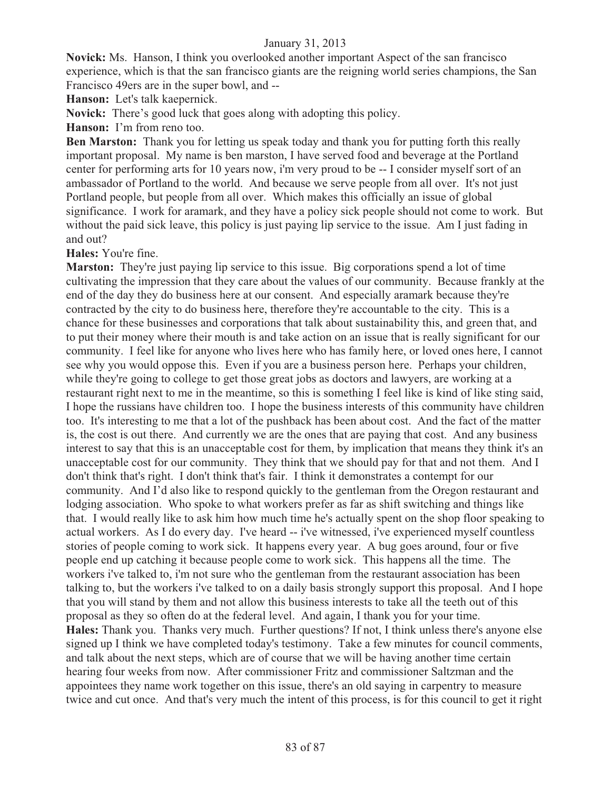**Novick:** Ms. Hanson, I think you overlooked another important Aspect of the san francisco experience, which is that the san francisco giants are the reigning world series champions, the San Francisco 49ers are in the super bowl, and --

**Hanson:** Let's talk kaepernick.

**Novick:** There's good luck that goes along with adopting this policy.

**Hanson:** I'm from reno too.

**Ben Marston:** Thank you for letting us speak today and thank you for putting forth this really important proposal. My name is ben marston, I have served food and beverage at the Portland center for performing arts for 10 years now, i'm very proud to be -- I consider myself sort of an ambassador of Portland to the world. And because we serve people from all over. It's not just Portland people, but people from all over. Which makes this officially an issue of global significance. I work for aramark, and they have a policy sick people should not come to work. But without the paid sick leave, this policy is just paying lip service to the issue. Am I just fading in and out?

**Hales:** You're fine.

**Marston:** They're just paying lip service to this issue. Big corporations spend a lot of time cultivating the impression that they care about the values of our community. Because frankly at the end of the day they do business here at our consent. And especially aramark because they're contracted by the city to do business here, therefore they're accountable to the city. This is a chance for these businesses and corporations that talk about sustainability this, and green that, and to put their money where their mouth is and take action on an issue that is really significant for our community. I feel like for anyone who lives here who has family here, or loved ones here, I cannot see why you would oppose this. Even if you are a business person here. Perhaps your children, while they're going to college to get those great jobs as doctors and lawyers, are working at a restaurant right next to me in the meantime, so this is something I feel like is kind of like sting said, I hope the russians have children too. I hope the business interests of this community have children too. It's interesting to me that a lot of the pushback has been about cost. And the fact of the matter is, the cost is out there. And currently we are the ones that are paying that cost. And any business interest to say that this is an unacceptable cost for them, by implication that means they think it's an unacceptable cost for our community. They think that we should pay for that and not them. And I don't think that's right. I don't think that's fair. I think it demonstrates a contempt for our community. And I'd also like to respond quickly to the gentleman from the Oregon restaurant and lodging association. Who spoke to what workers prefer as far as shift switching and things like that. I would really like to ask him how much time he's actually spent on the shop floor speaking to actual workers. As I do every day. I've heard -- i've witnessed, i've experienced myself countless stories of people coming to work sick. It happens every year. A bug goes around, four or five people end up catching it because people come to work sick. This happens all the time. The workers i've talked to, i'm not sure who the gentleman from the restaurant association has been talking to, but the workers i've talked to on a daily basis strongly support this proposal. And I hope that you will stand by them and not allow this business interests to take all the teeth out of this proposal as they so often do at the federal level. And again, I thank you for your time. **Hales:** Thank you. Thanks very much. Further questions? If not, I think unless there's anyone else signed up I think we have completed today's testimony. Take a few minutes for council comments, and talk about the next steps, which are of course that we will be having another time certain hearing four weeks from now. After commissioner Fritz and commissioner Saltzman and the appointees they name work together on this issue, there's an old saying in carpentry to measure twice and cut once. And that's very much the intent of this process, is for this council to get it right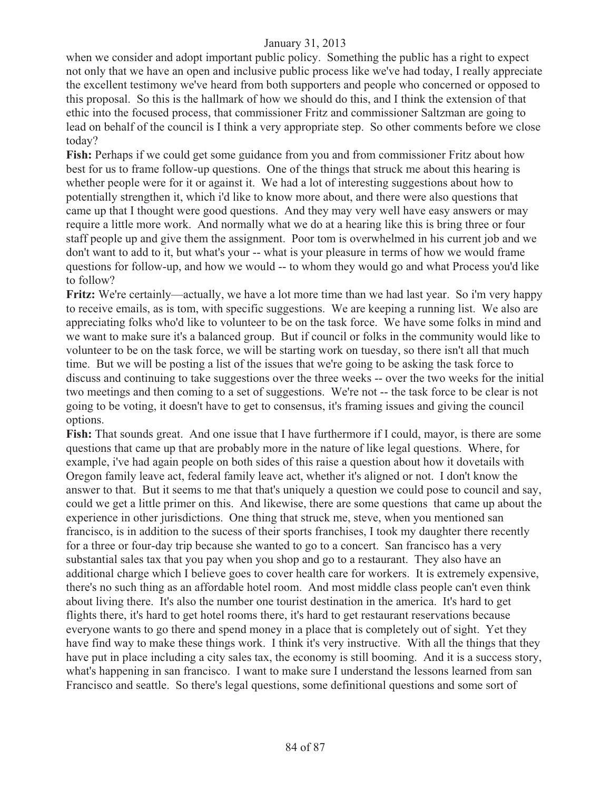when we consider and adopt important public policy. Something the public has a right to expect not only that we have an open and inclusive public process like we've had today, I really appreciate the excellent testimony we've heard from both supporters and people who concerned or opposed to this proposal. So this is the hallmark of how we should do this, and I think the extension of that ethic into the focused process, that commissioner Fritz and commissioner Saltzman are going to lead on behalf of the council is I think a very appropriate step. So other comments before we close today?

**Fish:** Perhaps if we could get some guidance from you and from commissioner Fritz about how best for us to frame follow-up questions. One of the things that struck me about this hearing is whether people were for it or against it. We had a lot of interesting suggestions about how to potentially strengthen it, which i'd like to know more about, and there were also questions that came up that I thought were good questions. And they may very well have easy answers or may require a little more work. And normally what we do at a hearing like this is bring three or four staff people up and give them the assignment. Poor tom is overwhelmed in his current job and we don't want to add to it, but what's your -- what is your pleasure in terms of how we would frame questions for follow-up, and how we would -- to whom they would go and what Process you'd like to follow?

**Fritz:** We're certainly—actually, we have a lot more time than we had last year. So i'm very happy to receive emails, as is tom, with specific suggestions. We are keeping a running list. We also are appreciating folks who'd like to volunteer to be on the task force. We have some folks in mind and we want to make sure it's a balanced group. But if council or folks in the community would like to volunteer to be on the task force, we will be starting work on tuesday, so there isn't all that much time. But we will be posting a list of the issues that we're going to be asking the task force to discuss and continuing to take suggestions over the three weeks -- over the two weeks for the initial two meetings and then coming to a set of suggestions. We're not -- the task force to be clear is not going to be voting, it doesn't have to get to consensus, it's framing issues and giving the council options.

**Fish:** That sounds great. And one issue that I have furthermore if I could, mayor, is there are some questions that came up that are probably more in the nature of like legal questions. Where, for example, i've had again people on both sides of this raise a question about how it dovetails with Oregon family leave act, federal family leave act, whether it's aligned or not. I don't know the answer to that. But it seems to me that that's uniquely a question we could pose to council and say, could we get a little primer on this. And likewise, there are some questions that came up about the experience in other jurisdictions. One thing that struck me, steve, when you mentioned san francisco, is in addition to the sucess of their sports franchises, I took my daughter there recently for a three or four-day trip because she wanted to go to a concert. San francisco has a very substantial sales tax that you pay when you shop and go to a restaurant. They also have an additional charge which I believe goes to cover health care for workers. It is extremely expensive, there's no such thing as an affordable hotel room. And most middle class people can't even think about living there. It's also the number one tourist destination in the america. It's hard to get flights there, it's hard to get hotel rooms there, it's hard to get restaurant reservations because everyone wants to go there and spend money in a place that is completely out of sight. Yet they have find way to make these things work. I think it's very instructive. With all the things that they have put in place including a city sales tax, the economy is still booming. And it is a success story, what's happening in san francisco. I want to make sure I understand the lessons learned from san Francisco and seattle. So there's legal questions, some definitional questions and some sort of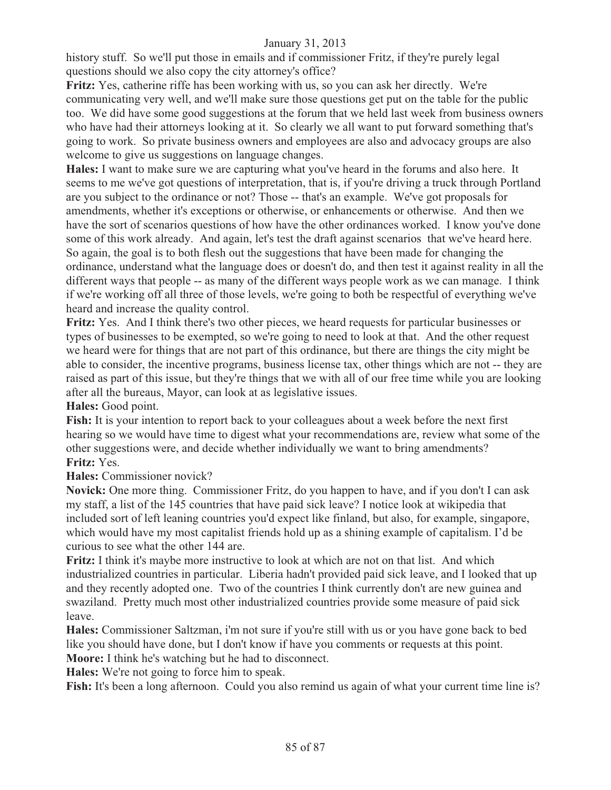history stuff. So we'll put those in emails and if commissioner Fritz, if they're purely legal questions should we also copy the city attorney's office?

**Fritz:** Yes, catherine riffe has been working with us, so you can ask her directly. We're communicating very well, and we'll make sure those questions get put on the table for the public too. We did have some good suggestions at the forum that we held last week from business owners who have had their attorneys looking at it. So clearly we all want to put forward something that's going to work. So private business owners and employees are also and advocacy groups are also welcome to give us suggestions on language changes.

**Hales:** I want to make sure we are capturing what you've heard in the forums and also here. It seems to me we've got questions of interpretation, that is, if you're driving a truck through Portland are you subject to the ordinance or not? Those -- that's an example. We've got proposals for amendments, whether it's exceptions or otherwise, or enhancements or otherwise. And then we have the sort of scenarios questions of how have the other ordinances worked. I know you've done some of this work already. And again, let's test the draft against scenarios that we've heard here. So again, the goal is to both flesh out the suggestions that have been made for changing the ordinance, understand what the language does or doesn't do, and then test it against reality in all the different ways that people -- as many of the different ways people work as we can manage. I think if we're working off all three of those levels, we're going to both be respectful of everything we've heard and increase the quality control.

**Fritz:** Yes. And I think there's two other pieces, we heard requests for particular businesses or types of businesses to be exempted, so we're going to need to look at that. And the other request we heard were for things that are not part of this ordinance, but there are things the city might be able to consider, the incentive programs, business license tax, other things which are not -- they are raised as part of this issue, but they're things that we with all of our free time while you are looking after all the bureaus, Mayor, can look at as legislative issues.

**Hales:** Good point.

**Fish:** It is your intention to report back to your colleagues about a week before the next first hearing so we would have time to digest what your recommendations are, review what some of the other suggestions were, and decide whether individually we want to bring amendments? **Fritz:** Yes.

**Hales:** Commissioner novick?

**Novick:** One more thing. Commissioner Fritz, do you happen to have, and if you don't I can ask my staff, a list of the 145 countries that have paid sick leave? I notice look at wikipedia that included sort of left leaning countries you'd expect like finland, but also, for example, singapore, which would have my most capitalist friends hold up as a shining example of capitalism. I'd be curious to see what the other 144 are.

**Fritz:** I think it's maybe more instructive to look at which are not on that list. And which industrialized countries in particular. Liberia hadn't provided paid sick leave, and I looked that up and they recently adopted one. Two of the countries I think currently don't are new guinea and swaziland. Pretty much most other industrialized countries provide some measure of paid sick leave.

**Hales:** Commissioner Saltzman, i'm not sure if you're still with us or you have gone back to bed like you should have done, but I don't know if have you comments or requests at this point. **Moore:** I think he's watching but he had to disconnect.

**Hales:** We're not going to force him to speak.

Fish: It's been a long afternoon. Could you also remind us again of what your current time line is?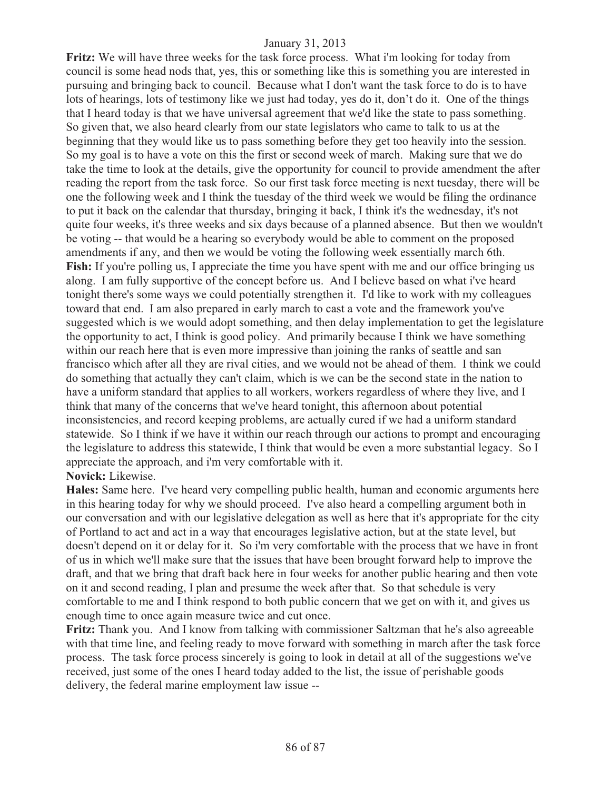**Fritz:** We will have three weeks for the task force process. What i'm looking for today from council is some head nods that, yes, this or something like this is something you are interested in pursuing and bringing back to council. Because what I don't want the task force to do is to have lots of hearings, lots of testimony like we just had today, yes do it, don't do it. One of the things that I heard today is that we have universal agreement that we'd like the state to pass something. So given that, we also heard clearly from our state legislators who came to talk to us at the beginning that they would like us to pass something before they get too heavily into the session. So my goal is to have a vote on this the first or second week of march. Making sure that we do take the time to look at the details, give the opportunity for council to provide amendment the after reading the report from the task force. So our first task force meeting is next tuesday, there will be one the following week and I think the tuesday of the third week we would be filing the ordinance to put it back on the calendar that thursday, bringing it back, I think it's the wednesday, it's not quite four weeks, it's three weeks and six days because of a planned absence. But then we wouldn't be voting -- that would be a hearing so everybody would be able to comment on the proposed amendments if any, and then we would be voting the following week essentially march 6th. Fish: If you're polling us, I appreciate the time you have spent with me and our office bringing us along. I am fully supportive of the concept before us. And I believe based on what i've heard tonight there's some ways we could potentially strengthen it. I'd like to work with my colleagues toward that end. I am also prepared in early march to cast a vote and the framework you've suggested which is we would adopt something, and then delay implementation to get the legislature the opportunity to act, I think is good policy. And primarily because I think we have something within our reach here that is even more impressive than joining the ranks of seattle and san francisco which after all they are rival cities, and we would not be ahead of them. I think we could do something that actually they can't claim, which is we can be the second state in the nation to have a uniform standard that applies to all workers, workers regardless of where they live, and I think that many of the concerns that we've heard tonight, this afternoon about potential inconsistencies, and record keeping problems, are actually cured if we had a uniform standard statewide. So I think if we have it within our reach through our actions to prompt and encouraging the legislature to address this statewide, I think that would be even a more substantial legacy. So I appreciate the approach, and i'm very comfortable with it. **Novick:** Likewise.

**Hales:** Same here. I've heard very compelling public health, human and economic arguments here in this hearing today for why we should proceed. I've also heard a compelling argument both in our conversation and with our legislative delegation as well as here that it's appropriate for the city of Portland to act and act in a way that encourages legislative action, but at the state level, but doesn't depend on it or delay for it. So i'm very comfortable with the process that we have in front of us in which we'll make sure that the issues that have been brought forward help to improve the draft, and that we bring that draft back here in four weeks for another public hearing and then vote on it and second reading, I plan and presume the week after that. So that schedule is very comfortable to me and I think respond to both public concern that we get on with it, and gives us enough time to once again measure twice and cut once.

**Fritz:** Thank you. And I know from talking with commissioner Saltzman that he's also agreeable with that time line, and feeling ready to move forward with something in march after the task force process. The task force process sincerely is going to look in detail at all of the suggestions we've received, just some of the ones I heard today added to the list, the issue of perishable goods delivery, the federal marine employment law issue --